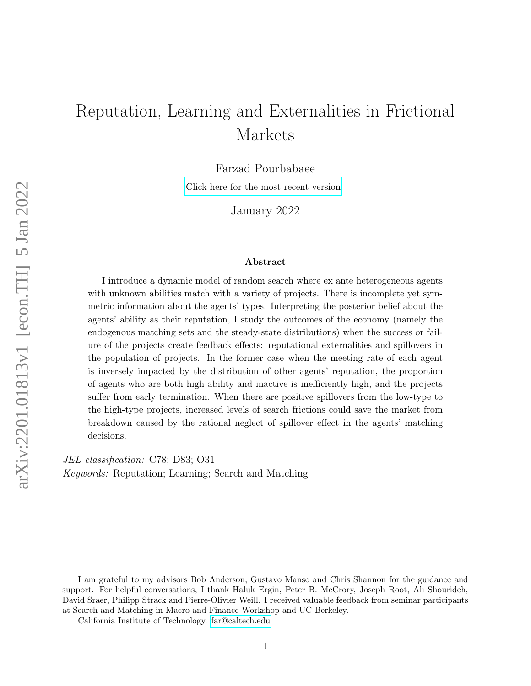# Reputation, Learning and Externalities in Frictional Markets

Farzad Pourbabaee

[Click here for the most recent version](https://farzad-pourbabaee.github.io/papers/RLEFM.pdf)

January 2022

#### Abstract

I introduce a dynamic model of random search where ex ante heterogeneous agents with unknown abilities match with a variety of projects. There is incomplete yet symmetric information about the agents' types. Interpreting the posterior belief about the agents' ability as their reputation, I study the outcomes of the economy (namely the endogenous matching sets and the steady-state distributions) when the success or failure of the projects create feedback effects: reputational externalities and spillovers in the population of projects. In the former case when the meeting rate of each agent is inversely impacted by the distribution of other agents' reputation, the proportion of agents who are both high ability and inactive is inefficiently high, and the projects suffer from early termination. When there are positive spillovers from the low-type to the high-type projects, increased levels of search frictions could save the market from breakdown caused by the rational neglect of spillover effect in the agents' matching decisions.

JEL classification: C78; D83; O31 Keywords: Reputation; Learning; Search and Matching

I am grateful to my advisors Bob Anderson, Gustavo Manso and Chris Shannon for the guidance and support. For helpful conversations, I thank Haluk Ergin, Peter B. McCrory, Joseph Root, Ali Shourideh, David Sraer, Philipp Strack and Pierre-Olivier Weill. I received valuable feedback from seminar participants at Search and Matching in Macro and Finance Workshop and UC Berkeley.

California Institute of Technology. [far@caltech.edu](mailto:far@caltech.edu)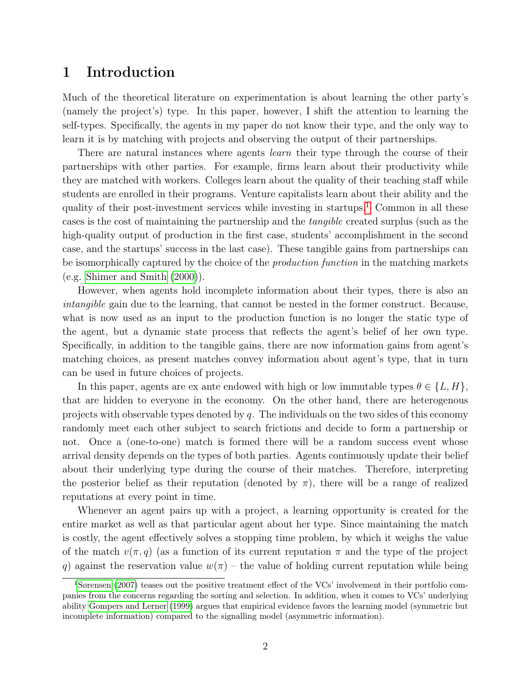## 1 Introduction

Much of the theoretical literature on experimentation is about learning the other party's (namely the project's) type. In this paper, however, I shift the attention to learning the self-types. Specifically, the agents in my paper do not know their type, and the only way to learn it is by matching with projects and observing the output of their partnerships.

There are natural instances where agents *learn* their type through the course of their partnerships with other parties. For example, firms learn about their productivity while they are matched with workers. Colleges learn about the quality of their teaching staff while students are enrolled in their programs. Venture capitalists learn about their ability and the quality of their post-investment services while investing in startups.<sup>[1](#page-1-0)</sup> Common in all these cases is the cost of maintaining the partnership and the tangible created surplus (such as the high-quality output of production in the first case, students' accomplishment in the second case, and the startups' success in the last case). These tangible gains from partnerships can be isomorphically captured by the choice of the *production function* in the matching markets  $(e.g. Shimer and Smith (2000)).$  $(e.g. Shimer and Smith (2000)).$  $(e.g. Shimer and Smith (2000)).$  $(e.g. Shimer and Smith (2000)).$  $(e.g. Shimer and Smith (2000)).$ 

However, when agents hold incomplete information about their types, there is also an intangible gain due to the learning, that cannot be nested in the former construct. Because, what is now used as an input to the production function is no longer the static type of the agent, but a dynamic state process that reflects the agent's belief of her own type. Specifically, in addition to the tangible gains, there are now information gains from agent's matching choices, as present matches convey information about agent's type, that in turn can be used in future choices of projects.

In this paper, agents are ex ante endowed with high or low immutable types  $\theta \in \{L, H\}$ , that are hidden to everyone in the economy. On the other hand, there are heterogenous projects with observable types denoted by  $q$ . The individuals on the two sides of this economy randomly meet each other subject to search frictions and decide to form a partnership or not. Once a (one-to-one) match is formed there will be a random success event whose arrival density depends on the types of both parties. Agents continuously update their belief about their underlying type during the course of their matches. Therefore, interpreting the posterior belief as their reputation (denoted by  $\pi$ ), there will be a range of realized reputations at every point in time.

Whenever an agent pairs up with a project, a learning opportunity is created for the entire market as well as that particular agent about her type. Since maintaining the match is costly, the agent effectively solves a stopping time problem, by which it weighs the value of the match  $v(\pi, q)$  (as a function of its current reputation  $\pi$  and the type of the project q) against the reservation value  $w(\pi)$  – the value of holding current reputation while being

<span id="page-1-0"></span><sup>1</sup>[Sørensen](#page-44-1) [\(2007\)](#page-44-1) teases out the positive treatment effect of the VCs' involvement in their portfolio companies from the concerns regarding the sorting and selection. In addition, when it comes to VCs' underlying ability [Gompers and Lerner](#page-43-0) [\(1999\)](#page-43-0) argues that empirical evidence favors the learning model (symmetric but incomplete information) compared to the signalling model (asymmetric information).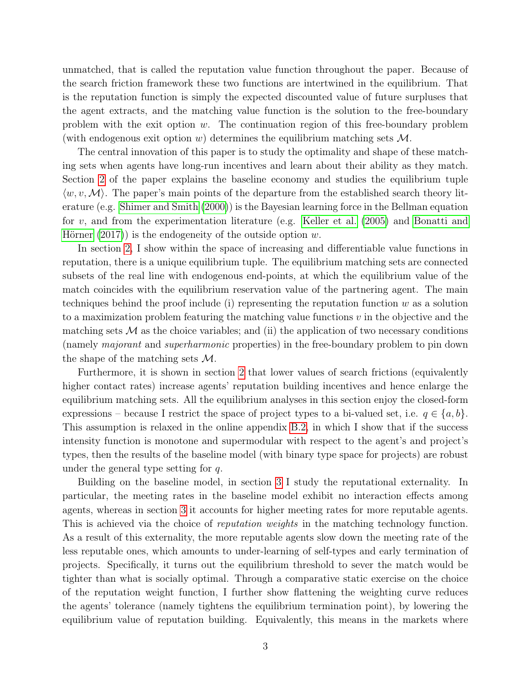unmatched, that is called the reputation value function throughout the paper. Because of the search friction framework these two functions are intertwined in the equilibrium. That is the reputation function is simply the expected discounted value of future surpluses that the agent extracts, and the matching value function is the solution to the free-boundary problem with the exit option  $w$ . The continuation region of this free-boundary problem (with endogenous exit option w) determines the equilibrium matching sets  $\mathcal{M}$ .

The central innovation of this paper is to study the optimality and shape of these matching sets when agents have long-run incentives and learn about their ability as they match. Section [2](#page-4-0) of the paper explains the baseline economy and studies the equilibrium tuple  $\langle w, v, \mathcal{M} \rangle$ . The paper's main points of the departure from the established search theory literature (e.g. [Shimer and Smith](#page-44-0) [\(2000\)](#page-44-0)) is the Bayesian learning force in the Bellman equation for v, and from the experimentation literature (e.g. [Keller et al.](#page-43-1) [\(2005\)](#page-43-1) and [Bonatti and](#page-42-0) [Hörner](#page-42-0)  $(2017)$  is the endogeneity of the outside option w.

In section [2,](#page-4-0) I show within the space of increasing and differentiable value functions in reputation, there is a unique equilibrium tuple. The equilibrium matching sets are connected subsets of the real line with endogenous end-points, at which the equilibrium value of the match coincides with the equilibrium reservation value of the partnering agent. The main techniques behind the proof include (i) representing the reputation function  $w$  as a solution to a maximization problem featuring the matching value functions  $v$  in the objective and the matching sets  $M$  as the choice variables; and (ii) the application of two necessary conditions (namely majorant and superharmonic properties) in the free-boundary problem to pin down the shape of the matching sets  $\mathcal{M}$ .

Furthermore, it is shown in section [2](#page-4-0) that lower values of search frictions (equivalently higher contact rates) increase agents' reputation building incentives and hence enlarge the equilibrium matching sets. All the equilibrium analyses in this section enjoy the closed-form expressions – because I restrict the space of project types to a bi-valued set, i.e.  $q \in \{a, b\}$ . This assumption is relaxed in the online appendix [B.2,](#page-47-0) in which I show that if the success intensity function is monotone and supermodular with respect to the agent's and project's types, then the results of the baseline model (with binary type space for projects) are robust under the general type setting for  $q$ .

Building on the baseline model, in section [3](#page-13-0) I study the reputational externality. In particular, the meeting rates in the baseline model exhibit no interaction effects among agents, whereas in section [3](#page-13-0) it accounts for higher meeting rates for more reputable agents. This is achieved via the choice of reputation weights in the matching technology function. As a result of this externality, the more reputable agents slow down the meeting rate of the less reputable ones, which amounts to under-learning of self-types and early termination of projects. Specifically, it turns out the equilibrium threshold to sever the match would be tighter than what is socially optimal. Through a comparative static exercise on the choice of the reputation weight function, I further show flattening the weighting curve reduces the agents' tolerance (namely tightens the equilibrium termination point), by lowering the equilibrium value of reputation building. Equivalently, this means in the markets where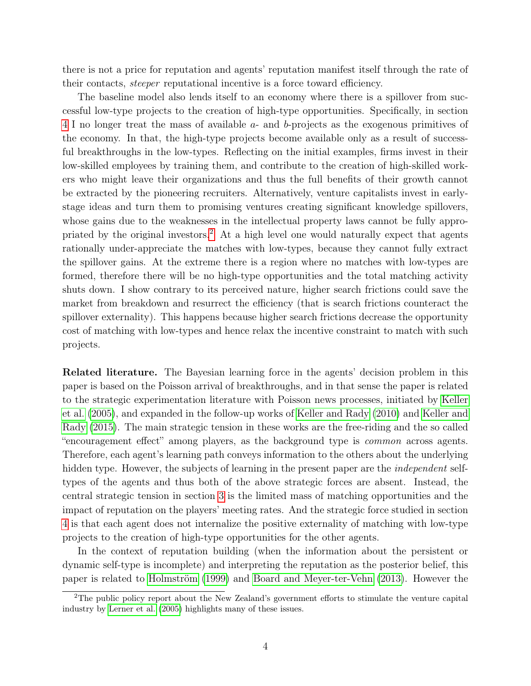there is not a price for reputation and agents' reputation manifest itself through the rate of their contacts, steeper reputational incentive is a force toward efficiency.

The baseline model also lends itself to an economy where there is a spillover from successful low-type projects to the creation of high-type opportunities. Specifically, in section [4](#page-21-0) I no longer treat the mass of available a- and b-projects as the exogenous primitives of the economy. In that, the high-type projects become available only as a result of successful breakthroughs in the low-types. Reflecting on the initial examples, firms invest in their low-skilled employees by training them, and contribute to the creation of high-skilled workers who might leave their organizations and thus the full benefits of their growth cannot be extracted by the pioneering recruiters. Alternatively, venture capitalists invest in earlystage ideas and turn them to promising ventures creating significant knowledge spillovers, whose gains due to the weaknesses in the intellectual property laws cannot be fully appropriated by the original investors.[2](#page-3-0) At a high level one would naturally expect that agents rationally under-appreciate the matches with low-types, because they cannot fully extract the spillover gains. At the extreme there is a region where no matches with low-types are formed, therefore there will be no high-type opportunities and the total matching activity shuts down. I show contrary to its perceived nature, higher search frictions could save the market from breakdown and resurrect the efficiency (that is search frictions counteract the spillover externality). This happens because higher search frictions decrease the opportunity cost of matching with low-types and hence relax the incentive constraint to match with such projects.

Related literature. The Bayesian learning force in the agents' decision problem in this paper is based on the Poisson arrival of breakthroughs, and in that sense the paper is related to the strategic experimentation literature with Poisson news processes, initiated by [Keller](#page-43-1) [et al.](#page-43-1) [\(2005\)](#page-43-1), and expanded in the follow-up works of [Keller and Rady](#page-43-2) [\(2010\)](#page-43-2) and [Keller and](#page-43-3) [Rady](#page-43-3) [\(2015\)](#page-43-3). The main strategic tension in these works are the free-riding and the so called "encouragement effect" among players, as the background type is common across agents. Therefore, each agent's learning path conveys information to the others about the underlying hidden type. However, the subjects of learning in the present paper are the *independent* selftypes of the agents and thus both of the above strategic forces are absent. Instead, the central strategic tension in section [3](#page-13-0) is the limited mass of matching opportunities and the impact of reputation on the players' meeting rates. And the strategic force studied in section [4](#page-21-0) is that each agent does not internalize the positive externality of matching with low-type projects to the creation of high-type opportunities for the other agents.

In the context of reputation building (when the information about the persistent or dynamic self-type is incomplete) and interpreting the reputation as the posterior belief, this paper is related to [Holmström](#page-43-4) [\(1999\)](#page-43-4) and [Board and Meyer-ter-Vehn](#page-42-1) [\(2013\)](#page-42-1). However the

<span id="page-3-0"></span><sup>2</sup>The public policy report about the New Zealand's government efforts to stimulate the venture capital industry by [Lerner et al.](#page-43-5) [\(2005\)](#page-43-5) highlights many of these issues.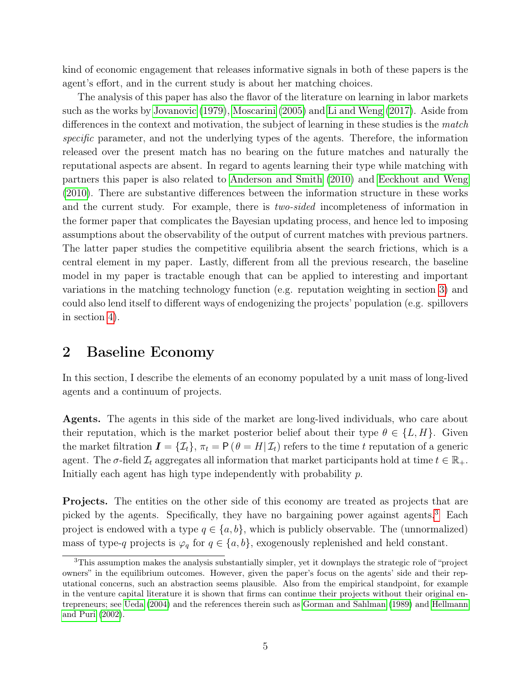kind of economic engagement that releases informative signals in both of these papers is the agent's effort, and in the current study is about her matching choices.

The analysis of this paper has also the flavor of the literature on learning in labor markets such as the works by [Jovanovic](#page-43-6) [\(1979\)](#page-43-6), [Moscarini](#page-44-2) [\(2005\)](#page-44-2) and [Li and Weng](#page-44-3) [\(2017\)](#page-44-3). Aside from differences in the context and motivation, the subject of learning in these studies is the match specific parameter, and not the underlying types of the agents. Therefore, the information released over the present match has no bearing on the future matches and naturally the reputational aspects are absent. In regard to agents learning their type while matching with partners this paper is also related to [Anderson and Smith](#page-42-2) [\(2010\)](#page-42-2) and [Eeckhout and Weng](#page-43-7) [\(2010\)](#page-43-7). There are substantive differences between the information structure in these works and the current study. For example, there is *two-sided* incompleteness of information in the former paper that complicates the Bayesian updating process, and hence led to imposing assumptions about the observability of the output of current matches with previous partners. The latter paper studies the competitive equilibria absent the search frictions, which is a central element in my paper. Lastly, different from all the previous research, the baseline model in my paper is tractable enough that can be applied to interesting and important variations in the matching technology function (e.g. reputation weighting in section [3\)](#page-13-0) and could also lend itself to different ways of endogenizing the projects' population (e.g. spillovers in section [4\)](#page-21-0).

## <span id="page-4-0"></span>2 Baseline Economy

In this section, I describe the elements of an economy populated by a unit mass of long-lived agents and a continuum of projects.

Agents. The agents in this side of the market are long-lived individuals, who care about their reputation, which is the market posterior belief about their type  $\theta \in \{L, H\}$ . Given the market filtration  $\mathbf{I} = {\mathcal{I}_t}$ ,  $\pi_t = \mathsf{P}(\theta = H | \mathcal{I}_t)$  refers to the time t reputation of a generic agent. The  $\sigma$ -field  $\mathcal{I}_t$  aggregates all information that market participants hold at time  $t \in \mathbb{R}_+$ . Initially each agent has high type independently with probability  $p$ .

Projects. The entities on the other side of this economy are treated as projects that are picked by the agents. Specifically, they have no bargaining power against agents.[3](#page-4-1) Each project is endowed with a type  $q \in \{a, b\}$ , which is publicly observable. The (unnormalized) mass of type-q projects is  $\varphi_q$  for  $q \in \{a, b\}$ , exogenously replenished and held constant.

<span id="page-4-1"></span><sup>3</sup>This assumption makes the analysis substantially simpler, yet it downplays the strategic role of "project owners" in the equilibrium outcomes. However, given the paper's focus on the agents' side and their reputational concerns, such an abstraction seems plausible. Also from the empirical standpoint, for example in the venture capital literature it is shown that firms can continue their projects without their original entrepreneurs; see [Ueda](#page-44-4) [\(2004\)](#page-44-4) and the references therein such as [Gorman and Sahlman](#page-43-8) [\(1989\)](#page-43-8) and [Hellmann](#page-43-9) [and Puri](#page-43-9) [\(2002\)](#page-43-9).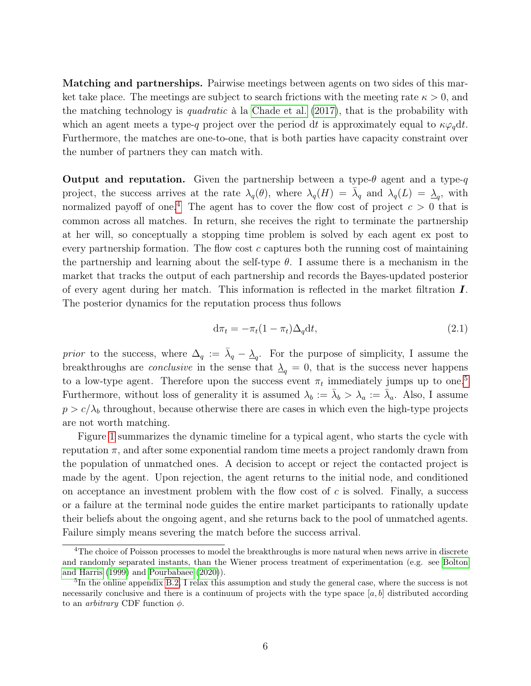Matching and partnerships. Pairwise meetings between agents on two sides of this market take place. The meetings are subject to search frictions with the meeting rate  $\kappa > 0$ , and the matching technology is *quadratic* à la [Chade et al.](#page-42-3)  $(2017)$ , that is the probability with which an agent meets a type-q project over the period dt is approximately equal to  $\kappa \varphi_q dt$ . Furthermore, the matches are one-to-one, that is both parties have capacity constraint over the number of partners they can match with.

**Output and reputation.** Given the partnership between a type- $\theta$  agent and a type- $q$ project, the success arrives at the rate  $\lambda_q(\theta)$ , where  $\lambda_q(H) = \overline{\lambda}_q$  and  $\lambda_q(L) = \underline{\lambda}_q$ , with normalized payoff of one.<sup>[4](#page-5-0)</sup> The agent has to cover the flow cost of project  $c > 0$  that is common across all matches. In return, she receives the right to terminate the partnership at her will, so conceptually a stopping time problem is solved by each agent ex post to every partnership formation. The flow cost  $c$  captures both the running cost of maintaining the partnership and learning about the self-type  $\theta$ . I assume there is a mechanism in the market that tracks the output of each partnership and records the Bayes-updated posterior of every agent during her match. This information is reflected in the market filtration I. The posterior dynamics for the reputation process thus follows

$$
d\pi_t = -\pi_t (1 - \pi_t) \Delta_q dt, \qquad (2.1)
$$

*prior* to the success, where  $\Delta_q := \bar{\lambda}_q - \underline{\lambda}_q$ . For the purpose of simplicity, I assume the breakthroughs are *conclusive* in the sense that  $\Delta_q = 0$ , that is the success never happens to a low-type agent. Therefore upon the success event  $\pi_t$  immediately jumps up to one.<sup>[5](#page-5-1)</sup> Furthermore, without loss of generality it is assumed  $\lambda_b := \bar{\lambda}_b > \lambda_a := \bar{\lambda}_a$ . Also, I assume  $p > c/\lambda_b$  throughout, because otherwise there are cases in which even the high-type projects are not worth matching.

Figure [1](#page-6-0) summarizes the dynamic timeline for a typical agent, who starts the cycle with reputation  $\pi$ , and after some exponential random time meets a project randomly drawn from the population of unmatched ones. A decision to accept or reject the contacted project is made by the agent. Upon rejection, the agent returns to the initial node, and conditioned on acceptance an investment problem with the flow cost of  $c$  is solved. Finally, a success or a failure at the terminal node guides the entire market participants to rationally update their beliefs about the ongoing agent, and she returns back to the pool of unmatched agents. Failure simply means severing the match before the success arrival.

<span id="page-5-0"></span><sup>4</sup>The choice of Poisson processes to model the breakthroughs is more natural when news arrive in discrete and randomly separated instants, than the Wiener process treatment of experimentation (e.g. see [Bolton](#page-42-4) [and Harris](#page-42-4) [\(1999\)](#page-42-4) and [Pourbabaee](#page-44-5) [\(2020\)](#page-44-5)).

<span id="page-5-1"></span><sup>&</sup>lt;sup>5</sup>In the online appendix [B.2,](#page-47-0) I relax this assumption and study the general case, where the success is not necessarily conclusive and there is a continuum of projects with the type space  $[a, b]$  distributed according to an *arbitrary* CDF function  $\phi$ .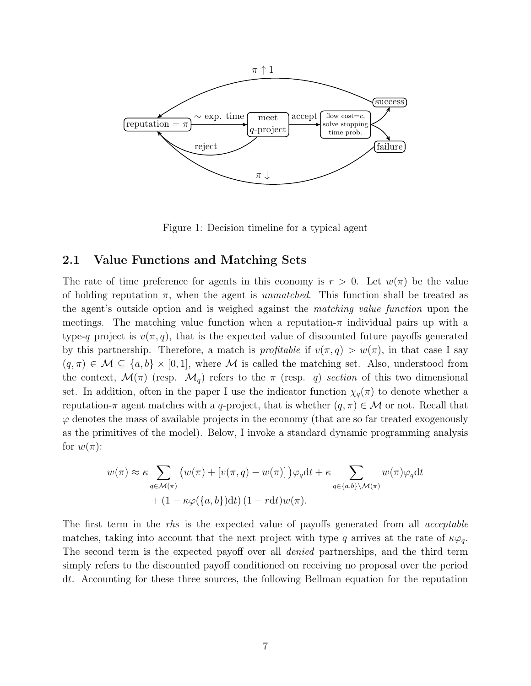<span id="page-6-0"></span>

Figure 1: Decision timeline for a typical agent

### 2.1 Value Functions and Matching Sets

The rate of time preference for agents in this economy is  $r > 0$ . Let  $w(\pi)$  be the value of holding reputation  $\pi$ , when the agent is *unmatched*. This function shall be treated as the agent's outside option and is weighed against the matching value function upon the meetings. The matching value function when a reputation- $\pi$  individual pairs up with a type-q project is  $v(\pi, q)$ , that is the expected value of discounted future payoffs generated by this partnership. Therefore, a match is *profitable* if  $v(\pi, q) > w(\pi)$ , in that case I say  $(q, \pi) \in \mathcal{M} \subseteq \{a, b\} \times [0, 1]$ , where M is called the matching set. Also, understood from the context,  $\mathcal{M}(\pi)$  (resp.  $\mathcal{M}_q$ ) refers to the  $\pi$  (resp. q) section of this two dimensional set. In addition, often in the paper I use the indicator function  $\chi_q(\pi)$  to denote whether a reputation- $\pi$  agent matches with a q-project, that is whether  $(q, \pi) \in \mathcal{M}$  or not. Recall that  $\varphi$  denotes the mass of available projects in the economy (that are so far treated exogenously as the primitives of the model). Below, I invoke a standard dynamic programming analysis for  $w(\pi)$ :

$$
w(\pi) \approx \kappa \sum_{q \in \mathcal{M}(\pi)} \left( w(\pi) + \left[ v(\pi, q) - w(\pi) \right] \right) \varphi_q \mathrm{d}t + \kappa \sum_{q \in \{a, b\} \setminus \mathcal{M}(\pi)} w(\pi) \varphi_q \mathrm{d}t + (1 - \kappa \varphi(\{a, b\}) \mathrm{d}t) \left( 1 - r \mathrm{d}t \right) w(\pi).
$$

The first term in the rhs is the expected value of payoffs generated from all *acceptable* matches, taking into account that the next project with type q arrives at the rate of  $\kappa \varphi_q$ . The second term is the expected payoff over all denied partnerships, and the third term simply refers to the discounted payoff conditioned on receiving no proposal over the period dt. Accounting for these three sources, the following Bellman equation for the reputation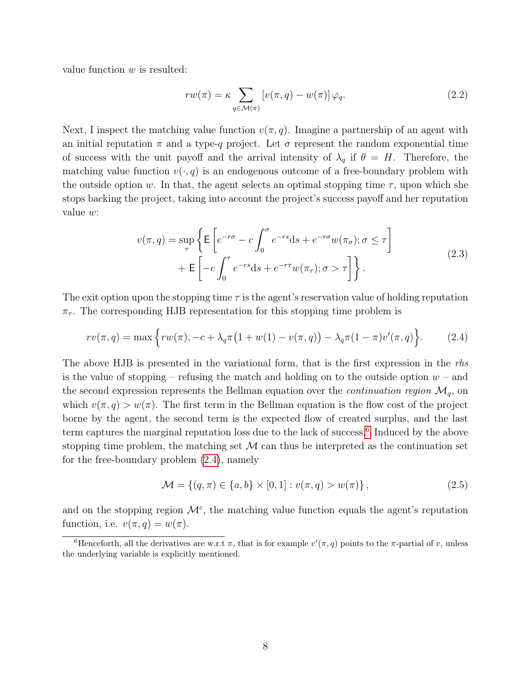value function  $w$  is resulted:

<span id="page-7-2"></span>
$$
rw(\pi) = \kappa \sum_{q \in \mathcal{M}(\pi)} \left[ v(\pi, q) - w(\pi) \right] \varphi_q.
$$
 (2.2)

Next, I inspect the matching value function  $v(\pi, q)$ . Imagine a partnership of an agent with an initial reputation  $\pi$  and a type-q project. Let  $\sigma$  represent the random exponential time of success with the unit payoff and the arrival intensity of  $\lambda_q$  if  $\theta = H$ . Therefore, the matching value function  $v(\cdot, q)$  is an endogenous outcome of a free-boundary problem with the outside option w. In that, the agent selects an optimal stopping time  $\tau$ , upon which she stops backing the project, taking into account the project's success payoff and her reputation value w:

$$
v(\pi, q) = \sup_{\tau} \left\{ \mathsf{E} \left[ e^{-r\sigma} - c \int_0^{\sigma} e^{-rs} \mathrm{d}s + e^{-r\sigma} w(\pi_{\sigma}); \sigma \le \tau \right] + \mathsf{E} \left[ -c \int_0^{\tau} e^{-rs} \mathrm{d}s + e^{-r\tau} w(\pi_{\tau}); \sigma > \tau \right] \right\}.
$$
 (2.3)

<span id="page-7-4"></span>The exit option upon the stopping time  $\tau$  is the agent's reservation value of holding reputation  $\pi_{\tau}$ . The corresponding HJB representation for this stopping time problem is

<span id="page-7-1"></span>
$$
rv(\pi, q) = \max \left\{ rw(\pi), -c + \lambda_q \pi \left(1 + w(1) - v(\pi, q)\right) - \lambda_q \pi (1 - \pi) v'(\pi, q)\right\}.
$$
 (2.4)

The above HJB is presented in the variational form, that is the first expression in the rhs is the value of stopping – refusing the match and holding on to the outside option  $w$  – and the second expression represents the Bellman equation over the *continuation region*  $\mathcal{M}_q$ , on which  $v(\pi, q) > w(\pi)$ . The first term in the Bellman equation is the flow cost of the project borne by the agent, the second term is the expected flow of created surplus, and the last term captures the marginal reputation loss due to the lack of success.<sup>[6](#page-7-0)</sup> Induced by the above stopping time problem, the matching set  $\mathcal M$  can thus be interpreted as the continuation set for the free-boundary problem [\(2.4\)](#page-7-1), namely

<span id="page-7-3"></span>
$$
\mathcal{M} = \{(q, \pi) \in \{a, b\} \times [0, 1] : v(\pi, q) > w(\pi)\},\tag{2.5}
$$

and on the stopping region  $\mathcal{M}^c$ , the matching value function equals the agent's reputation function, i.e.  $v(\pi, q) = w(\pi)$ .

<span id="page-7-0"></span><sup>&</sup>lt;sup>6</sup>Henceforth, all the derivatives are w.r.t  $\pi$ , that is for example  $v'(\pi, q)$  points to the  $\pi$ -partial of v, unless the underlying variable is explicitly mentioned.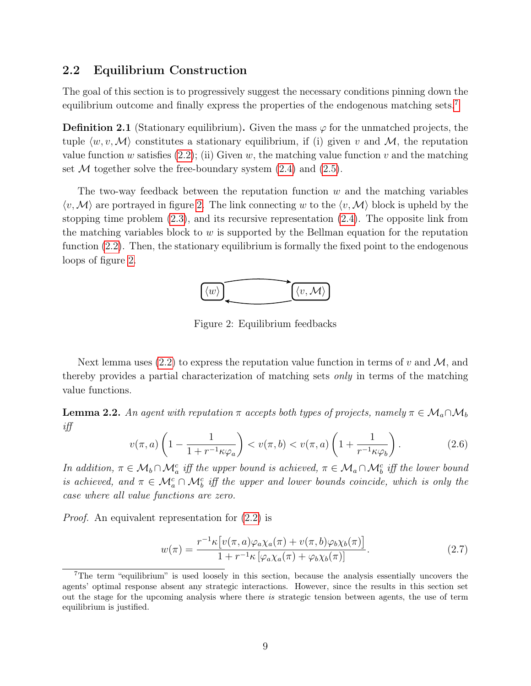### 2.2 Equilibrium Construction

The goal of this section is to progressively suggest the necessary conditions pinning down the equilibrium outcome and finally express the properties of the endogenous matching sets.<sup>[7](#page-8-0)</sup>

**Definition 2.1** (Stationary equilibrium). Given the mass  $\varphi$  for the unmatched projects, the tuple  $\langle w, v, \mathcal{M} \rangle$  constitutes a stationary equilibrium, if (i) given v and M, the reputation value function w satisfies  $(2.2)$ ; (ii) Given w, the matching value function v and the matching set  $M$  together solve the free-boundary system  $(2.4)$  and  $(2.5)$ .

<span id="page-8-1"></span>The two-way feedback between the reputation function  $w$  and the matching variables  $\langle v, \mathcal{M} \rangle$  are portrayed in figure [2.](#page-8-1) The link connecting w to the  $\langle v, \mathcal{M} \rangle$  block is upheld by the stopping time problem [\(2.3\)](#page-7-4), and its recursive representation [\(2.4\)](#page-7-1). The opposite link from the matching variables block to  $w$  is supported by the Bellman equation for the reputation function  $(2.2)$ . Then, the stationary equilibrium is formally the fixed point to the endogenous loops of figure [2.](#page-8-1)



Figure 2: Equilibrium feedbacks

Next lemma uses [\(2.2\)](#page-7-2) to express the reputation value function in terms of v and M, and thereby provides a partial characterization of matching sets only in terms of the matching value functions.

<span id="page-8-4"></span>**Lemma 2.2.** An agent with reputation  $\pi$  accepts both types of projects, namely  $\pi \in \mathcal{M}_a \cap \mathcal{M}_b$ iff

<span id="page-8-3"></span>
$$
v(\pi, a) \left(1 - \frac{1}{1 + r^{-1} \kappa \varphi_a}\right) < v(\pi, b) < v(\pi, a) \left(1 + \frac{1}{r^{-1} \kappa \varphi_b}\right). \tag{2.6}
$$

In addition,  $\pi \in M_b \cap M_a^c$  iff the upper bound is achieved,  $\pi \in M_a \cap M_b^c$  iff the lower bound is achieved, and  $\pi \in \mathcal{M}_a^c \cap \mathcal{M}_b^c$  iff the upper and lower bounds coincide, which is only the case where all value functions are zero.

Proof. An equivalent representation for [\(2.2\)](#page-7-2) is

<span id="page-8-2"></span>
$$
w(\pi) = \frac{r^{-1}\kappa \left[ v(\pi, a)\varphi_a \chi_a(\pi) + v(\pi, b)\varphi_b \chi_b(\pi) \right]}{1 + r^{-1}\kappa \left[ \varphi_a \chi_a(\pi) + \varphi_b \chi_b(\pi) \right]}.
$$
\n(2.7)

<span id="page-8-0"></span><sup>7</sup>The term "equilibrium" is used loosely in this section, because the analysis essentially uncovers the agents' optimal response absent any strategic interactions. However, since the results in this section set out the stage for the upcoming analysis where there is strategic tension between agents, the use of term equilibrium is justified.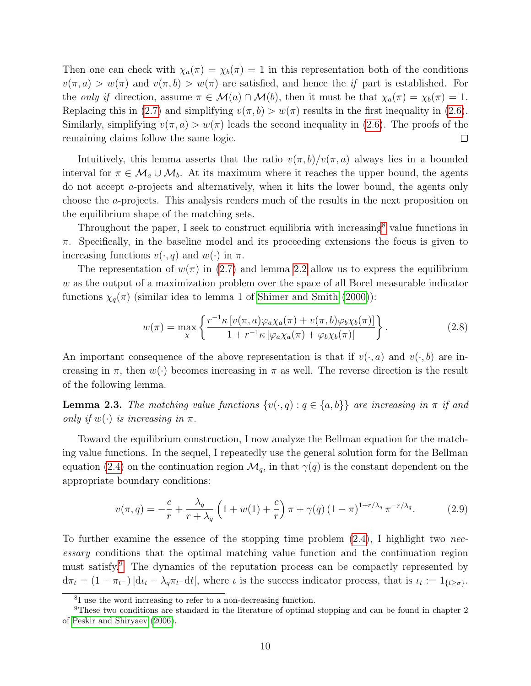Then one can check with  $\chi_a(\pi) = \chi_b(\pi) = 1$  in this representation both of the conditions  $v(\pi, a) > w(\pi)$  and  $v(\pi, b) > w(\pi)$  are satisfied, and hence the if part is established. For the only if direction, assume  $\pi \in \mathcal{M}(a) \cap \mathcal{M}(b)$ , then it must be that  $\chi_a(\pi) = \chi_b(\pi) = 1$ . Replacing this in [\(2.7\)](#page-8-2) and simplifying  $v(\pi, b) > w(\pi)$  results in the first inequality in [\(2.6\)](#page-8-3). Similarly, simplifying  $v(\pi, a) > w(\pi)$  leads the second inequality in [\(2.6\)](#page-8-3). The proofs of the remaining claims follow the same logic.  $\Box$ 

Intuitively, this lemma asserts that the ratio  $v(\pi, b)/v(\pi, a)$  always lies in a bounded interval for  $\pi \in \mathcal{M}_a \cup \mathcal{M}_b$ . At its maximum where it reaches the upper bound, the agents do not accept a-projects and alternatively, when it hits the lower bound, the agents only choose the a-projects. This analysis renders much of the results in the next proposition on the equilibrium shape of the matching sets.

Throughout the paper, I seek to construct equilibria with increasing<sup>[8](#page-9-0)</sup> value functions in  $\pi$ . Specifically, in the baseline model and its proceeding extensions the focus is given to increasing functions  $v(\cdot, q)$  and  $w(\cdot)$  in  $\pi$ .

The representation of  $w(\pi)$  in [\(2.7\)](#page-8-2) and lemma [2.2](#page-8-4) allow us to express the equilibrium w as the output of a maximization problem over the space of all Borel measurable indicator functions  $\chi_q(\pi)$  (similar idea to lemma 1 of [Shimer and Smith](#page-44-0) [\(2000\)](#page-44-0)):

<span id="page-9-3"></span>
$$
w(\pi) = \max_{\chi} \left\{ \frac{r^{-1} \kappa \left[ v(\pi, a) \varphi_a \chi_a(\pi) + v(\pi, b) \varphi_b \chi_b(\pi) \right]}{1 + r^{-1} \kappa \left[ \varphi_a \chi_a(\pi) + \varphi_b \chi_b(\pi) \right]} \right\}.
$$
 (2.8)

An important consequence of the above representation is that if  $v(\cdot, a)$  and  $v(\cdot, b)$  are increasing in  $\pi$ , then  $w(\cdot)$  becomes increasing in  $\pi$  as well. The reverse direction is the result of the following lemma.

<span id="page-9-2"></span>**Lemma 2.3.** The matching value functions  $\{v(\cdot,q): q \in \{a,b\}\}\$ are increasing in  $\pi$  if and only if  $w(\cdot)$  is increasing in  $\pi$ .

Toward the equilibrium construction, I now analyze the Bellman equation for the matching value functions. In the sequel, I repeatedly use the general solution form for the Bellman equation [\(2.4\)](#page-7-1) on the continuation region  $\mathcal{M}_q$ , in that  $\gamma(q)$  is the constant dependent on the appropriate boundary conditions:

<span id="page-9-4"></span>
$$
v(\pi, q) = -\frac{c}{r} + \frac{\lambda_q}{r + \lambda_q} \left( 1 + w(1) + \frac{c}{r} \right) \pi + \gamma(q) \left( 1 - \pi \right)^{1 + r/\lambda_q} \pi^{-r/\lambda_q}.
$$
 (2.9)

To further examine the essence of the stopping time problem  $(2.4)$ , I highlight two necessary conditions that the optimal matching value function and the continuation region must satisfy.[9](#page-9-1) The dynamics of the reputation process can be compactly represented by  $d\pi_t = (1 - \pi_{t-}) \left[ d\iota_t - \lambda_q \pi_{t-} dt \right],$  where  $\iota$  is the success indicator process, that is  $\iota_t := 1_{\{t \geq \sigma\}}.$ 

<span id="page-9-1"></span><span id="page-9-0"></span><sup>8</sup> I use the word increasing to refer to a non-decreasing function.

<sup>9</sup>These two conditions are standard in the literature of optimal stopping and can be found in chapter 2 of [Peskir and Shiryaev](#page-44-6) [\(2006\)](#page-44-6).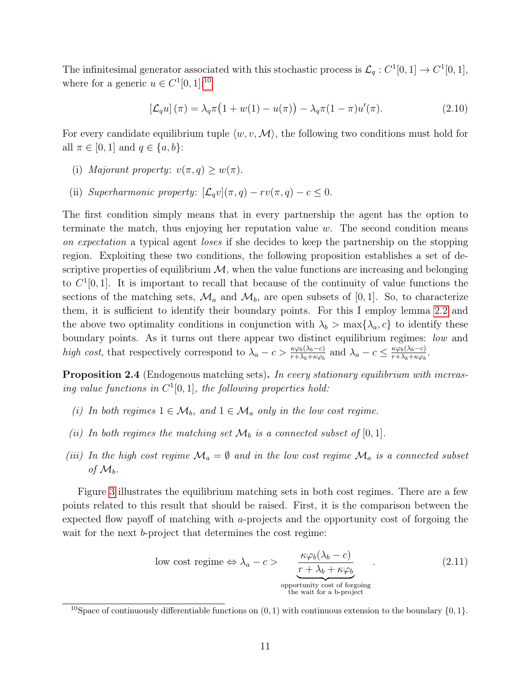The infinitesimal generator associated with this stochastic process is  $\mathcal{L}_q : C^1[0,1] \to C^1[0,1],$ where for a generic  $u \in C^1[0,1]:^{10}$  $u \in C^1[0,1]:^{10}$  $u \in C^1[0,1]:^{10}$ 

$$
\left[\mathcal{L}_q u\right](\pi) = \lambda_q \pi \left(1 + w(1) - u(\pi)\right) - \lambda_q \pi (1 - \pi) u'(\pi). \tag{2.10}
$$

For every candidate equilibrium tuple  $\langle w, v, \mathcal{M} \rangle$ , the following two conditions must hold for all  $\pi \in [0, 1]$  and  $q \in \{a, b\}$ :

- (i) Majorant property:  $v(\pi, q) \geq w(\pi)$ .
- (ii) Superharmonic property:  $[\mathcal{L}_q v](\pi, q) rv(\pi, q) c \leq 0.$

The first condition simply means that in every partnership the agent has the option to terminate the match, thus enjoying her reputation value  $w$ . The second condition means on expectation a typical agent loses if she decides to keep the partnership on the stopping region. Exploiting these two conditions, the following proposition establishes a set of descriptive properties of equilibrium  $M$ , when the value functions are increasing and belonging to  $C^1[0,1]$ . It is important to recall that because of the continuity of value functions the sections of the matching sets,  $\mathcal{M}_a$  and  $\mathcal{M}_b$ , are open subsets of [0, 1]. So, to characterize them, it is sufficient to identify their boundary points. For this I employ lemma [2.2](#page-8-4) and the above two optimality conditions in conjunction with  $\lambda_b > \max{\lambda_a, c}$  to identify these boundary points. As it turns out there appear two distinct equilibrium regimes: low and high cost, that respectively correspond to  $\lambda_a - c > \frac{\kappa \varphi_b(\lambda_b - c)}{r + \lambda_b + \kappa \varphi_b}$  and  $\lambda_a - c \leq \frac{\kappa \varphi_b(\lambda_b - c)}{r + \lambda_b + \kappa \varphi_b}$  $\frac{\kappa\varphi_b(\lambda_b-c)}{r+\lambda_b+\kappa\varphi_b}$ .

<span id="page-10-1"></span>Proposition 2.4 (Endogenous matching sets). In every stationary equilibrium with increasing value functions in  $C^1[0,1]$ , the following properties hold:

- <span id="page-10-3"></span>(i) In both regimes  $1 \in \mathcal{M}_b$ , and  $1 \in \mathcal{M}_a$  only in the low cost regime.
- <span id="page-10-4"></span>(ii) In both regimes the matching set  $\mathcal{M}_b$  is a connected subset of [0, 1].
- <span id="page-10-5"></span>(iii) In the high cost regime  $\mathcal{M}_a = \emptyset$  and in the low cost regime  $\mathcal{M}_a$  is a connected subset of  $\mathcal{M}_b$ .

Figure [3](#page-11-0) illustrates the equilibrium matching sets in both cost regimes. There are a few points related to this result that should be raised. First, it is the comparison between the expected flow payoff of matching with a-projects and the opportunity cost of forgoing the wait for the next *b*-project that determines the cost regime:

<span id="page-10-2"></span>low cost regime 
$$
\Leftrightarrow \lambda_a - c
$$
 
$$
\frac{\kappa \varphi_b(\lambda_b - c)}{r + \lambda_b + \kappa \varphi_b}
$$
 (2.11)  
opportunity cost of foregoing  
the wait for a b-project

<span id="page-10-0"></span><sup>&</sup>lt;sup>10</sup>Space of continuously differentiable functions on  $(0, 1)$  with continuous extension to the boundary  $\{0, 1\}$ .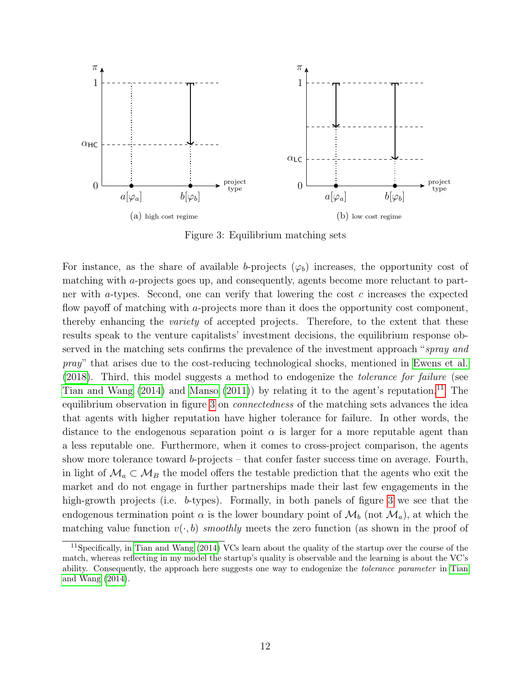<span id="page-11-0"></span>

Figure 3: Equilibrium matching sets

For instance, as the share of available b-projects  $(\varphi_b)$  increases, the opportunity cost of matching with a-projects goes up, and consequently, agents become more reluctant to partner with a-types. Second, one can verify that lowering the cost  $c$  increases the expected flow payoff of matching with a-projects more than it does the opportunity cost component, thereby enhancing the *variety* of accepted projects. Therefore, to the extent that these results speak to the venture capitalists' investment decisions, the equilibrium response observed in the matching sets confirms the prevalence of the investment approach "spray and pray" that arises due to the cost-reducing technological shocks, mentioned in [Ewens et al.](#page-43-10) [\(2018\)](#page-43-10). Third, this model suggests a method to endogenize the tolerance for failure (see [Tian and Wang](#page-44-7)  $(2014)$  and [Manso](#page-44-8)  $(2011)$ ) by relating it to the agent's reputation.<sup>[11](#page-11-1)</sup> The equilibrium observation in figure [3](#page-11-0) on connectedness of the matching sets advances the idea that agents with higher reputation have higher tolerance for failure. In other words, the distance to the endogenous separation point  $\alpha$  is larger for a more reputable agent than a less reputable one. Furthermore, when it comes to cross-project comparison, the agents show more tolerance toward b-projects – that confer faster success time on average. Fourth, in light of  $\mathcal{M}_a \subset \mathcal{M}_B$  the model offers the testable prediction that the agents who exit the market and do not engage in further partnerships made their last few engagements in the high-growth projects (i.e. b-types). Formally, in both panels of figure [3](#page-11-0) we see that the endogenous termination point  $\alpha$  is the lower boundary point of  $\mathcal{M}_b$  (not  $\mathcal{M}_a$ ), at which the matching value function  $v(\cdot, b)$  smoothly meets the zero function (as shown in the proof of

<span id="page-11-1"></span><sup>11</sup>Specifically, in [Tian and Wang](#page-44-7) [\(2014\)](#page-44-7) VCs learn about the quality of the startup over the course of the match, whereas reflecting in my model the startup's quality is observable and the learning is about the VC's ability. Consequently, the approach here suggests one way to endogenize the *tolerance parameter* in [Tian](#page-44-7) [and Wang](#page-44-7) [\(2014\)](#page-44-7).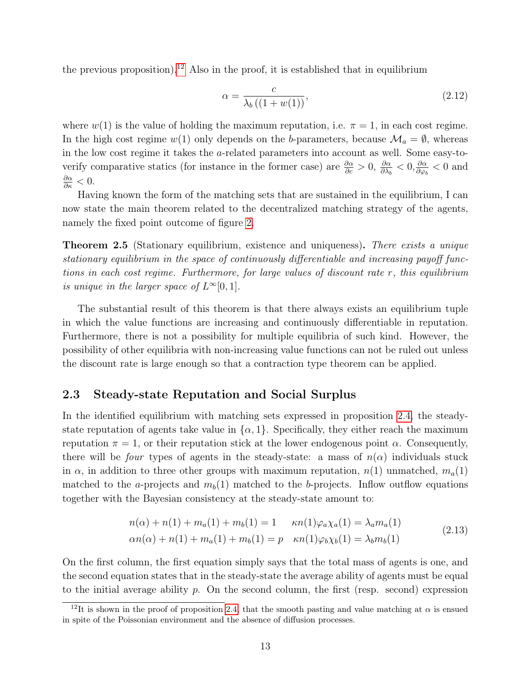the previous proposition).<sup>[12](#page-12-0)</sup> Also in the proof, it is established that in equilibrium

<span id="page-12-3"></span>
$$
\alpha = \frac{c}{\lambda_b \left( \left( 1 + w(1) \right) \right)},\tag{2.12}
$$

where  $w(1)$  is the value of holding the maximum reputation, i.e.  $\pi = 1$ , in each cost regime. In the high cost regime w(1) only depends on the b-parameters, because  $\mathcal{M}_a = \emptyset$ , whereas in the low cost regime it takes the a-related parameters into account as well. Some easy-toverify comparative statics (for instance in the former case) are  $\frac{\partial \alpha}{\partial c} > 0$ ,  $\frac{\partial \alpha}{\partial \lambda_i}$  $\frac{\partial \alpha}{\partial \lambda_b} < 0, \frac{\partial \alpha}{\partial \varphi_l}$  $\frac{\partial \alpha}{\partial \varphi_b} < 0$  and  $\frac{\partial \alpha}{\partial \kappa} < 0.$ 

Having known the form of the matching sets that are sustained in the equilibrium, I can now state the main theorem related to the decentralized matching strategy of the agents, namely the fixed point outcome of figure [2.](#page-8-1)

<span id="page-12-1"></span>**Theorem 2.5** (Stationary equilibrium, existence and uniqueness). There exists a unique stationary equilibrium in the space of continuously differentiable and increasing payoff functions in each cost regime. Furthermore, for large values of discount rate r, this equilibrium is unique in the larger space of  $L^{\infty}[0,1]$ .

The substantial result of this theorem is that there always exists an equilibrium tuple in which the value functions are increasing and continuously differentiable in reputation. Furthermore, there is not a possibility for multiple equilibria of such kind. However, the possibility of other equilibria with non-increasing value functions can not be ruled out unless the discount rate is large enough so that a contraction type theorem can be applied.

### 2.3 Steady-state Reputation and Social Surplus

In the identified equilibrium with matching sets expressed in proposition [2.4,](#page-10-1) the steadystate reputation of agents take value in  $\{\alpha, 1\}$ . Specifically, they either reach the maximum reputation  $\pi = 1$ , or their reputation stick at the lower endogenous point  $\alpha$ . Consequently, there will be *four* types of agents in the steady-state: a mass of  $n(\alpha)$  individuals stuck in  $\alpha$ , in addition to three other groups with maximum reputation,  $n(1)$  unmatched,  $m_a(1)$ matched to the a-projects and  $m_b(1)$  matched to the b-projects. Inflow outflow equations together with the Bayesian consistency at the steady-state amount to:

<span id="page-12-2"></span>
$$
n(\alpha) + n(1) + m_a(1) + m_b(1) = 1 \quad \kappa n(1)\varphi_a\chi_a(1) = \lambda_a m_a(1)
$$
  
\n
$$
\alpha n(\alpha) + n(1) + m_a(1) + m_b(1) = p \quad \kappa n(1)\varphi_b\chi_b(1) = \lambda_b m_b(1)
$$
\n(2.13)

On the first column, the first equation simply says that the total mass of agents is one, and the second equation states that in the steady-state the average ability of agents must be equal to the initial average ability  $p$ . On the second column, the first (resp. second) expression

<span id="page-12-0"></span><sup>&</sup>lt;sup>12</sup>It is shown in the proof of proposition [2.4,](#page-10-1) that the smooth pasting and value matching at  $\alpha$  is ensued in spite of the Poissonian environment and the absence of diffusion processes.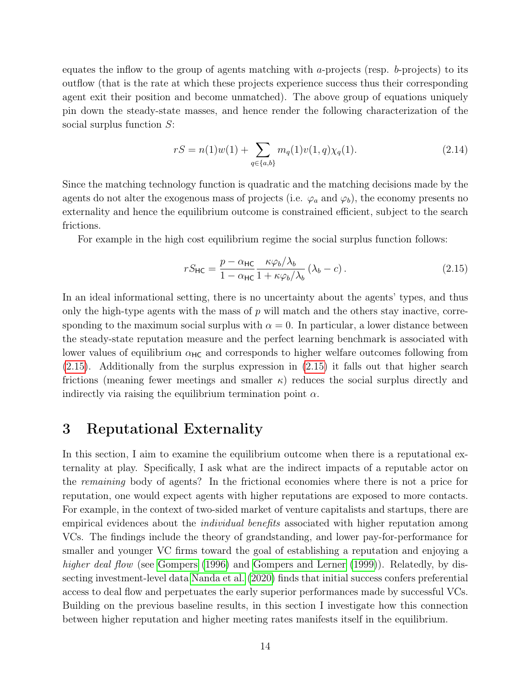equates the inflow to the group of agents matching with a-projects (resp.  $b$ -projects) to its outflow (that is the rate at which these projects experience success thus their corresponding agent exit their position and become unmatched). The above group of equations uniquely pin down the steady-state masses, and hence render the following characterization of the social surplus function S:

$$
rS = n(1)w(1) + \sum_{q \in \{a,b\}} m_q(1)v(1,q)\chi_q(1).
$$
 (2.14)

Since the matching technology function is quadratic and the matching decisions made by the agents do not alter the exogenous mass of projects (i.e.  $\varphi_a$  and  $\varphi_b$ ), the economy presents no externality and hence the equilibrium outcome is constrained efficient, subject to the search frictions.

For example in the high cost equilibrium regime the social surplus function follows:

<span id="page-13-1"></span>
$$
rS_{\text{HC}} = \frac{p - \alpha_{\text{HC}}}{1 - \alpha_{\text{HC}}} \frac{\kappa \varphi_b / \lambda_b}{1 + \kappa \varphi_b / \lambda_b} (\lambda_b - c). \tag{2.15}
$$

In an ideal informational setting, there is no uncertainty about the agents' types, and thus only the high-type agents with the mass of  $p$  will match and the others stay inactive, corresponding to the maximum social surplus with  $\alpha = 0$ . In particular, a lower distance between the steady-state reputation measure and the perfect learning benchmark is associated with lower values of equilibrium  $\alpha_{HC}$  and corresponds to higher welfare outcomes following from [\(2.15\)](#page-13-1). Additionally from the surplus expression in [\(2.15\)](#page-13-1) it falls out that higher search frictions (meaning fewer meetings and smaller  $\kappa$ ) reduces the social surplus directly and indirectly via raising the equilibrium termination point  $\alpha$ .

## <span id="page-13-0"></span>3 Reputational Externality

In this section, I aim to examine the equilibrium outcome when there is a reputational externality at play. Specifically, I ask what are the indirect impacts of a reputable actor on the remaining body of agents? In the frictional economies where there is not a price for reputation, one would expect agents with higher reputations are exposed to more contacts. For example, in the context of two-sided market of venture capitalists and startups, there are empirical evidences about the *individual benefits* associated with higher reputation among VCs. The findings include the theory of grandstanding, and lower pay-for-performance for smaller and younger VC firms toward the goal of establishing a reputation and enjoying a higher deal flow (see [Gompers](#page-43-11) [\(1996\)](#page-43-11) and [Gompers and Lerner](#page-43-0) [\(1999\)](#page-43-0)). Relatedly, by dissecting investment-level data [Nanda et al.](#page-44-9) [\(2020\)](#page-44-9) finds that initial success confers preferential access to deal flow and perpetuates the early superior performances made by successful VCs. Building on the previous baseline results, in this section I investigate how this connection between higher reputation and higher meeting rates manifests itself in the equilibrium.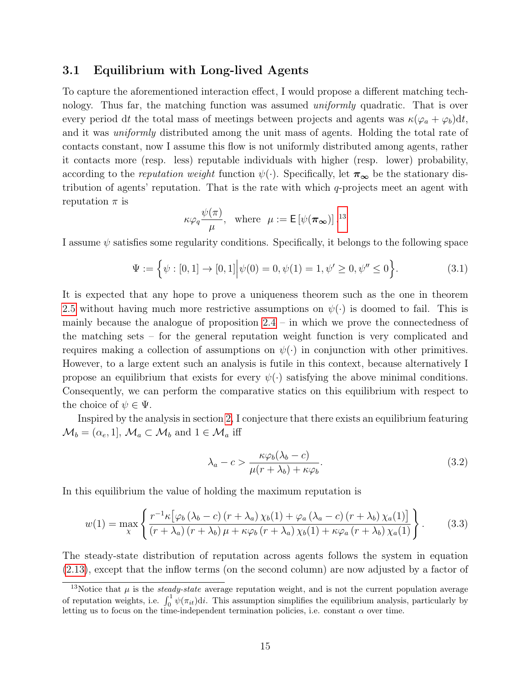### 3.1 Equilibrium with Long-lived Agents

To capture the aforementioned interaction effect, I would propose a different matching technology. Thus far, the matching function was assumed *uniformly* quadratic. That is over every period dt the total mass of meetings between projects and agents was  $\kappa(\varphi_a + \varphi_b)dt$ , and it was uniformly distributed among the unit mass of agents. Holding the total rate of contacts constant, now I assume this flow is not uniformly distributed among agents, rather it contacts more (resp. less) reputable individuals with higher (resp. lower) probability, according to the reputation weight function  $\psi(\cdot)$ . Specifically, let  $\pi_{\infty}$  be the stationary distribution of agents' reputation. That is the rate with which q-projects meet an agent with reputation  $\pi$  is

$$
\kappa \varphi_q \frac{\psi(\pi)}{\mu}
$$
, where  $\mu := \mathsf{E}[\psi(\pi_\infty)]^{13}$ 

I assume  $\psi$  satisfies some regularity conditions. Specifically, it belongs to the following space

<span id="page-14-3"></span>
$$
\Psi := \left\{ \psi : [0, 1] \to [0, 1] \middle| \psi(0) = 0, \psi(1) = 1, \psi' \ge 0, \psi'' \le 0 \right\}.
$$
\n(3.1)

It is expected that any hope to prove a uniqueness theorem such as the one in theorem [2.5](#page-12-1) without having much more restrictive assumptions on  $\psi(\cdot)$  is doomed to fail. This is mainly because the analogue of proposition  $2.4$  – in which we prove the connectedness of the matching sets – for the general reputation weight function is very complicated and requires making a collection of assumptions on  $\psi(\cdot)$  in conjunction with other primitives. However, to a large extent such an analysis is futile in this context, because alternatively I propose an equilibrium that exists for every  $\psi(\cdot)$  satisfying the above minimal conditions. Consequently, we can perform the comparative statics on this equilibrium with respect to the choice of  $\psi \in \Psi$ .

Inspired by the analysis in section [2,](#page-4-0) I conjecture that there exists an equilibrium featuring  $\mathcal{M}_b = (\alpha_e, 1], \mathcal{M}_a \subset \mathcal{M}_b$  and  $1 \in \mathcal{M}_a$  iff

<span id="page-14-1"></span>
$$
\lambda_a - c > \frac{\kappa \varphi_b(\lambda_b - c)}{\mu(r + \lambda_b) + \kappa \varphi_b}.\tag{3.2}
$$

In this equilibrium the value of holding the maximum reputation is

<span id="page-14-2"></span>
$$
w(1) = \max_{\chi} \left\{ \frac{r^{-1} \kappa \left[ \varphi_b \left( \lambda_b - c \right) \left( r + \lambda_a \right) \chi_b(1) + \varphi_a \left( \lambda_a - c \right) \left( r + \lambda_b \right) \chi_a(1) \right]}{\left( r + \lambda_a \right) \left( r + \lambda_b \right) \mu + \kappa \varphi_b \left( r + \lambda_a \right) \chi_b(1) + \kappa \varphi_a \left( r + \lambda_b \right) \chi_a(1)} \right\}.
$$
 (3.3)

The steady-state distribution of reputation across agents follows the system in equation [\(2.13\)](#page-12-2), except that the inflow terms (on the second column) are now adjusted by a factor of

<span id="page-14-0"></span><sup>&</sup>lt;sup>13</sup>Notice that  $\mu$  is the *steady-state* average reputation weight, and is not the current population average of reputation weights, i.e.  $\int_0^1 \psi(\pi_{it})\mathrm{d}i$ . This assumption simplifies the equilibrium analysis, particularly by letting us to focus on the time-independent termination policies, i.e. constant  $\alpha$  over time.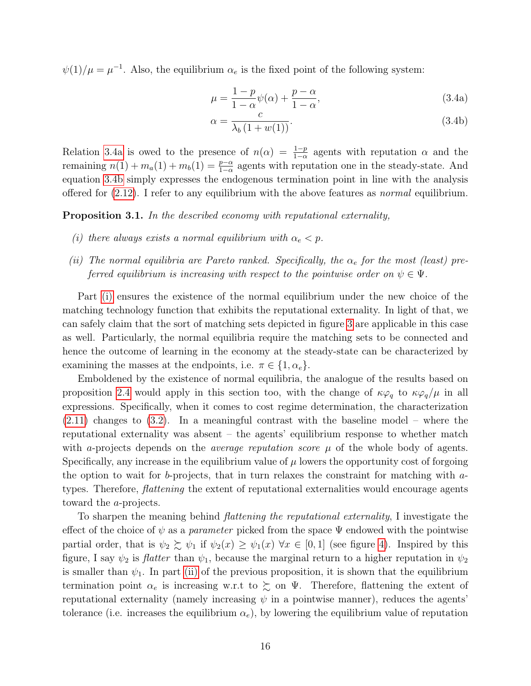$\psi(1)/\mu = \mu^{-1}$ . Also, the equilibrium  $\alpha_e$  is the fixed point of the following system:

<span id="page-15-5"></span><span id="page-15-1"></span><span id="page-15-0"></span>
$$
\mu = \frac{1-p}{1-\alpha}\psi(\alpha) + \frac{p-\alpha}{1-\alpha},\tag{3.4a}
$$

$$
\alpha = \frac{c}{\lambda_b \left(1 + w(1)\right)}.\tag{3.4b}
$$

Relation [3.4a](#page-15-0) is owed to the presence of  $n(\alpha) = \frac{1-p}{1-\alpha}$  agents with reputation  $\alpha$  and the remaining  $n(1) + m_a(1) + m_b(1) = \frac{p-a}{1-a}$  agents with reputation one in the steady-state. And equation [3.4b](#page-15-1) simply expresses the endogenous termination point in line with the analysis offered for  $(2.12)$ . I refer to any equilibrium with the above features as *normal* equilibrium.

<span id="page-15-4"></span>Proposition 3.1. In the described economy with reputational externality,

- <span id="page-15-2"></span>(i) there always exists a normal equilibrium with  $\alpha_e < p$ .
- <span id="page-15-3"></span>(ii) The normal equilibria are Pareto ranked. Specifically, the  $\alpha_e$  for the most (least) preferred equilibrium is increasing with respect to the pointwise order on  $\psi \in \Psi$ .

Part [\(i\)](#page-15-2) ensures the existence of the normal equilibrium under the new choice of the matching technology function that exhibits the reputational externality. In light of that, we can safely claim that the sort of matching sets depicted in figure [3](#page-11-0) are applicable in this case as well. Particularly, the normal equilibria require the matching sets to be connected and hence the outcome of learning in the economy at the steady-state can be characterized by examining the masses at the endpoints, i.e.  $\pi \in \{1, \alpha_e\}.$ 

Emboldened by the existence of normal equilibria, the analogue of the results based on proposition [2.4](#page-10-1) would apply in this section too, with the change of  $\kappa\varphi_q$  to  $\kappa\varphi_q/\mu$  in all expressions. Specifically, when it comes to cost regime determination, the characterization [\(2.11\)](#page-10-2) changes to [\(3.2\)](#page-14-1). In a meaningful contrast with the baseline model – where the reputational externality was absent – the agents' equilibrium response to whether match with a-projects depends on the *average reputation score*  $\mu$  of the whole body of agents. Specifically, any increase in the equilibrium value of  $\mu$  lowers the opportunity cost of forgoing the option to wait for b-projects, that in turn relaxes the constraint for matching with  $a$ types. Therefore, *flattening* the extent of reputational externalities would encourage agents toward the a-projects.

To sharpen the meaning behind flattening the reputational externality, I investigate the effect of the choice of  $\psi$  as a *parameter* picked from the space  $\Psi$  endowed with the pointwise partial order, that is  $\psi_2 \succsim \psi_1$  if  $\psi_2(x) \geq \psi_1(x) \ \forall x \in [0,1]$  (see figure [4\)](#page-16-0). Inspired by this figure, I say  $\psi_2$  is *flatter* than  $\psi_1$ , because the marginal return to a higher reputation in  $\psi_2$ is smaller than  $\psi_1$ . In part [\(ii\)](#page-15-3) of the previous proposition, it is shown that the equilibrium termination point  $\alpha_e$  is increasing w.r.t to  $\gtrsim$  on  $\Psi$ . Therefore, flattening the extent of reputational externality (namely increasing  $\psi$  in a pointwise manner), reduces the agents' tolerance (i.e. increases the equilibrium  $\alpha_e$ ), by lowering the equilibrium value of reputation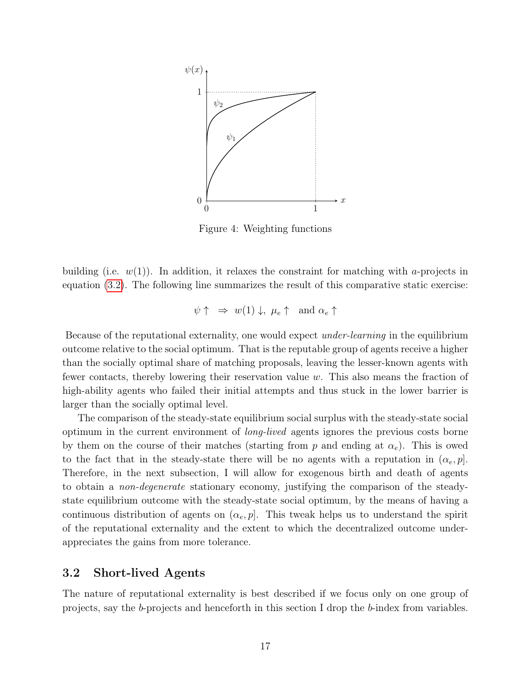<span id="page-16-0"></span>

Figure 4: Weighting functions

building (i.e.  $w(1)$ ). In addition, it relaxes the constraint for matching with a-projects in equation [\(3.2\)](#page-14-1). The following line summarizes the result of this comparative static exercise:

$$
\psi \uparrow \Rightarrow w(1) \downarrow, \mu_e \uparrow \text{ and } \alpha_e \uparrow
$$

Because of the reputational externality, one would expect under-learning in the equilibrium outcome relative to the social optimum. That is the reputable group of agents receive a higher than the socially optimal share of matching proposals, leaving the lesser-known agents with fewer contacts, thereby lowering their reservation value w. This also means the fraction of high-ability agents who failed their initial attempts and thus stuck in the lower barrier is larger than the socially optimal level.

The comparison of the steady-state equilibrium social surplus with the steady-state social optimum in the current environment of long-lived agents ignores the previous costs borne by them on the course of their matches (starting from p and ending at  $\alpha_e$ ). This is owed to the fact that in the steady-state there will be no agents with a reputation in  $(\alpha_e, p)$ . Therefore, in the next subsection, I will allow for exogenous birth and death of agents to obtain a non-degenerate stationary economy, justifying the comparison of the steadystate equilibrium outcome with the steady-state social optimum, by the means of having a continuous distribution of agents on  $(\alpha_e, p]$ . This tweak helps us to understand the spirit of the reputational externality and the extent to which the decentralized outcome underappreciates the gains from more tolerance.

### 3.2 Short-lived Agents

The nature of reputational externality is best described if we focus only on one group of projects, say the b-projects and henceforth in this section I drop the b-index from variables.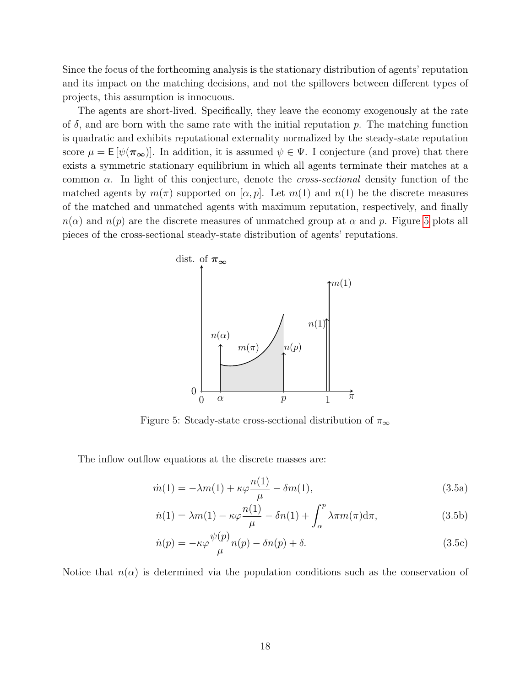Since the focus of the forthcoming analysis is the stationary distribution of agents' reputation and its impact on the matching decisions, and not the spillovers between different types of projects, this assumption is innocuous.

The agents are short-lived. Specifically, they leave the economy exogenously at the rate of  $\delta$ , and are born with the same rate with the initial reputation p. The matching function is quadratic and exhibits reputational externality normalized by the steady-state reputation score  $\mu = \mathsf{E}[\psi(\pi_{\infty})]$ . In addition, it is assumed  $\psi \in \Psi$ . I conjecture (and prove) that there exists a symmetric stationary equilibrium in which all agents terminate their matches at a common  $\alpha$ . In light of this conjecture, denote the *cross-sectional* density function of the matched agents by  $m(\pi)$  supported on  $[\alpha, p]$ . Let  $m(1)$  and  $n(1)$  be the discrete measures of the matched and unmatched agents with maximum reputation, respectively, and finally  $n(\alpha)$  and  $n(p)$  are the discrete measures of unmatched group at  $\alpha$  and p. Figure [5](#page-17-0) plots all pieces of the cross-sectional steady-state distribution of agents' reputations.

<span id="page-17-0"></span>

Figure 5: Steady-state cross-sectional distribution of  $\pi_{\infty}$ 

The inflow outflow equations at the discrete masses are:

<span id="page-17-1"></span>
$$
\dot{m}(1) = -\lambda m(1) + \kappa \varphi \frac{n(1)}{\mu} - \delta m(1),\tag{3.5a}
$$

<span id="page-17-3"></span><span id="page-17-2"></span>
$$
\dot{n}(1) = \lambda m(1) - \kappa \varphi \frac{n(1)}{\mu} - \delta n(1) + \int_{\alpha}^{p} \lambda \pi m(\pi) d\pi,
$$
\n(3.5b)

<span id="page-17-4"></span>
$$
\dot{n}(p) = -\kappa \varphi \frac{\psi(p)}{\mu} n(p) - \delta n(p) + \delta. \tag{3.5c}
$$

Notice that  $n(\alpha)$  is determined via the population conditions such as the conservation of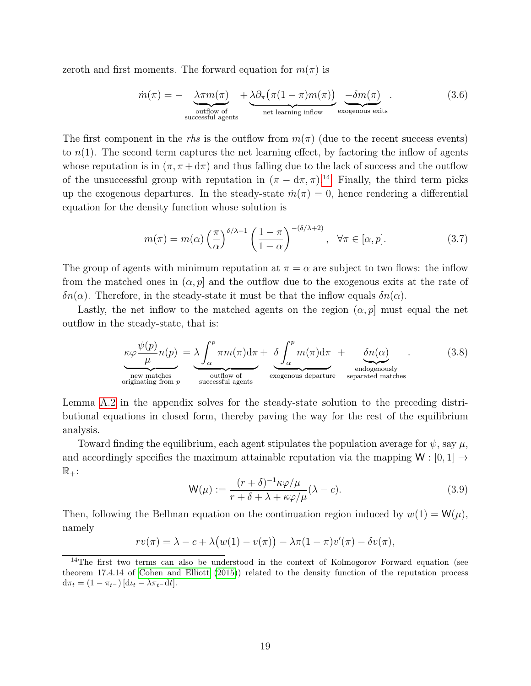zeroth and first moments. The forward equation for  $m(\pi)$  is

<span id="page-18-2"></span>
$$
\dot{m}(\pi) = -\underbrace{\lambda \pi m(\pi)}_{\text{outflow of}} + \underbrace{\lambda \partial_{\pi} (\pi (1 - \pi) m(\pi))}_{\text{net learning inflow}} \underbrace{-\delta m(\pi)}_{\text{exogenous exits}}.
$$
\n(3.6)

The first component in the rhs is the outflow from  $m(\pi)$  (due to the recent success events) to  $n(1)$ . The second term captures the net learning effect, by factoring the inflow of agents whose reputation is in  $(\pi, \pi + d\pi)$  and thus falling due to the lack of success and the outflow of the unsuccessful group with reputation in  $(\pi - d\pi, \pi)$ .<sup>[14](#page-18-0)</sup> Finally, the third term picks up the exogenous departures. In the steady-state  $\dot{m}(\pi) = 0$ , hence rendering a differential equation for the density function whose solution is

<span id="page-18-3"></span>
$$
m(\pi) = m(\alpha) \left(\frac{\pi}{\alpha}\right)^{\delta/\lambda - 1} \left(\frac{1 - \pi}{1 - \alpha}\right)^{-(\delta/\lambda + 2)}, \quad \forall \pi \in [\alpha, p].
$$
 (3.7)

The group of agents with minimum reputation at  $\pi = \alpha$  are subject to two flows: the inflow from the matched ones in  $(\alpha, p]$  and the outflow due to the exogenous exits at the rate of  $\delta n(\alpha)$ . Therefore, in the steady-state it must be that the inflow equals  $\delta n(\alpha)$ .

Lastly, the net inflow to the matched agents on the region  $(\alpha, p]$  must equal the net outflow in the steady-state, that is:

<span id="page-18-4"></span>
$$
\kappa \varphi \frac{\psi(p)}{\mu} n(p) = \lambda \int_{\alpha}^{p} \pi m(\pi) d\pi + \underbrace{\delta \int_{\alpha}^{p} m(\pi) d\pi}_{\text{new matches}} + \underbrace{\delta n(\alpha)}_{\text{subgenously}
$$
endogenously  
originating from *p* successful agents (3.8)

Lemma [A.2](#page-38-0) in the appendix solves for the steady-state solution to the preceding distributional equations in closed form, thereby paving the way for the rest of the equilibrium analysis.

Toward finding the equilibrium, each agent stipulates the population average for  $\psi$ , say  $\mu$ , and accordingly specifies the maximum attainable reputation via the mapping  $W : [0, 1] \rightarrow$  $\mathbb{R}_+$ :

<span id="page-18-1"></span>
$$
\mathsf{W}(\mu) := \frac{(r+\delta)^{-1}\kappa\varphi/\mu}{r+\delta+\lambda+\kappa\varphi/\mu}(\lambda-c).
$$
\n(3.9)

Then, following the Bellman equation on the continuation region induced by  $w(1) = W(\mu)$ , namely

$$
rv(\pi) = \lambda - c + \lambda \big(w(1) - v(\pi)\big) - \lambda \pi (1 - \pi) v'(\pi) - \delta v(\pi),
$$

<span id="page-18-0"></span><sup>&</sup>lt;sup>14</sup>The first two terms can also be understood in the context of Kolmogorov Forward equation (see theorem 17.4.14 of [Cohen and Elliott](#page-42-5) [\(2015\)](#page-42-5)) related to the density function of the reputation process  $d\pi_t = (1 - \pi_{t-}) \left[ d\iota_t - \lambda \pi_{t-} dt \right].$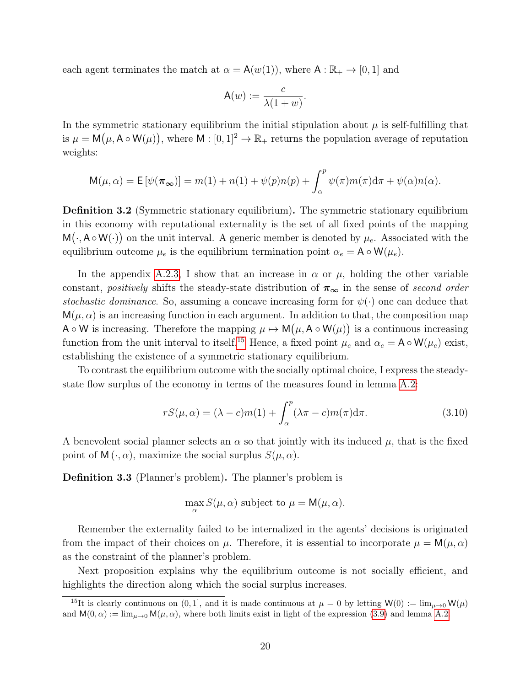each agent terminates the match at  $\alpha = \mathsf{A}(w(1))$ , where  $\mathsf{A} : \mathbb{R}_+ \to [0,1]$  and

$$
\mathsf{A}(w) := \frac{c}{\lambda(1+w)}.
$$

In the symmetric stationary equilibrium the initial stipulation about  $\mu$  is self-fulfilling that is  $\mu = \mathsf{M}(\mu, \mathsf{A} \circ \mathsf{W}(\mu))$ , where  $\mathsf{M} : [0,1]^2 \to \mathbb{R}_+$  returns the population average of reputation weights:

$$
\mathsf{M}(\mu,\alpha) = \mathsf{E}\left[\psi(\pi_{\infty})\right] = m(1) + n(1) + \psi(p)n(p) + \int_{\alpha}^{p} \psi(\pi)m(\pi)\mathrm{d}\pi + \psi(\alpha)n(\alpha).
$$

Definition 3.2 (Symmetric stationary equilibrium). The symmetric stationary equilibrium in this economy with reputational externality is the set of all fixed points of the mapping  $M(\cdot, A \circ W(\cdot))$  on the unit interval. A generic member is denoted by  $\mu_e$ . Associated with the equilibrium outcome  $\mu_e$  is the equilibrium termination point  $\alpha_e = A \circ W(\mu_e)$ .

In the appendix [A.2.3,](#page-40-0) I show that an increase in  $\alpha$  or  $\mu$ , holding the other variable constant, positively shifts the steady-state distribution of  $\pi_{\infty}$  in the sense of second order stochastic dominance. So, assuming a concave increasing form for  $\psi(\cdot)$  one can deduce that  $M(\mu, \alpha)$  is an increasing function in each argument. In addition to that, the composition map A  $\circ$  W is increasing. Therefore the mapping  $\mu \mapsto M(\mu, A \circ W(\mu))$  is a continuous increasing function from the unit interval to itself.<sup>[15](#page-19-0)</sup> Hence, a fixed point  $\mu_e$  and  $\alpha_e = A \circ W(\mu_e)$  exist, establishing the existence of a symmetric stationary equilibrium.

To contrast the equilibrium outcome with the socially optimal choice, I express the steadystate flow surplus of the economy in terms of the measures found in lemma [A.2:](#page-38-0)

<span id="page-19-1"></span>
$$
rS(\mu,\alpha) = (\lambda - c)m(1) + \int_{\alpha}^{p} (\lambda \pi - c)m(\pi) d\pi.
$$
 (3.10)

A benevolent social planner selects an  $\alpha$  so that jointly with its induced  $\mu$ , that is the fixed point of  $M(\cdot, \alpha)$ , maximize the social surplus  $S(\mu, \alpha)$ .

Definition 3.3 (Planner's problem). The planner's problem is

$$
\max_{\alpha} S(\mu, \alpha) \text{ subject to } \mu = \mathsf{M}(\mu, \alpha).
$$

Remember the externality failed to be internalized in the agents' decisions is originated from the impact of their choices on  $\mu$ . Therefore, it is essential to incorporate  $\mu = M(\mu, \alpha)$ as the constraint of the planner's problem.

Next proposition explains why the equilibrium outcome is not socially efficient, and highlights the direction along which the social surplus increases.

<span id="page-19-0"></span><sup>&</sup>lt;sup>15</sup>It is clearly continuous on (0, 1], and it is made continuous at  $\mu = 0$  by letting  $W(0) := \lim_{\mu \to 0} W(\mu)$ and  $M(0, \alpha) := \lim_{\mu \to 0} M(\mu, \alpha)$ , where both limits exist in light of the expression [\(3.9\)](#page-18-1) and lemma [A.2.](#page-38-0)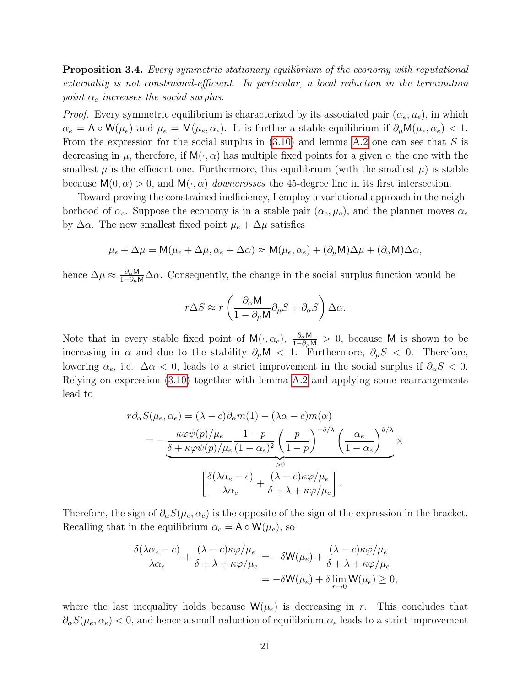**Proposition 3.4.** Every symmetric stationary equilibrium of the economy with reputational externality is not constrained-efficient. In particular, a local reduction in the termination point  $\alpha_e$  increases the social surplus.

*Proof.* Every symmetric equilibrium is characterized by its associated pair  $(\alpha_e, \mu_e)$ , in which  $\alpha_e = A \circ W(\mu_e)$  and  $\mu_e = M(\mu_e, \alpha_e)$ . It is further a stable equilibrium if  $\partial_\mu M(\mu_e, \alpha_e) < 1$ . From the expression for the social surplus in  $(3.10)$  and lemma [A.2](#page-38-0) one can see that S is decreasing in  $\mu$ , therefore, if  $M(\cdot, \alpha)$  has multiple fixed points for a given  $\alpha$  the one with the smallest  $\mu$  is the efficient one. Furthermore, this equilibrium (with the smallest  $\mu$ ) is stable because  $M(0, \alpha) > 0$ , and  $M(\cdot, \alpha)$  downcrosses the 45-degree line in its first intersection.

Toward proving the constrained inefficiency, I employ a variational approach in the neighborhood of  $\alpha_e$ . Suppose the economy is in a stable pair  $(\alpha_e, \mu_e)$ , and the planner moves  $\alpha_e$ by  $\Delta \alpha$ . The new smallest fixed point  $\mu_e + \Delta \mu$  satisfies

$$
\mu_e + \Delta \mu = \mathsf{M}(\mu_e + \Delta \mu, \alpha_e + \Delta \alpha) \approx \mathsf{M}(\mu_e, \alpha_e) + (\partial_\mu \mathsf{M})\Delta \mu + (\partial_\alpha \mathsf{M})\Delta \alpha,
$$

hence  $\Delta \mu \approx \frac{\partial_{\alpha}M}{1-\partial_{\mu}M}\Delta \alpha$ . Consequently, the change in the social surplus function would be

$$
r\Delta S \approx r\left(\frac{\partial_{\alpha} \mathsf{M}}{1-\partial_{\mu} \mathsf{M}}\partial_{\mu} S + \partial_{\alpha} S\right) \Delta \alpha.
$$

Note that in every stable fixed point of  $M(\cdot, \alpha_e)$ ,  $\frac{\partial_\alpha M}{1-\partial_\mu M} > 0$ , because M is shown to be increasing in  $\alpha$  and due to the stability  $\partial_{\mu}M < 1$ . Furthermore,  $\partial_{\mu}S < 0$ . Therefore, lowering  $\alpha_e$ , i.e.  $\Delta \alpha < 0$ , leads to a strict improvement in the social surplus if  $\partial_{\alpha} S < 0$ . Relying on expression [\(3.10\)](#page-19-1) together with lemma [A.2](#page-38-0) and applying some rearrangements lead to

$$
r\partial_{\alpha}S(\mu_{e}, \alpha_{e}) = (\lambda - c)\partial_{\alpha}m(1) - (\lambda \alpha - c)m(\alpha)
$$
  
= 
$$
-\frac{\kappa \varphi \psi(p)/\mu_{e}}{\underbrace{\delta + \kappa \varphi \psi(p)/\mu_{e} (1 - \alpha_{e})^{2}} \left(\frac{p}{1 - p}\right)^{-\delta/\lambda} \left(\frac{\alpha_{e}}{1 - \alpha_{e}}\right)^{\delta/\lambda}} \times \left[\frac{\delta(\lambda \alpha_{e} - c)}{\lambda \alpha_{e}} + \frac{(\lambda - c)\kappa \varphi/\mu_{e}}{\delta + \lambda + \kappa \varphi/\mu_{e}}\right].
$$

Therefore, the sign of  $\partial_{\alpha}S(\mu_{e}, \alpha_{e})$  is the opposite of the sign of the expression in the bracket. Recalling that in the equilibrium  $\alpha_e = A \circ W(\mu_e)$ , so

$$
\frac{\delta(\lambda \alpha_e - c)}{\lambda \alpha_e} + \frac{(\lambda - c)\kappa \varphi / \mu_e}{\delta + \lambda + \kappa \varphi / \mu_e} = -\delta \mathsf{W}(\mu_e) + \frac{(\lambda - c)\kappa \varphi / \mu_e}{\delta + \lambda + \kappa \varphi / \mu_e}
$$

$$
= -\delta \mathsf{W}(\mu_e) + \delta \lim_{r \to 0} \mathsf{W}(\mu_e) \ge 0,
$$

where the last inequality holds because  $W(\mu_e)$  is decreasing in r. This concludes that  $\partial_{\alpha}S(\mu_{e}, \alpha_{e})$  < 0, and hence a small reduction of equilibrium  $\alpha_{e}$  leads to a strict improvement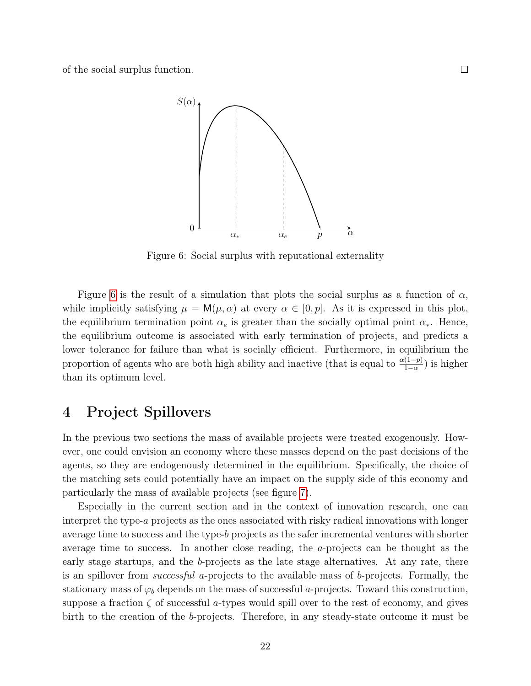<span id="page-21-1"></span>of the social surplus function.



Figure 6: Social surplus with reputational externality

Figure [6](#page-21-1) is the result of a simulation that plots the social surplus as a function of  $\alpha$ , while implicitly satisfying  $\mu = M(\mu, \alpha)$  at every  $\alpha \in [0, p]$ . As it is expressed in this plot, the equilibrium termination point  $\alpha_e$  is greater than the socially optimal point  $\alpha_*$ . Hence, the equilibrium outcome is associated with early termination of projects, and predicts a lower tolerance for failure than what is socially efficient. Furthermore, in equilibrium the proportion of agents who are both high ability and inactive (that is equal to  $\frac{\alpha(1-p)}{1-\alpha}$ ) is higher than its optimum level.

## <span id="page-21-0"></span>4 Project Spillovers

In the previous two sections the mass of available projects were treated exogenously. However, one could envision an economy where these masses depend on the past decisions of the agents, so they are endogenously determined in the equilibrium. Specifically, the choice of the matching sets could potentially have an impact on the supply side of this economy and particularly the mass of available projects (see figure [7\)](#page-22-0).

Especially in the current section and in the context of innovation research, one can interpret the type-a projects as the ones associated with risky radical innovations with longer average time to success and the type- $b$  projects as the safer incremental ventures with shorter average time to success. In another close reading, the a-projects can be thought as the early stage startups, and the b-projects as the late stage alternatives. At any rate, there is an spillover from successful a-projects to the available mass of b-projects. Formally, the stationary mass of  $\varphi_b$  depends on the mass of successful a-projects. Toward this construction, suppose a fraction  $\zeta$  of successful a-types would spill over to the rest of economy, and gives birth to the creation of the b-projects. Therefore, in any steady-state outcome it must be

 $\Box$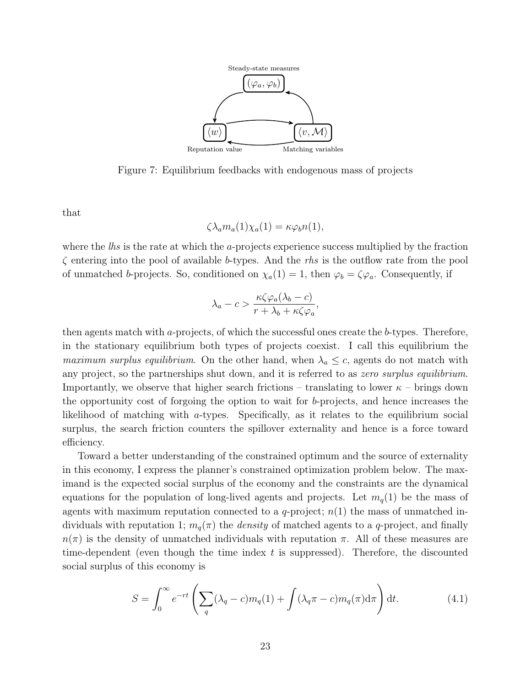<span id="page-22-0"></span>

Figure 7: Equilibrium feedbacks with endogenous mass of projects

that

$$
\zeta \lambda_a m_a(1) \chi_a(1) = \kappa \varphi_b n(1),
$$

where the  $\ell$ hs is the rate at which the *a*-projects experience success multiplied by the fraction  $\zeta$  entering into the pool of available b-types. And the rhs is the outflow rate from the pool of unmatched b-projects. So, conditioned on  $\chi_a(1) = 1$ , then  $\varphi_b = \zeta \varphi_a$ . Consequently, if

$$
\lambda_a - c > \frac{\kappa \zeta \varphi_a(\lambda_b - c)}{r + \lambda_b + \kappa \zeta \varphi_a},
$$

then agents match with a-projects, of which the successful ones create the b-types. Therefore, in the stationary equilibrium both types of projects coexist. I call this equilibrium the maximum surplus equilibrium. On the other hand, when  $\lambda_a \leq c$ , agents do not match with any project, so the partnerships shut down, and it is referred to as zero surplus equilibrium. Importantly, we observe that higher search frictions – translating to lower  $\kappa$  – brings down the opportunity cost of forgoing the option to wait for b-projects, and hence increases the likelihood of matching with a-types. Specifically, as it relates to the equilibrium social surplus, the search friction counters the spillover externality and hence is a force toward efficiency.

Toward a better understanding of the constrained optimum and the source of externality in this economy, I express the planner's constrained optimization problem below. The maximand is the expected social surplus of the economy and the constraints are the dynamical equations for the population of long-lived agents and projects. Let  $m_q(1)$  be the mass of agents with maximum reputation connected to a q-project;  $n(1)$  the mass of unmatched individuals with reputation 1;  $m_q(\pi)$  the *density* of matched agents to a q-project, and finally  $n(\pi)$  is the density of unmatched individuals with reputation  $\pi$ . All of these measures are time-dependent (even though the time index  $t$  is suppressed). Therefore, the discounted social surplus of this economy is

<span id="page-22-1"></span>
$$
S = \int_0^\infty e^{-rt} \left( \sum_q (\lambda_q - c) m_q(1) + \int (\lambda_q \pi - c) m_q(\pi) d\pi \right) dt.
$$
 (4.1)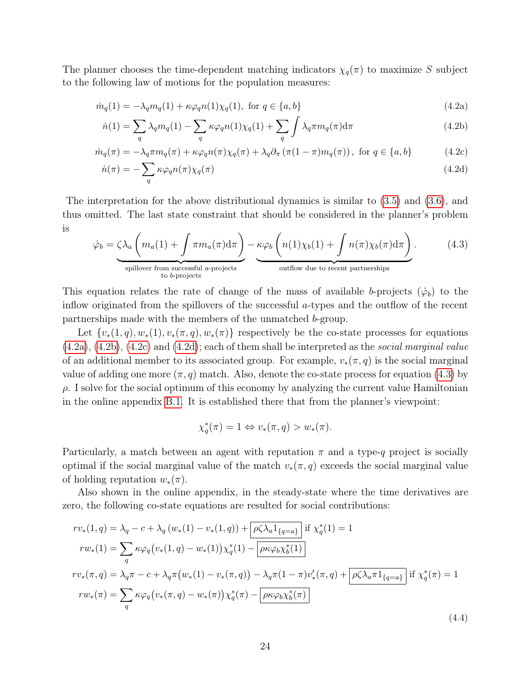The planner chooses the time-dependent matching indicators  $\chi_q(\pi)$  to maximize S subject to the following law of motions for the population measures:

$$
\dot{m}_q(1) = -\lambda_q m_q(1) + \kappa \varphi_q n(1) \chi_q(1), \text{ for } q \in \{a, b\}
$$
\n(4.2a)

<span id="page-23-5"></span><span id="page-23-2"></span><span id="page-23-1"></span><span id="page-23-0"></span>
$$
\dot{n}(1) = \sum_{q} \lambda_q m_q(1) - \sum_{q} \kappa \varphi_q n(1) \chi_q(1) + \sum_{q} \int \lambda_q \pi m_q(\pi) d\pi \tag{4.2b}
$$

$$
\dot{m}_q(\pi) = -\lambda_q \pi m_q(\pi) + \kappa \varphi_q n(\pi) \chi_q(\pi) + \lambda_q \partial_\pi (\pi (1 - \pi) m_q(\pi)), \text{ for } q \in \{a, b\}
$$
 (4.2c)

<span id="page-23-3"></span>
$$
\dot{n}(\pi) = -\sum_{q} \kappa \varphi_q n(\pi) \chi_q(\pi) \tag{4.2d}
$$

The interpretation for the above distributional dynamics is similar to [\(3.5\)](#page-17-1) and [\(3.6\)](#page-18-2), and thus omitted. The last state constraint that should be considered in the planner's problem is

<span id="page-23-4"></span>
$$
\dot{\varphi}_b = \underbrace{\zeta \lambda_a \left( m_a(1) + \int \pi m_a(\pi) d\pi \right)}_{\text{spillover from successful } a\text{-projects}} - \underbrace{\kappa \varphi_b \left( n(1) \chi_b(1) + \int n(\pi) \chi_b(\pi) d\pi \right)}_{\text{outflow due to recent partnerships}}. \tag{4.3}
$$

This equation relates the rate of change of the mass of available b-projects  $(\varphi_b)$  to the inflow originated from the spillovers of the successful a-types and the outflow of the recent partnerships made with the members of the unmatched b-group.

Let  $\{v_*(1,q), w_*(1), v_*(\pi,q), w_*(\pi)\}\)$  respectively be the co-state processes for equations  $(4.2a)$ ,  $(4.2b)$ ,  $(4.2c)$  and  $(4.2d)$ ; each of them shall be interpreted as the *social marginal value* of an additional member to its associated group. For example,  $v_*(\pi, q)$  is the social marginal value of adding one more  $(\pi, q)$  match. Also, denote the co-state process for equation [\(4.3\)](#page-23-4) by  $\rho$ . I solve for the social optimum of this economy by analyzing the current value Hamiltonian in the online appendix [B.1.](#page-45-0) It is established there that from the planner's viewpoint:

$$
\chi_q^*(\pi) = 1 \Leftrightarrow v_*(\pi, q) > w_*(\pi).
$$

Particularly, a match between an agent with reputation  $\pi$  and a type-q project is socially optimal if the social marginal value of the match  $v_*(\pi, q)$  exceeds the social marginal value of holding reputation  $w_*(\pi)$ .

Also shown in the online appendix, in the steady-state where the time derivatives are zero, the following co-state equations are resulted for social contributions:

$$
rv_{*}(1,q) = \lambda_{q} - c + \lambda_{q} (w_{*}(1) - v_{*}(1,q)) + \left[ \rho \zeta \lambda_{a} 1_{\{q=a\}} \right] \text{if } \chi_{q}^{*}(1) = 1
$$
\n
$$
rw_{*}(1) = \sum_{q} \kappa \varphi_{q} (v_{*}(1,q) - w_{*}(1)) \chi_{q}^{*}(1) - \left[ \rho \kappa \varphi_{b} \chi_{b}^{*}(1) \right]
$$
\n
$$
rv_{*}(\pi, q) = \lambda_{q} \pi - c + \lambda_{q} \pi (w_{*}(1) - v_{*}(\pi, q)) - \lambda_{q} \pi (1 - \pi) v'_{*}(\pi, q) + \left[ \rho \zeta \lambda_{a} \pi 1_{\{q=a\}} \right] \text{if } \chi_{q}^{*}(\pi) = 1
$$
\n
$$
rw_{*}(\pi) = \sum_{q} \kappa \varphi_{q} (v_{*}(\pi, q) - w_{*}(\pi)) \chi_{q}^{*}(\pi) - \left[ \rho \kappa \varphi_{b} \chi_{b}^{*}(\pi) \right]
$$
\n
$$
(4.4)
$$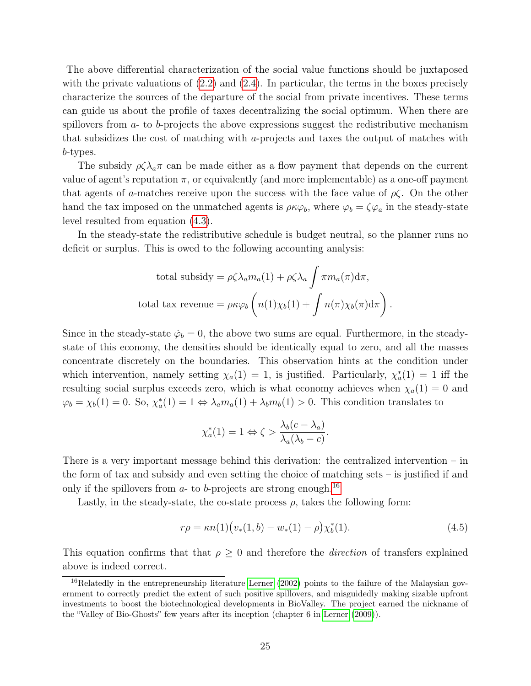The above differential characterization of the social value functions should be juxtaposed with the private valuations of  $(2.2)$  and  $(2.4)$ . In particular, the terms in the boxes precisely characterize the sources of the departure of the social from private incentives. These terms can guide us about the profile of taxes decentralizing the social optimum. When there are spillovers from  $a$ - to  $b$ -projects the above expressions suggest the redistributive mechanism that subsidizes the cost of matching with a-projects and taxes the output of matches with b-types.

The subsidy  $\rho \zeta \lambda_a \pi$  can be made either as a flow payment that depends on the current value of agent's reputation  $\pi$ , or equivalently (and more implementable) as a one-off payment that agents of a-matches receive upon the success with the face value of  $\rho\zeta$ . On the other hand the tax imposed on the unmatched agents is  $\rho \kappa \varphi_b$ , where  $\varphi_b = \zeta \varphi_a$  in the steady-state level resulted from equation [\(4.3\)](#page-23-4).

In the steady-state the redistributive schedule is budget neutral, so the planner runs no deficit or surplus. This is owed to the following accounting analysis:

total subsidy = 
$$
\rho \zeta \lambda_a m_a(1) + \rho \zeta \lambda_a \int \pi m_a(\pi) d\pi
$$
,  
total tax revenue =  $\rho \kappa \varphi_b \left( n(1) \chi_b(1) + \int n(\pi) \chi_b(\pi) d\pi \right)$ .

Since in the steady-state  $\dot{\varphi}_b = 0$ , the above two sums are equal. Furthermore, in the steadystate of this economy, the densities should be identically equal to zero, and all the masses concentrate discretely on the boundaries. This observation hints at the condition under which intervention, namely setting  $\chi_a(1) = 1$ , is justified. Particularly,  $\chi_a^*(1) = 1$  iff the resulting social surplus exceeds zero, which is what economy achieves when  $\chi_a(1) = 0$  and  $\varphi_b = \chi_b(1) = 0$ . So,  $\chi_a^*(1) = 1 \Leftrightarrow \lambda_a m_a(1) + \lambda_b m_b(1) > 0$ . This condition translates to

$$
\chi_a^*(1) = 1 \Leftrightarrow \zeta > \frac{\lambda_b(c - \lambda_a)}{\lambda_a(\lambda_b - c)}.
$$

There is a very important message behind this derivation: the centralized intervention – in the form of tax and subsidy and even setting the choice of matching sets – is justified if and only if the spillovers from  $a$ - to  $b$ -projects are strong enough.<sup>[16](#page-24-0)</sup>

Lastly, in the steady-state, the co-state process  $\rho$ , takes the following form:

<span id="page-24-1"></span>
$$
r\rho = \kappa n(1) \big( v_*(1, b) - w_*(1) - \rho \big) \chi_b^*(1). \tag{4.5}
$$

This equation confirms that that  $\rho \geq 0$  and therefore the *direction* of transfers explained above is indeed correct.

<span id="page-24-0"></span><sup>&</sup>lt;sup>16</sup>Relatedly in the entrepreneurship literature [Lerner](#page-43-12) [\(2002\)](#page-43-12) points to the failure of the Malaysian government to correctly predict the extent of such positive spillovers, and misguidedly making sizable upfront investments to boost the biotechnological developments in BioValley. The project earned the nickname of the "Valley of Bio-Ghosts" few years after its inception (chapter 6 in [Lerner](#page-43-13) [\(2009\)](#page-43-13)).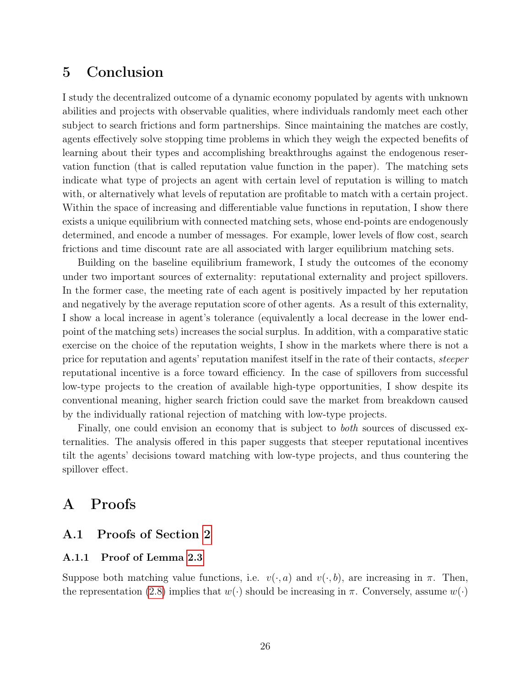## 5 Conclusion

I study the decentralized outcome of a dynamic economy populated by agents with unknown abilities and projects with observable qualities, where individuals randomly meet each other subject to search frictions and form partnerships. Since maintaining the matches are costly, agents effectively solve stopping time problems in which they weigh the expected benefits of learning about their types and accomplishing breakthroughs against the endogenous reservation function (that is called reputation value function in the paper). The matching sets indicate what type of projects an agent with certain level of reputation is willing to match with, or alternatively what levels of reputation are profitable to match with a certain project. Within the space of increasing and differentiable value functions in reputation, I show there exists a unique equilibrium with connected matching sets, whose end-points are endogenously determined, and encode a number of messages. For example, lower levels of flow cost, search frictions and time discount rate are all associated with larger equilibrium matching sets.

Building on the baseline equilibrium framework, I study the outcomes of the economy under two important sources of externality: reputational externality and project spillovers. In the former case, the meeting rate of each agent is positively impacted by her reputation and negatively by the average reputation score of other agents. As a result of this externality, I show a local increase in agent's tolerance (equivalently a local decrease in the lower endpoint of the matching sets) increases the social surplus. In addition, with a comparative static exercise on the choice of the reputation weights, I show in the markets where there is not a price for reputation and agents' reputation manifest itself in the rate of their contacts, steeper reputational incentive is a force toward efficiency. In the case of spillovers from successful low-type projects to the creation of available high-type opportunities, I show despite its conventional meaning, higher search friction could save the market from breakdown caused by the individually rational rejection of matching with low-type projects.

Finally, one could envision an economy that is subject to *both* sources of discussed externalities. The analysis offered in this paper suggests that steeper reputational incentives tilt the agents' decisions toward matching with low-type projects, and thus countering the spillover effect.

## A Proofs

## A.1 Proofs of Section [2](#page-4-0)

### A.1.1 Proof of Lemma [2.3](#page-9-2)

Suppose both matching value functions, i.e.  $v(\cdot, a)$  and  $v(\cdot, b)$ , are increasing in  $\pi$ . Then, the representation [\(2.8\)](#page-9-3) implies that  $w(\cdot)$  should be increasing in  $\pi$ . Conversely, assume  $w(\cdot)$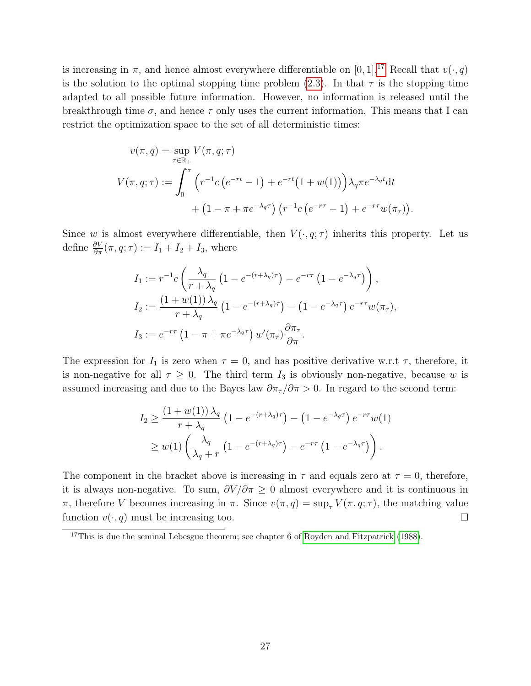is increasing in  $\pi$ , and hence almost everywhere differentiable on [0, 1].<sup>[17](#page-26-0)</sup> Recall that  $v(\cdot, q)$ is the solution to the optimal stopping time problem [\(2.3\)](#page-7-4). In that  $\tau$  is the stopping time adapted to all possible future information. However, no information is released until the breakthrough time  $\sigma$ , and hence  $\tau$  only uses the current information. This means that I can restrict the optimization space to the set of all deterministic times:

$$
v(\pi, q) = \sup_{\tau \in \mathbb{R}_+} V(\pi, q; \tau)
$$
  

$$
V(\pi, q; \tau) := \int_0^{\tau} \left( r^{-1} c \left( e^{-rt} - 1 \right) + e^{-rt} \left( 1 + w(1) \right) \right) \lambda_q \pi e^{-\lambda_q t} dt
$$

$$
+ \left( 1 - \pi + \pi e^{-\lambda_q \tau} \right) \left( r^{-1} c \left( e^{-r\tau} - 1 \right) + e^{-r\tau} w(\pi_\tau) \right).
$$

Since w is almost everywhere differentiable, then  $V(\cdot, q; \tau)$  inherits this property. Let us define  $\frac{\partial V}{\partial \pi}(\pi, q; \tau) := I_1 + I_2 + I_3$ , where

$$
I_1 := r^{-1} c \left( \frac{\lambda_q}{r + \lambda_q} \left( 1 - e^{-(r + \lambda_q)\tau} \right) - e^{-r\tau} \left( 1 - e^{-\lambda_q \tau} \right) \right),
$$
  
\n
$$
I_2 := \frac{\left( 1 + w(1) \right) \lambda_q}{r + \lambda_q} \left( 1 - e^{-(r + \lambda_q)\tau} \right) - \left( 1 - e^{-\lambda_q \tau} \right) e^{-r\tau} w(\pi_\tau),
$$
  
\n
$$
I_3 := e^{-r\tau} \left( 1 - \pi + \pi e^{-\lambda_q \tau} \right) w'(\pi_\tau) \frac{\partial \pi_\tau}{\partial \pi}.
$$

The expression for  $I_1$  is zero when  $\tau = 0$ , and has positive derivative w.r.t  $\tau$ , therefore, it is non-negative for all  $\tau \geq 0$ . The third term  $I_3$  is obviously non-negative, because w is assumed increasing and due to the Bayes law  $\partial \pi_\tau/\partial \pi > 0$ . In regard to the second term:

$$
I_2 \geq \frac{\left(1+w(1)\right)\lambda_q}{r+\lambda_q} \left(1-e^{-(r+\lambda_q)\tau}\right) - \left(1-e^{-\lambda_q\tau}\right)e^{-r\tau}w(1)
$$
  
 
$$
\geq w(1)\left(\frac{\lambda_q}{\lambda_q+r}\left(1-e^{-(r+\lambda_q)\tau}\right) - e^{-r\tau}\left(1-e^{-\lambda_q\tau}\right)\right).
$$

The component in the bracket above is increasing in  $\tau$  and equals zero at  $\tau = 0$ , therefore, it is always non-negative. To sum,  $\partial V/\partial \pi \geq 0$  almost everywhere and it is continuous in π, therefore V becomes increasing in π. Since  $v(\pi, q) = \sup_{\tau} V(\pi, q; \tau)$ , the matching value function  $v(\cdot, q)$  must be increasing too.  $\Box$ 

<span id="page-26-0"></span><sup>&</sup>lt;sup>17</sup>This is due the seminal Lebesgue theorem; see chapter 6 of [Royden and Fitzpatrick](#page-44-10) [\(1988\)](#page-44-10).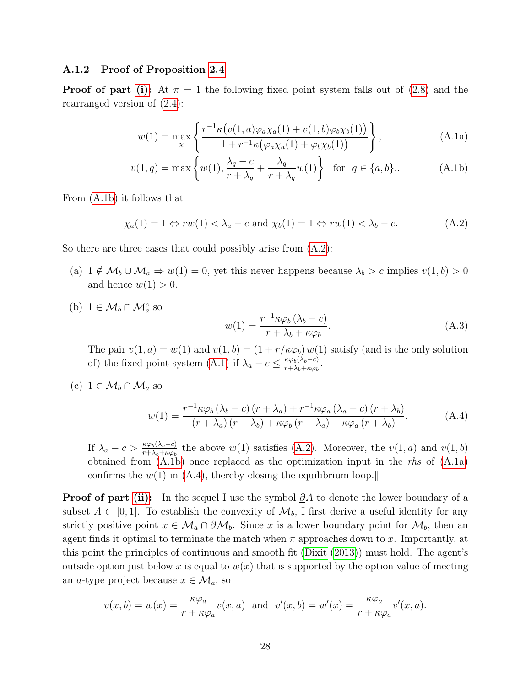#### A.1.2 Proof of Proposition [2.4](#page-10-1)

**Proof of part [\(i\):](#page-10-3)** At  $\pi = 1$  the following fixed point system falls out of [\(2.8\)](#page-9-3) and the rearranged version of [\(2.4\)](#page-7-1):

<span id="page-27-2"></span>
$$
w(1) = \max_{\chi} \left\{ \frac{r^{-1} \kappa \left( v(1, a)\varphi_a \chi_a(1) + v(1, b)\varphi_b \chi_b(1) \right)}{1 + r^{-1} \kappa \left( \varphi_a \chi_a(1) + \varphi_b \chi_b(1) \right)} \right\},
$$
(A.1a)

$$
v(1,q) = \max\left\{w(1), \frac{\lambda_q - c}{r + \lambda_q} + \frac{\lambda_q}{r + \lambda_q}w(1)\right\} \text{ for } q \in \{a, b\}.. \tag{A.1b}
$$

From [\(A.1b\)](#page-27-0) it follows that

<span id="page-27-1"></span>
$$
\chi_a(1) = 1 \Leftrightarrow rw(1) < \lambda_a - c \text{ and } \chi_b(1) = 1 \Leftrightarrow rw(1) < \lambda_b - c. \tag{A.2}
$$

So there are three cases that could possibly arise from  $(A.2)$ :

- (a)  $1 \notin \mathcal{M}_b \cup \mathcal{M}_a \Rightarrow w(1) = 0$ , yet this never happens because  $\lambda_b > c$  implies  $v(1, b) > 0$ and hence  $w(1) > 0$ .
- (b)  $1 \in \mathcal{M}_b \cap \mathcal{M}_a^c$  so

<span id="page-27-5"></span><span id="page-27-3"></span><span id="page-27-0"></span>
$$
w(1) = \frac{r^{-1} \kappa \varphi_b (\lambda_b - c)}{r + \lambda_b + \kappa \varphi_b}.
$$
 (A.3)

The pair  $v(1, a) = w(1)$  and  $v(1, b) = (1 + r/\kappa \varphi_b) w(1)$  satisfy (and is the only solution of) the fixed point system [\(A.1\)](#page-27-2) if  $\lambda_a - c \leq \frac{\kappa \varphi_b(\lambda_b - c)}{r + \lambda_b + \kappa \varphi_b}$  $\frac{\kappa\varphi_b(\lambda_b-c)}{r+\lambda_b+\kappa\varphi_b}$ .

(c)  $1 \in \mathcal{M}_b \cap \mathcal{M}_a$  so

<span id="page-27-4"></span>
$$
w(1) = \frac{r^{-1} \kappa \varphi_b \left(\lambda_b - c\right) \left(r + \lambda_a\right) + r^{-1} \kappa \varphi_a \left(\lambda_a - c\right) \left(r + \lambda_b\right)}{\left(r + \lambda_a\right) \left(r + \lambda_b\right) + \kappa \varphi_b \left(r + \lambda_a\right) + \kappa \varphi_a \left(r + \lambda_b\right)}.\tag{A.4}
$$

If  $\lambda_a - c > \frac{\kappa \varphi_b(\lambda_b - c)}{r + \lambda_b + \kappa \varphi_b}$  the above  $w(1)$  satisfies [\(A.2\)](#page-27-1). Moreover, the  $v(1, a)$  and  $v(1, b)$ obtained from  $(A.1b)$  once replaced as the optimization input in the rhs of  $(A.1a)$ confirms the  $w(1)$  in [\(A.4\)](#page-27-4), thereby closing the equilibrium loop.

**Proof of part [\(ii\):](#page-10-4)** In the sequel I use the symbol  $\partial A$  to denote the lower boundary of a subset  $A \subset [0,1]$ . To establish the convexity of  $\mathcal{M}_b$ , I first derive a useful identity for any strictly positive point  $x \in \mathcal{M}_a \cap \partial \mathcal{M}_b$ . Since x is a lower boundary point for  $\mathcal{M}_b$ , then an agent finds it optimal to terminate the match when  $\pi$  approaches down to x. Importantly, at this point the principles of continuous and smooth fit [\(Dixit](#page-43-14) [\(2013\)](#page-43-14)) must hold. The agent's outside option just below x is equal to  $w(x)$  that is supported by the option value of meeting an a-type project because  $x \in \mathcal{M}_a$ , so

$$
v(x,b) = w(x) = \frac{\kappa \varphi_a}{r + \kappa \varphi_a} v(x,a) \text{ and } v'(x,b) = w'(x) = \frac{\kappa \varphi_a}{r + \kappa \varphi_a} v'(x,a).
$$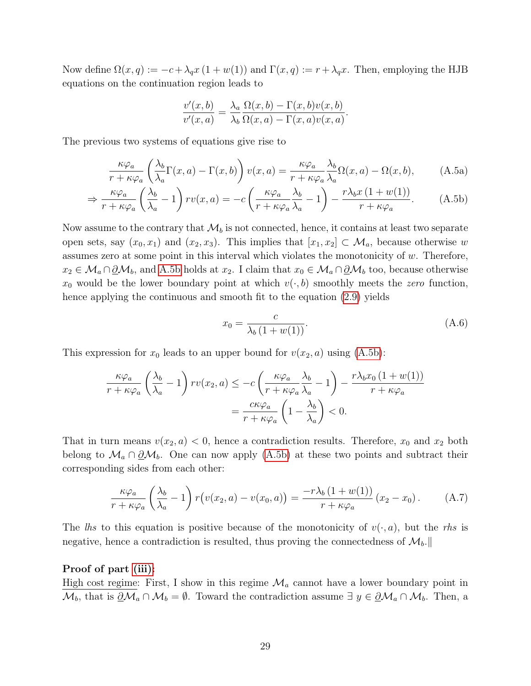Now define  $\Omega(x,q) := -c + \lambda_q x (1 + w(1))$  and  $\Gamma(x,q) := r + \lambda_q x$ . Then, employing the HJB equations on the continuation region leads to

$$
\frac{v'(x,b)}{v'(x,a)} = \frac{\lambda_a}{\lambda_b} \frac{\Omega(x,b) - \Gamma(x,b)v(x,b)}{\Omega(x,a) - \Gamma(x,a)v(x,a)}.
$$

The previous two systems of equations give rise to

$$
\frac{\kappa \varphi_a}{r + \kappa \varphi_a} \left( \frac{\lambda_b}{\lambda_a} \Gamma(x, a) - \Gamma(x, b) \right) v(x, a) = \frac{\kappa \varphi_a}{r + \kappa \varphi_a} \frac{\lambda_b}{\lambda_a} \Omega(x, a) - \Omega(x, b), \tag{A.5a}
$$

$$
\Rightarrow \frac{\kappa \varphi_a}{r + \kappa \varphi_a} \left(\frac{\lambda_b}{\lambda_a} - 1\right) r v(x, a) = -c \left(\frac{\kappa \varphi_a}{r + \kappa \varphi_a} \frac{\lambda_b}{\lambda_a} - 1\right) - \frac{r \lambda_b x \left(1 + w(1)\right)}{r + \kappa \varphi_a}.\tag{A.5b}
$$

Now assume to the contrary that  $\mathcal{M}_b$  is not connected, hence, it contains at least two separate open sets, say  $(x_0, x_1)$  and  $(x_2, x_3)$ . This implies that  $[x_1, x_2] \subset \mathcal{M}_a$ , because otherwise w assumes zero at some point in this interval which violates the monotonicity of w. Therefore,  $x_2 \in \mathcal{M}_a \cap \underline{\partial} \mathcal{M}_b$ , and [A.5b](#page-28-0) holds at  $x_2$ . I claim that  $x_0 \in \mathcal{M}_a \cap \underline{\partial} \mathcal{M}_b$  too, because otherwise  $x_0$  would be the lower boundary point at which  $v(\cdot, b)$  smoothly meets the zero function, hence applying the continuous and smooth fit to the equation [\(2.9\)](#page-9-4) yields

<span id="page-28-1"></span><span id="page-28-0"></span>
$$
x_0 = \frac{c}{\lambda_b (1 + w(1))}.
$$
 (A.6)

This expression for  $x_0$  leads to an upper bound for  $v(x_2, a)$  using  $(A.5b)$ :

$$
\frac{\kappa \varphi_a}{r + \kappa \varphi_a} \left(\frac{\lambda_b}{\lambda_a} - 1\right) r v(x_2, a) \le -c \left(\frac{\kappa \varphi_a}{r + \kappa \varphi_a} \frac{\lambda_b}{\lambda_a} - 1\right) - \frac{r \lambda_b x_0 \left(1 + w(1)\right)}{r + \kappa \varphi_a}
$$

$$
= \frac{c \kappa \varphi_a}{r + \kappa \varphi_a} \left(1 - \frac{\lambda_b}{\lambda_a}\right) < 0.
$$

That in turn means  $v(x_2, a) < 0$ , hence a contradiction results. Therefore,  $x_0$  and  $x_2$  both belong to  $\mathcal{M}_a \cap \underline{\partial} \mathcal{M}_b$ . One can now apply [\(A.5b\)](#page-28-0) at these two points and subtract their corresponding sides from each other:

$$
\frac{\kappa \varphi_a}{r + \kappa \varphi_a} \left(\frac{\lambda_b}{\lambda_a} - 1\right) r \left(v(x_2, a) - v(x_0, a)\right) = \frac{-r \lambda_b \left(1 + w(1)\right)}{r + \kappa \varphi_a} \left(x_2 - x_0\right). \tag{A.7}
$$

The lhs to this equation is positive because of the monotonicity of  $v(\cdot, a)$ , but the rhs is negative, hence a contradiction is resulted, thus proving the connectedness of  $\mathcal{M}_{b}$ .

#### Proof of part [\(iii\):](#page-10-5)

High cost regime: First, I show in this regime  $\mathcal{M}_a$  cannot have a lower boundary point in  $\mathcal{M}_b$ , that is  $\underline{\partial}\mathcal{M}_a \cap \mathcal{M}_b = \emptyset$ . Toward the contradiction assume  $\exists y \in \underline{\partial}\mathcal{M}_a \cap \mathcal{M}_b$ . Then, a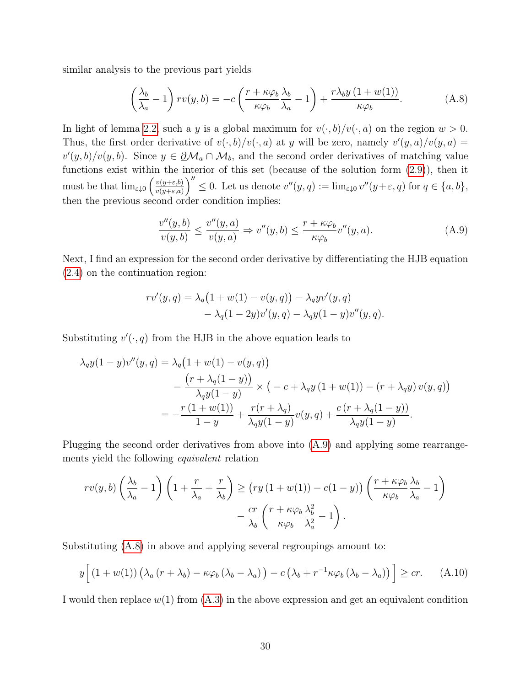similar analysis to the previous part yields

<span id="page-29-1"></span>
$$
\left(\frac{\lambda_b}{\lambda_a} - 1\right)rv(y, b) = -c\left(\frac{r + \kappa\varphi_b}{\kappa\varphi_b}\frac{\lambda_b}{\lambda_a} - 1\right) + \frac{r\lambda_b y \left(1 + w(1)\right)}{\kappa\varphi_b}.\tag{A.8}
$$

In light of lemma [2.2,](#page-8-4) such a y is a global maximum for  $v(\cdot, b)/v(\cdot, a)$  on the region  $w > 0$ . Thus, the first order derivative of  $v(\cdot, b)/v(\cdot, a)$  at y will be zero, namely  $v'(y, a)/v(y, a) =$  $v'(y, b)/v(y, b)$ . Since  $y \in \partial \mathcal{M}_a \cap \mathcal{M}_b$ , and the second order derivatives of matching value functions exist within the interior of this set (because of the solution form [\(2.9\)](#page-9-4)), then it must be that  $\lim_{\varepsilon \downarrow 0} \left( \frac{v(y+\varepsilon,b)}{v(y+\varepsilon,a)} \right)$  $\frac{v(y+\varepsilon,b)}{v(y+\varepsilon,a)}\Big)'' \leq 0.$  Let us denote  $v''(y,q) := \lim_{\varepsilon \downarrow 0} v''(y+\varepsilon,q)$  for  $q \in \{a,b\},$ then the previous second order condition implies:

<span id="page-29-0"></span>
$$
\frac{v''(y,b)}{v(y,b)} \le \frac{v''(y,a)}{v(y,a)} \Rightarrow v''(y,b) \le \frac{r + \kappa \varphi_b}{\kappa \varphi_b} v''(y,a). \tag{A.9}
$$

Next, I find an expression for the second order derivative by differentiating the HJB equation [\(2.4\)](#page-7-1) on the continuation region:

$$
rv'(y,q) = \lambda_q(1+w(1) - v(y,q)) - \lambda_q yv'(y,q) - \lambda_q(1-2y)v'(y,q) - \lambda_q y(1-y)v''(y,q).
$$

Substituting  $v'(\cdot, q)$  from the HJB in the above equation leads to

$$
\lambda_{q}y(1-y)v''(y,q) = \lambda_{q}(1+w(1)-v(y,q))
$$
  
 
$$
-\frac{(r+\lambda_{q}(1-y))}{\lambda_{q}y(1-y)} \times (-c+\lambda_{q}y(1+w(1)) - (r+\lambda_{q}y)v(y,q))
$$
  
 
$$
= -\frac{r(1+w(1))}{1-y} + \frac{r(r+\lambda_{q})}{\lambda_{q}y(1-y)}v(y,q) + \frac{c(r+\lambda_{q}(1-y))}{\lambda_{q}y(1-y)}.
$$

Plugging the second order derivatives from above into [\(A.9\)](#page-29-0) and applying some rearrangements yield the following equivalent relation

$$
rv(y,b)\left(\frac{\lambda_b}{\lambda_a} - 1\right)\left(1 + \frac{r}{\lambda_a} + \frac{r}{\lambda_b}\right) \ge \left(ry\left(1 + w(1)\right) - c(1 - y)\right)\left(\frac{r + \kappa\varphi_b}{\kappa\varphi_b}\frac{\lambda_b}{\lambda_a} - 1\right) - \frac{cr}{\lambda_b}\left(\frac{r + \kappa\varphi_b}{\kappa\varphi_b}\frac{\lambda_b^2}{\lambda_a^2} - 1\right).
$$

Substituting [\(A.8\)](#page-29-1) in above and applying several regroupings amount to:

$$
y\Big[\left(1+w(1)\right)\left(\lambda_a\left(r+\lambda_b\right)-\kappa\varphi_b\left(\lambda_b-\lambda_a\right)\right)-c\left(\lambda_b+r^{-1}\kappa\varphi_b\left(\lambda_b-\lambda_a\right)\right)\Big]\geq cr.\tag{A.10}
$$

I would then replace  $w(1)$  from  $(A.3)$  in the above expression and get an equivalent condition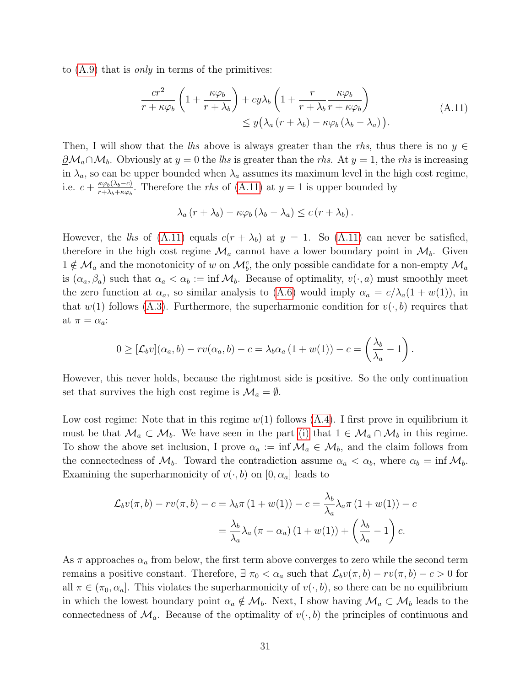<span id="page-30-0"></span>to  $(A.9)$  that is *only* in terms of the primitives:

$$
\frac{cr^2}{r + \kappa \varphi_b} \left( 1 + \frac{\kappa \varphi_b}{r + \lambda_b} \right) + cy\lambda_b \left( 1 + \frac{r}{r + \lambda_b} \frac{\kappa \varphi_b}{r + \kappa \varphi_b} \right) \n\leq y(\lambda_a (r + \lambda_b) - \kappa \varphi_b (\lambda_b - \lambda_a)).
$$
\n(A.11)

Then, I will show that the lhs above is always greater than the rhs, thus there is no  $y \in$  $\partial_{\mathcal{M}_a \cap \mathcal{M}_b}$ . Obviously at  $y = 0$  the lhs is greater than the rhs. At  $y = 1$ , the rhs is increasing in  $\lambda_a$ , so can be upper bounded when  $\lambda_a$  assumes its maximum level in the high cost regime, i.e.  $c + \frac{\kappa \varphi_b(\lambda_b - c)}{r + \lambda_b + \kappa \varphi_b}$  $\frac{\kappa\varphi_b(\lambda_b-c)}{r+\lambda_b+\kappa\varphi_b}$ . Therefore the *rhs* of [\(A.11\)](#page-30-0) at  $y=1$  is upper bounded by

$$
\lambda_a (r + \lambda_b) - \kappa \varphi_b (\lambda_b - \lambda_a) \leq c (r + \lambda_b).
$$

However, the lhs of [\(A.11\)](#page-30-0) equals  $c(r + \lambda_b)$  at  $y = 1$ . So (A.11) can never be satisfied, therefore in the high cost regime  $\mathcal{M}_a$  cannot have a lower boundary point in  $\mathcal{M}_b$ . Given  $1 \notin \mathcal{M}_a$  and the monotonicity of w on  $\mathcal{M}_b^c$ , the only possible candidate for a non-empty  $\mathcal{M}_a$ is  $(\alpha_a, \beta_a)$  such that  $\alpha_a < \alpha_b := \inf \mathcal{M}_b$ . Because of optimality,  $v(\cdot, a)$  must smoothly meet the zero function at  $\alpha_a$ , so similar analysis to [\(A.6\)](#page-28-1) would imply  $\alpha_a = c/\lambda_a(1+w(1))$ , in that  $w(1)$  follows [\(A.3\)](#page-27-5). Furthermore, the superharmonic condition for  $v(\cdot, b)$  requires that at  $\pi = \alpha_a$ :

$$
0 \geq [\mathcal{L}_b v](\alpha_a, b) - rv(\alpha_a, b) - c = \lambda_b \alpha_a (1 + w(1)) - c = \left(\frac{\lambda_b}{\lambda_a} - 1\right).
$$

However, this never holds, because the rightmost side is positive. So the only continuation set that survives the high cost regime is  $\mathcal{M}_a = \emptyset$ .

Low cost regime: Note that in this regime  $w(1)$  follows  $(A.4)$ . I first prove in equilibrium it must be that  $\mathcal{M}_a \subset \mathcal{M}_b$ . We have seen in the part [\(i\)](#page-10-3) that  $1 \in \mathcal{M}_a \cap \mathcal{M}_b$  in this regime. To show the above set inclusion, I prove  $\alpha_a := \inf \mathcal{M}_a \in \mathcal{M}_b$ , and the claim follows from the connectedness of  $\mathcal{M}_b$ . Toward the contradiction assume  $\alpha_a < \alpha_b$ , where  $\alpha_b = \inf \mathcal{M}_b$ . Examining the superharmonicity of  $v(\cdot, b)$  on  $[0, \alpha_a]$  leads to

$$
\mathcal{L}_b v(\pi, b) - r v(\pi, b) - c = \lambda_b \pi (1 + w(1)) - c = \frac{\lambda_b}{\lambda_a} \lambda_a \pi (1 + w(1)) - c
$$

$$
= \frac{\lambda_b}{\lambda_a} \lambda_a (\pi - \alpha_a) (1 + w(1)) + \left(\frac{\lambda_b}{\lambda_a} - 1\right) c.
$$

As  $\pi$  approaches  $\alpha_a$  from below, the first term above converges to zero while the second term remains a positive constant. Therefore,  $\exists \pi_0 < \alpha_a$  such that  $\mathcal{L}_b v(\pi, b) - v(\pi, b) - c > 0$  for all  $\pi \in (\pi_0, \alpha_a]$ . This violates the superharmonicity of  $v(\cdot, b)$ , so there can be no equilibrium in which the lowest boundary point  $\alpha_a \notin \mathcal{M}_b$ . Next, I show having  $\mathcal{M}_a \subset \mathcal{M}_b$  leads to the connectedness of  $\mathcal{M}_a$ . Because of the optimality of  $v(\cdot, b)$  the principles of continuous and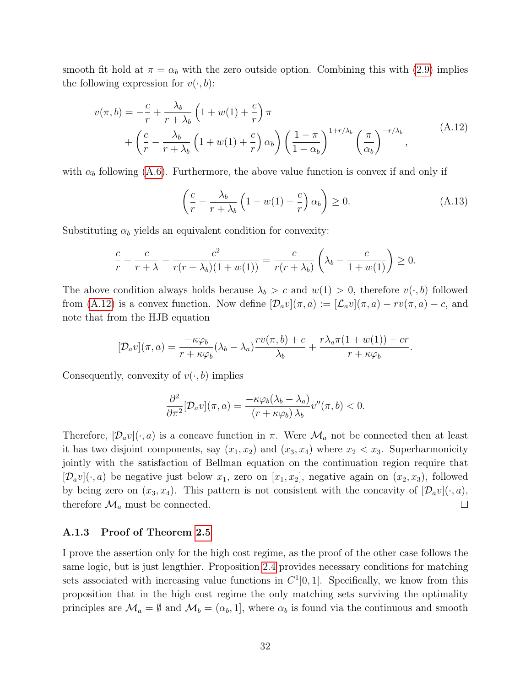smooth fit hold at  $\pi = \alpha_b$  with the zero outside option. Combining this with [\(2.9\)](#page-9-4) implies the following expression for  $v(\cdot, b)$ :

<span id="page-31-0"></span>
$$
v(\pi, b) = -\frac{c}{r} + \frac{\lambda_b}{r + \lambda_b} \left( 1 + w(1) + \frac{c}{r} \right) \pi
$$
  
+ 
$$
\left( \frac{c}{r} - \frac{\lambda_b}{r + \lambda_b} \left( 1 + w(1) + \frac{c}{r} \right) \alpha_b \right) \left( \frac{1 - \pi}{1 - \alpha_b} \right)^{1 + r/\lambda_b} \left( \frac{\pi}{\alpha_b} \right)^{-r/\lambda_b},
$$
 (A.12)

with  $\alpha_b$  following [\(A.6\)](#page-28-1). Furthermore, the above value function is convex if and only if

<span id="page-31-1"></span>
$$
\left(\frac{c}{r} - \frac{\lambda_b}{r + \lambda_b} \left(1 + w(1) + \frac{c}{r}\right) \alpha_b\right) \ge 0.
$$
\n(A.13)

Substituting  $\alpha_b$  yields an equivalent condition for convexity:

$$
\frac{c}{r} - \frac{c}{r + \lambda} - \frac{c^2}{r(r + \lambda_b)(1 + w(1))} = \frac{c}{r(r + \lambda_b)} \left( \lambda_b - \frac{c}{1 + w(1)} \right) \ge 0.
$$

The above condition always holds because  $\lambda_b > c$  and  $w(1) > 0$ , therefore  $v(\cdot, b)$  followed from [\(A.12\)](#page-31-0) is a convex function. Now define  $[\mathcal{D}_a v](\pi, a) := [\mathcal{L}_a v](\pi, a) - rv(\pi, a) - c$ , and note that from the HJB equation

$$
[\mathcal{D}_a v](\pi, a) = \frac{-\kappa \varphi_b}{r + \kappa \varphi_b} (\lambda_b - \lambda_a) \frac{rv(\pi, b) + c}{\lambda_b} + \frac{r \lambda_a \pi (1 + w(1)) - cr}{r + \kappa \varphi_b}.
$$

Consequently, convexity of  $v(\cdot, b)$  implies

$$
\frac{\partial^2}{\partial \pi^2} [\mathcal{D}_a v](\pi, a) = \frac{-\kappa \varphi_b(\lambda_b - \lambda_a)}{(r + \kappa \varphi_b) \lambda_b} v''(\pi, b) < 0.
$$

Therefore,  $[\mathcal{D}_a v](\cdot, a)$  is a concave function in  $\pi$ . Were  $\mathcal{M}_a$  not be connected then at least it has two disjoint components, say  $(x_1, x_2)$  and  $(x_3, x_4)$  where  $x_2 < x_3$ . Superharmonicity jointly with the satisfaction of Bellman equation on the continuation region require that  $[\mathcal{D}_a v](\cdot, a)$  be negative just below  $x_1$ , zero on  $[x_1, x_2]$ , negative again on  $(x_2, x_3)$ , followed by being zero on  $(x_3, x_4)$ . This pattern is not consistent with the concavity of  $[\mathcal{D}_a v](\cdot, a)$ , therefore  $\mathcal{M}_a$  must be connected.  $\Box$ 

#### A.1.3 Proof of Theorem [2.5](#page-12-1)

I prove the assertion only for the high cost regime, as the proof of the other case follows the same logic, but is just lengthier. Proposition [2.4](#page-10-1) provides necessary conditions for matching sets associated with increasing value functions in  $C^1[0,1]$ . Specifically, we know from this proposition that in the high cost regime the only matching sets surviving the optimality principles are  $\mathcal{M}_a = \emptyset$  and  $\mathcal{M}_b = (\alpha_b, 1]$ , where  $\alpha_b$  is found via the continuous and smooth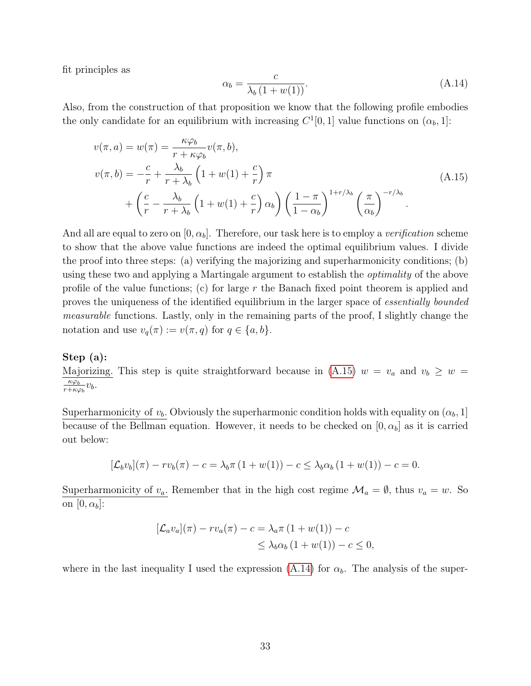fit principles as

<span id="page-32-1"></span>
$$
\alpha_b = \frac{c}{\lambda_b \left(1 + w(1)\right)}.\tag{A.14}
$$

Also, from the construction of that proposition we know that the following profile embodies the only candidate for an equilibrium with increasing  $C^1[0,1]$  value functions on  $(\alpha_b, 1]$ :

<span id="page-32-0"></span>
$$
v(\pi, a) = w(\pi) = \frac{\kappa \varphi_b}{r + \kappa \varphi_b} v(\pi, b),
$$
  
\n
$$
v(\pi, b) = -\frac{c}{r} + \frac{\lambda_b}{r + \lambda_b} \left(1 + w(1) + \frac{c}{r}\right) \pi
$$
  
\n
$$
+ \left(\frac{c}{r} - \frac{\lambda_b}{r + \lambda_b} \left(1 + w(1) + \frac{c}{r}\right) \alpha_b\right) \left(\frac{1 - \pi}{1 - \alpha_b}\right)^{1 + r/\lambda_b} \left(\frac{\pi}{\alpha_b}\right)^{-r/\lambda_b}.
$$
\n(A.15)

And all are equal to zero on  $[0, \alpha_b]$ . Therefore, our task here is to employ a *verification* scheme to show that the above value functions are indeed the optimal equilibrium values. I divide the proof into three steps: (a) verifying the majorizing and superharmonicity conditions; (b) using these two and applying a Martingale argument to establish the optimality of the above profile of the value functions; (c) for large r the Banach fixed point theorem is applied and proves the uniqueness of the identified equilibrium in the larger space of essentially bounded measurable functions. Lastly, only in the remaining parts of the proof, I slightly change the notation and use  $v_q(\pi) := v(\pi, q)$  for  $q \in \{a, b\}.$ 

#### Step (a):

Majorizing. This step is quite straightforward because in [\(A.15\)](#page-32-0)  $w = v_a$  and  $v_b \geq w =$  $\overline{\kappa} \varphi_b$  $\frac{\kappa\varphi_b}{r+\kappa\varphi_b}v_b.$ 

Superharmonicity of  $v_b$ . Obviously the superharmonic condition holds with equality on  $(\alpha_b, 1]$ because of the Bellman equation. However, it needs to be checked on  $[0, \alpha_b]$  as it is carried out below:

$$
[\mathcal{L}_b v_b](\pi) - r v_b(\pi) - c = \lambda_b \pi (1 + w(1)) - c \leq \lambda_b \alpha_b (1 + w(1)) - c = 0.
$$

Superharmonicity of  $v_a$ . Remember that in the high cost regime  $\mathcal{M}_a = \emptyset$ , thus  $v_a = w$ . So on  $[0, \alpha_b]$ :

$$
[\mathcal{L}_a v_a](\pi) - r v_a(\pi) - c = \lambda_a \pi (1 + w(1)) - c
$$
  

$$
\leq \lambda_b \alpha_b (1 + w(1)) - c \leq 0,
$$

where in the last inequality I used the expression [\(A.14\)](#page-32-1) for  $\alpha_b$ . The analysis of the super-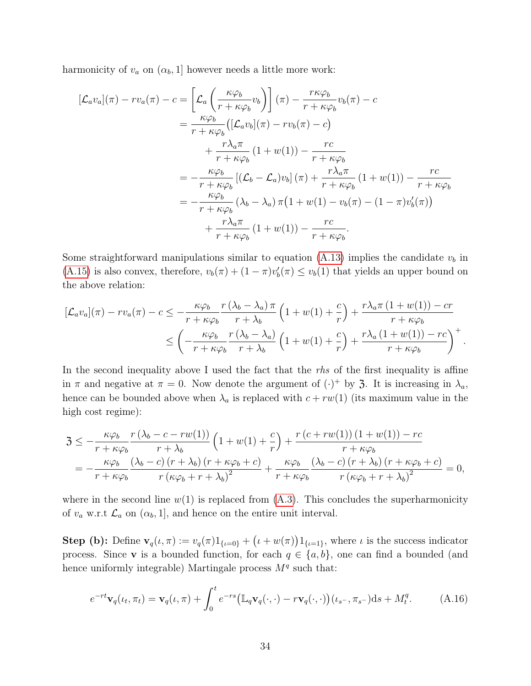harmonicity of  $v_a$  on  $(\alpha_b, 1]$  however needs a little more work:

$$
[\mathcal{L}_a v_a](\pi) - rv_a(\pi) - c = \left[ \mathcal{L}_a \left( \frac{\kappa \varphi_b}{r + \kappa \varphi_b} v_b \right) \right] (\pi) - \frac{r \kappa \varphi_b}{r + \kappa \varphi_b} v_b(\pi) - c
$$
  
\n
$$
= \frac{\kappa \varphi_b}{r + \kappa \varphi_b} \left( [\mathcal{L}_a v_b](\pi) - rv_b(\pi) - c \right)
$$
  
\n
$$
+ \frac{r \lambda_a \pi}{r + \kappa \varphi_b} (1 + w(1)) - \frac{rc}{r + \kappa \varphi_b}
$$
  
\n
$$
= -\frac{\kappa \varphi_b}{r + \kappa \varphi_b} \left[ (\mathcal{L}_b - \mathcal{L}_a) v_b \right] (\pi) + \frac{r \lambda_a \pi}{r + \kappa \varphi_b} (1 + w(1)) - \frac{rc}{r + \kappa \varphi_b}
$$
  
\n
$$
= -\frac{\kappa \varphi_b}{r + \kappa \varphi_b} (\lambda_b - \lambda_a) \pi \left( 1 + w(1) - v_b(\pi) - (1 - \pi) v_b'(\pi) \right)
$$
  
\n
$$
+ \frac{r \lambda_a \pi}{r + \kappa \varphi_b} (1 + w(1)) - \frac{rc}{r + \kappa \varphi_b}.
$$

Some straightforward manipulations similar to equation [\(A.13\)](#page-31-1) implies the candidate  $v<sub>b</sub>$  in [\(A.15\)](#page-32-0) is also convex, therefore,  $v_b(\pi) + (1 - \pi)v'_b(\pi) \le v_b(1)$  that yields an upper bound on the above relation:

$$
\begin{split} [\mathcal{L}_a v_a](\pi) - r v_a(\pi) - c &\leq -\frac{\kappa \varphi_b}{r + \kappa \varphi_b} \frac{r(\lambda_b - \lambda_a)\pi}{r + \lambda_b} \left(1 + w(1) + \frac{c}{r}\right) + \frac{r \lambda_a \pi \left(1 + w(1)\right) - cr}{r + \kappa \varphi_b} \\ &\leq \left(-\frac{\kappa \varphi_b}{r + \kappa \varphi_b} \frac{r(\lambda_b - \lambda_a)}{r + \lambda_b} \left(1 + w(1) + \frac{c}{r}\right) + \frac{r \lambda_a \left(1 + w(1)\right) - rc}{r + \kappa \varphi_b}\right)^+ .\end{split}
$$

In the second inequality above I used the fact that the  $r\hbar s$  of the first inequality is affine in  $\pi$  and negative at  $\pi = 0$ . Now denote the argument of  $(\cdot)^+$  by 3. It is increasing in  $\lambda_a$ , hence can be bounded above when  $\lambda_a$  is replaced with  $c + rw(1)$  (its maximum value in the high cost regime):

$$
3 \leq -\frac{\kappa \varphi_b}{r + \kappa \varphi_b} \frac{r(\lambda_b - c - rw(1))}{r + \lambda_b} \left(1 + w(1) + \frac{c}{r}\right) + \frac{r(c + rw(1))\left(1 + w(1)\right) - rc}{r + \kappa \varphi_b} = -\frac{\kappa \varphi_b}{r + \kappa \varphi_b} \frac{(\lambda_b - c)\left(r + \lambda_b\right)\left(r + \kappa \varphi_b + c\right)}{r\left(\kappa \varphi_b + r + \lambda_b\right)^2} + \frac{\kappa \varphi_b}{r + \kappa \varphi_b} \frac{(\lambda_b - c)\left(r + \lambda_b\right)\left(r + \kappa \varphi_b + c\right)}{r\left(\kappa \varphi_b + r + \lambda_b\right)^2} = 0,
$$

where in the second line  $w(1)$  is replaced from  $(A.3)$ . This concludes the superharmonicity of  $v_a$  w.r.t  $\mathcal{L}_a$  on  $(\alpha_b, 1]$ , and hence on the entire unit interval.

**Step (b):** Define  $\mathbf{v}_q(\iota, \pi) := v_q(\pi)1_{\{\iota=0\}} + (\iota + w(\pi))1_{\{\iota=1\}}$ , where  $\iota$  is the success indicator process. Since **v** is a bounded function, for each  $q \in \{a, b\}$ , one can find a bounded (and hence uniformly integrable) Martingale process  $M<sup>q</sup>$  such that:

<span id="page-33-0"></span>
$$
e^{-rt}\mathbf{v}_q(\iota_t, \pi_t) = \mathbf{v}_q(\iota, \pi) + \int_0^t e^{-rs} \big( \mathbb{L}_q \mathbf{v}_q(\cdot, \cdot) - r \mathbf{v}_q(\cdot, \cdot) \big) (\iota_{s^-}, \pi_{s^-}) \mathrm{d}s + M_t^q. \tag{A.16}
$$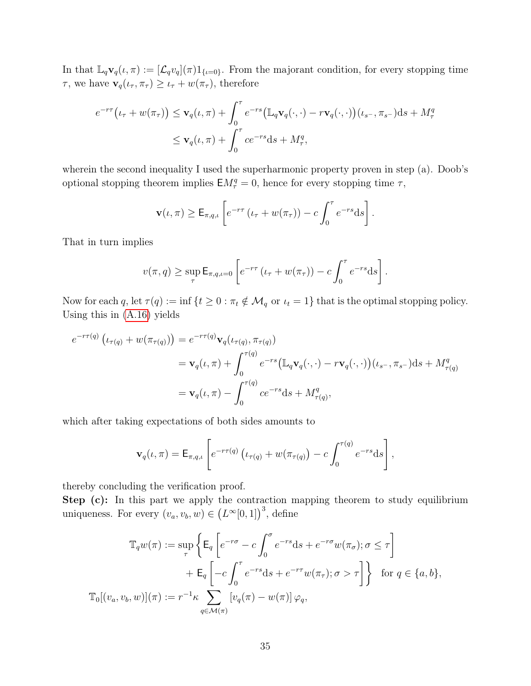In that  $\mathbb{L}_q\mathbf{v}_q(\iota,\pi) := [\mathcal{L}_qv_q](\pi)1_{\{\iota=0\}}$ . From the majorant condition, for every stopping time  $\tau$ , we have  $\mathbf{v}_q(\iota_\tau, \pi_\tau) \geq \iota_\tau + w(\pi_\tau)$ , therefore

$$
e^{-r\tau}(\iota_{\tau} + w(\pi_{\tau})) \leq \mathbf{v}_{q}(\iota, \pi) + \int_{0}^{\tau} e^{-rs} (\mathbb{L}_{q} \mathbf{v}_{q}(\cdot, \cdot) - r\mathbf{v}_{q}(\cdot, \cdot)) (\iota_{s^{-}}, \pi_{s^{-}}) ds + M_{\tau}^{q}
$$
  

$$
\leq \mathbf{v}_{q}(\iota, \pi) + \int_{0}^{\tau} c e^{-rs} ds + M_{\tau}^{q},
$$

wherein the second inequality I used the superharmonic property proven in step (a). Doob's optional stopping theorem implies  $EM_{\tau}^{q} = 0$ , hence for every stopping time  $\tau$ ,

$$
\mathbf{v}(\iota,\pi) \geq \mathsf{E}_{\pi,q,\iota} \left[ e^{-r\tau} \left( \iota_{\tau} + w(\pi_{\tau}) \right) - c \int_0^{\tau} e^{-rs} \mathrm{d} s \right].
$$

That in turn implies

$$
v(\pi, q) \ge \sup_{\tau} \mathsf{E}_{\pi, q, \iota = 0} \left[ e^{-r\tau} \left( \iota_{\tau} + w(\pi_{\tau}) \right) - c \int_0^{\tau} e^{-rs} \mathrm{d}s \right].
$$

Now for each q, let  $\tau(q) := \inf \{ t \geq 0 : \pi_t \notin \mathcal{M}_q \text{ or } t_t = 1 \}$  that is the optimal stopping policy. Using this in [\(A.16\)](#page-33-0) yields

$$
e^{-r\tau(q)} \left( \iota_{\tau(q)} + w(\pi_{\tau(q)}) \right) = e^{-r\tau(q)} \mathbf{v}_q(\iota_{\tau(q)}, \pi_{\tau(q)})
$$
  
\n
$$
= \mathbf{v}_q(\iota, \pi) + \int_0^{\tau(q)} e^{-rs} (\mathbb{L}_q \mathbf{v}_q(\cdot, \cdot) - r \mathbf{v}_q(\cdot, \cdot)) (\iota_{s^-}, \pi_{s^-}) ds + M_{\tau(q)}^q
$$
  
\n
$$
= \mathbf{v}_q(\iota, \pi) - \int_0^{\tau(q)} c e^{-rs} ds + M_{\tau(q)}^q,
$$

which after taking expectations of both sides amounts to

$$
\mathbf{v}_q(\iota,\pi) = \mathsf{E}_{\pi,q,\iota} \left[ e^{-r\tau(q)} \left( \iota_{\tau(q)} + w(\pi_{\tau(q)}) - c \int_0^{\tau(q)} e^{-rs} \mathrm{d} s \right], \right.
$$

thereby concluding the verification proof.

Step (c): In this part we apply the contraction mapping theorem to study equilibrium uniqueness. For every  $(v_a, v_b, w) \in (L^{\infty}[0, 1])^3$ , define

$$
\mathbb{T}_q w(\pi) := \sup_{\tau} \left\{ \mathsf{E}_q \left[ e^{-r\sigma} - c \int_0^{\sigma} e^{-rs} \mathrm{d}s + e^{-r\sigma} w(\pi_{\sigma}); \sigma \le \tau \right] \right. \\ \left. + \mathsf{E}_q \left[ -c \int_0^{\tau} e^{-rs} \mathrm{d}s + e^{-r\tau} w(\pi_{\tau}); \sigma > \tau \right] \right\} \text{ for } q \in \{a, b\},
$$
  

$$
\mathbb{T}_0 [(v_a, v_b, w)](\pi) := r^{-1} \kappa \sum_{q \in \mathcal{M}(\pi)} \left[ v_q(\pi) - w(\pi) \right] \varphi_q,
$$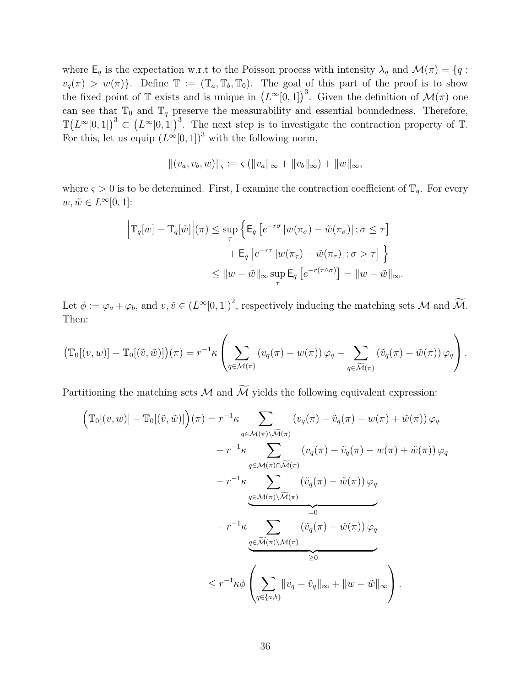where  $\mathsf{E}_q$  is the expectation w.r.t to the Poisson process with intensity  $\lambda_q$  and  $\mathcal{M}(\pi) = \{q :$  $v_q(\pi) > w(\pi)$ . Define  $\mathbb{T} := (\mathbb{T}_a, \mathbb{T}_b, \mathbb{T}_0)$ . The goal of this part of the proof is to show the fixed point of T exists and is unique in  $(L^{\infty}[0,1])^3$ . Given the definition of  $\mathcal{M}(\pi)$  one can see that  $\mathbb{T}_0$  and  $\mathbb{T}_q$  preserve the measurability and essential boundedness. Therefore,  $\mathbb{T}(L^{\infty}[0,1])^3 \subset (L^{\infty}[0,1])^3$ . The next step is to investigate the contraction property of T. For this, let us equip  $(L^{\infty}[0,1])^3$  with the following norm,

$$
||(v_a, v_b, w)||_{\varsigma} := \varsigma (||v_a||_{\infty} + ||v_b||_{\infty}) + ||w||_{\infty},
$$

where  $\varsigma > 0$  is to be determined. First, I examine the contraction coefficient of  $\mathbb{T}_q$ . For every  $w, \tilde{w} \in L^{\infty}[0,1]$ :

$$
\left| \mathbb{T}_q[w] - \mathbb{T}_q[\tilde{w}] \right| (\pi) \le \sup_{\tau} \left\{ \mathsf{E}_q \left[ e^{-r\sigma} \left| w(\pi_\sigma) - \tilde{w}(\pi_\sigma) \right|; \sigma \le \tau \right] \right. \\ \left. + \mathsf{E}_q \left[ e^{-r\tau} \left| w(\pi_\tau) - \tilde{w}(\pi_\tau) \right|; \sigma > \tau \right] \right\} \\ \le \|w - \tilde{w}\|_{\infty} \sup_{\tau} \mathsf{E}_q \left[ e^{-r(\tau \wedge \sigma)} \right] = \|w - \tilde{w}\|_{\infty}.
$$

Let  $\phi := \varphi_a + \varphi_b$ , and  $v, \tilde{v} \in (L^{\infty}[0, 1])^2$ , respectively inducing the matching sets M and  $\widetilde{\mathcal{M}}$ . Then:

$$
\left(\mathbb{T}_0[(v,w)] - \mathbb{T}_0[(\tilde{v},\tilde{w})]\right)(\pi) = r^{-1}\kappa \left(\sum_{q \in \mathcal{M}(\pi)} \left(v_q(\pi) - w(\pi)\right)\varphi_q - \sum_{q \in \widetilde{\mathcal{M}}(\pi)} \left(\tilde{v}_q(\pi) - \tilde{w}(\pi)\right)\varphi_q\right).
$$

Partitioning the matching sets  $\mathcal M$  and  $\widetilde{\mathcal M}$  yields the following equivalent expression:

$$
\left(\mathbb{T}_{0}[(v,w)] - \mathbb{T}_{0}[(\tilde{v},\tilde{w})]\right)(\pi) = r^{-1}\kappa \sum_{q \in \mathcal{M}(\pi)\backslash\widetilde{\mathcal{M}}(\pi)} \left(v_{q}(\pi) - \tilde{v}_{q}(\pi) - w(\pi) + \tilde{w}(\pi)\right)\varphi_{q} \n+ r^{-1}\kappa \sum_{q \in \mathcal{M}(\pi)\cap\widetilde{\mathcal{M}}(\pi)} \left(v_{q}(\pi) - \tilde{v}_{q}(\pi) - w(\pi) + \tilde{w}(\pi)\right)\varphi_{q} \n+ r^{-1}\kappa \sum_{q \in \mathcal{M}(\pi)\backslash\widetilde{\mathcal{M}}(\pi)} \left(\tilde{v}_{q}(\pi) - \tilde{w}(\pi)\right)\varphi_{q} \n- r^{-1}\kappa \sum_{q \in \widetilde{\mathcal{M}}(\pi)\backslash\mathcal{M}(\pi)} \left(\tilde{v}_{q}(\pi) - \tilde{w}(\pi)\right)\varphi_{q} \n\leq r^{-1}\kappa\phi \left(\sum_{q \in \{a,b\}} \|\tilde{v}_{q} - \tilde{v}_{q}\|_{\infty} + \|\tilde{w} - \tilde{w}\|_{\infty}\right).
$$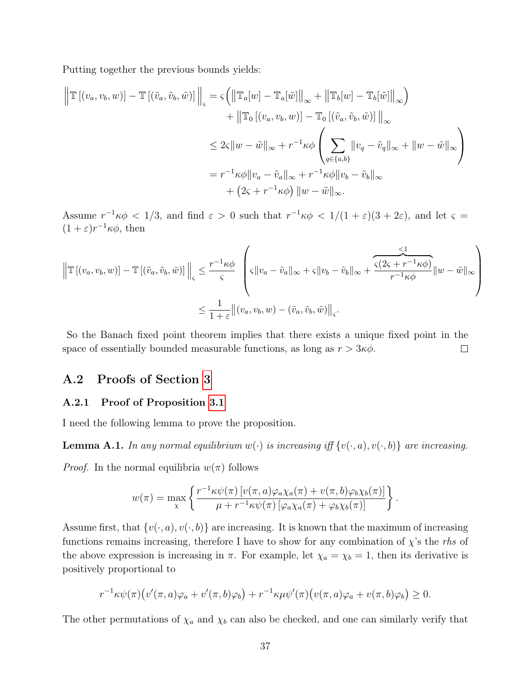Putting together the previous bounds yields:

$$
\left\| \mathbb{T} \left[ (v_a, v_b, w) \right] - \mathbb{T} \left[ (\tilde{v}_a, \tilde{v}_b, \tilde{w}) \right] \right\|_{\varsigma} = \varsigma \left( \left\| \mathbb{T}_a[w] - \mathbb{T}_a[\tilde{w}] \right\|_{\infty} + \left\| \mathbb{T}_b[w] - \mathbb{T}_b[\tilde{w}] \right\|_{\infty} \right)
$$
  
+ 
$$
\left\| \mathbb{T}_0 \left[ (v_a, v_b, w) \right] - \mathbb{T}_0 \left[ (\tilde{v}_a, \tilde{v}_b, \tilde{w}) \right] \right\|_{\infty}
$$
  

$$
\leq 2\varsigma \|w - \tilde{w}\|_{\infty} + r^{-1} \kappa \phi \left( \sum_{q \in \{a, b\}} \|v_q - \tilde{v}_q\|_{\infty} + \|w - \tilde{w}\|_{\infty} \right)
$$
  
= 
$$
r^{-1} \kappa \phi \|v_a - \tilde{v}_a\|_{\infty} + r^{-1} \kappa \phi \|v_b - \tilde{v}_b\|_{\infty}
$$
  
+ 
$$
\left( 2\varsigma + r^{-1} \kappa \phi \right) \|w - \tilde{w}\|_{\infty}.
$$

Assume  $r^{-1}\kappa\phi < 1/3$ , and find  $\varepsilon > 0$  such that  $r^{-1}\kappa\phi < 1/(1+\varepsilon)(3+2\varepsilon)$ , and let  $\varsigma =$  $(1+\varepsilon)r^{-1}\kappa\phi$ , then

$$
\left\| \mathbb{T} \left[ (v_a, v_b, w) \right] - \mathbb{T} \left[ (\tilde{v}_a, \tilde{v}_b, \tilde{w}) \right] \right\|_{\varsigma} \le \frac{r^{-1} \kappa \phi}{\varsigma} \left( \varsigma \| v_a - \tilde{v}_a \|_{\infty} + \varsigma \| v_b - \tilde{v}_b \|_{\infty} + \frac{\varsigma (2\varsigma + r^{-1} \kappa \phi)}{r^{-1} \kappa \phi} \| w - \tilde{w} \|_{\infty} \right)
$$

$$
\le \frac{1}{1 + \varepsilon} \left\| (v_a, v_b, w) - (\tilde{v}_a, \tilde{v}_b, \tilde{w}) \right\|_{\varsigma}.
$$

So the Banach fixed point theorem implies that there exists a unique fixed point in the space of essentially bounded measurable functions, as long as  $r > 3\kappa\phi$ .  $\Box$ 

## A.2 Proofs of Section [3](#page-13-0)

#### A.2.1 Proof of Proposition [3.1](#page-15-4)

I need the following lemma to prove the proposition.

**Lemma A.1.** In any normal equilibrium  $w(\cdot)$  is increasing iff  $\{v(\cdot, a), v(\cdot, b)\}$  are increasing.

*Proof.* In the normal equilibria  $w(\pi)$  follows

$$
w(\pi) = \max_{\chi} \left\{ \frac{r^{-1} \kappa \psi(\pi) \left[ v(\pi, a) \varphi_a \chi_a(\pi) + v(\pi, b) \varphi_b \chi_b(\pi) \right]}{\mu + r^{-1} \kappa \psi(\pi) \left[ \varphi_a \chi_a(\pi) + \varphi_b \chi_b(\pi) \right]} \right\}.
$$

Assume first, that  $\{v(\cdot, a), v(\cdot, b)\}\$  are increasing. It is known that the maximum of increasing functions remains increasing, therefore I have to show for any combination of  $\chi$ 's the rhs of the above expression is increasing in  $\pi$ . For example, let  $\chi_a = \chi_b = 1$ , then its derivative is positively proportional to

$$
r^{-1}\kappa\psi(\pi)\big(v'(\pi,a)\varphi_a+v'(\pi,b)\varphi_b\big)+r^{-1}\kappa\mu\psi'(\pi)\big(v(\pi,a)\varphi_a+v(\pi,b)\varphi_b\big)\geq 0.
$$

The other permutations of  $\chi_a$  and  $\chi_b$  can also be checked, and one can similarly verify that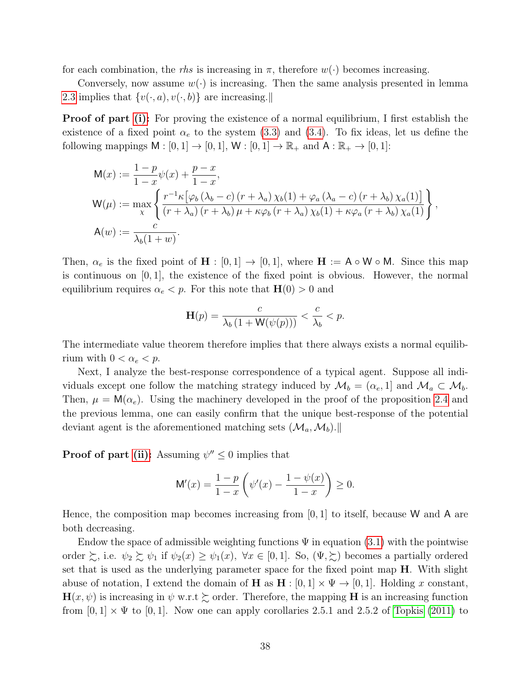for each combination, the rhs is increasing in  $\pi$ , therefore  $w(\cdot)$  becomes increasing.

Conversely, now assume  $w(\cdot)$  is increasing. Then the same analysis presented in lemma [2.3](#page-9-2) implies that  $\{v(\cdot, a), v(\cdot, b)\}\$  are increasing.

**Proof of part [\(i\):](#page-15-2)** For proving the existence of a normal equilibrium, I first establish the existence of a fixed point  $\alpha_e$  to the system [\(3.3\)](#page-14-2) and [\(3.4\)](#page-15-5). To fix ideas, let us define the following mappings  $M : [0, 1] \rightarrow [0, 1], W : [0, 1] \rightarrow \mathbb{R}_+$  and  $A : \mathbb{R}_+ \rightarrow [0, 1]$ :

$$
M(x) := \frac{1-p}{1-x}\psi(x) + \frac{p-x}{1-x},
$$
  
\n
$$
W(\mu) := \max_{\chi} \left\{ \frac{r^{-1}\kappa \left[ \varphi_b \left( \lambda_b - c \right) \left( r + \lambda_a \right) \chi_b(1) + \varphi_a \left( \lambda_a - c \right) \left( r + \lambda_b \right) \chi_a(1) \right]}{(r + \lambda_a) \left( r + \lambda_b \right) \mu + \kappa \varphi_b \left( r + \lambda_a \right) \chi_b(1) + \kappa \varphi_a \left( r + \lambda_b \right) \chi_a(1)} \right\},
$$
  
\n
$$
A(w) := \frac{c}{\lambda_b(1+w)}.
$$

Then,  $\alpha_e$  is the fixed point of  $\mathbf{H} : [0,1] \to [0,1]$ , where  $\mathbf{H} := \mathsf{A} \circ \mathsf{W} \circ \mathsf{M}$ . Since this map is continuous on  $[0, 1]$ , the existence of the fixed point is obvious. However, the normal equilibrium requires  $\alpha_e < p$ . For this note that  $H(0) > 0$  and

$$
\mathbf{H}(p) = \frac{c}{\lambda_b \left(1 + \mathbf{W}(\psi(p))\right)} < \frac{c}{\lambda_b} < p.
$$

The intermediate value theorem therefore implies that there always exists a normal equilibrium with  $0 < \alpha_e < p$ .

Next, I analyze the best-response correspondence of a typical agent. Suppose all individuals except one follow the matching strategy induced by  $\mathcal{M}_b = (\alpha_e, 1]$  and  $\mathcal{M}_a \subset \mathcal{M}_b$ . Then,  $\mu = M(\alpha_e)$ . Using the machinery developed in the proof of the proposition [2.4](#page-10-1) and the previous lemma, one can easily confirm that the unique best-response of the potential deviant agent is the aforementioned matching sets  $(\mathcal{M}_a, \mathcal{M}_b)$ .

**Proof of part [\(ii\):](#page-15-3)** Assuming  $\psi'' \leq 0$  implies that

$$
\mathsf{M}'(x) = \frac{1-p}{1-x} \left( \psi'(x) - \frac{1-\psi(x)}{1-x} \right) \ge 0.
$$

Hence, the composition map becomes increasing from  $[0, 1]$  to itself, because W and A are both decreasing.

Endow the space of admissible weighting functions  $\Psi$  in equation [\(3.1\)](#page-14-3) with the pointwise order  $\zeta$ , i.e.  $\psi_2 \zeta \psi_1$  if  $\psi_2(x) \ge \psi_1(x)$ ,  $\forall x \in [0,1]$ . So,  $(\Psi, \zeta)$  becomes a partially ordered set that is used as the underlying parameter space for the fixed point map  $H$ . With slight abuse of notation, I extend the domain of H as  $H : [0,1] \times \Psi \rightarrow [0,1]$ . Holding x constant,  $\mathbf{H}(x, \psi)$  is increasing in  $\psi$  w.r.t  $\succsim$  order. Therefore, the mapping H is an increasing function from  $[0,1] \times \Psi$  to  $[0,1]$ . Now one can apply corollaries 2.5.1 and 2.5.2 of [Topkis](#page-44-11) [\(2011\)](#page-44-11) to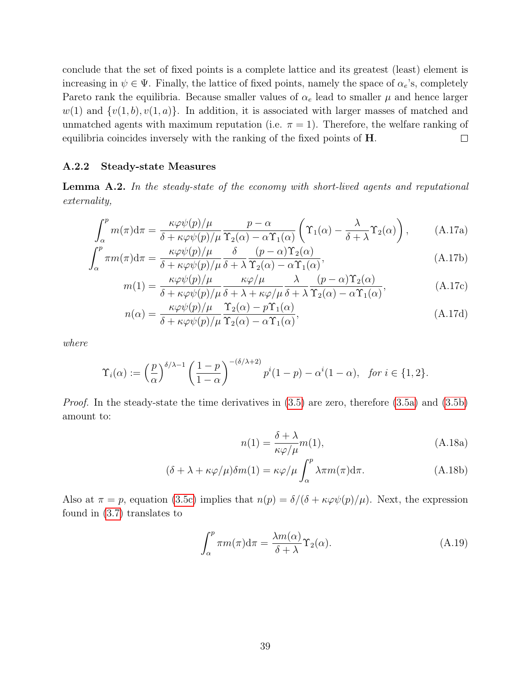conclude that the set of fixed points is a complete lattice and its greatest (least) element is increasing in  $\psi \in \Psi$ . Finally, the lattice of fixed points, namely the space of  $\alpha_e$ 's, completely Pareto rank the equilibria. Because smaller values of  $\alpha_e$  lead to smaller  $\mu$  and hence larger  $w(1)$  and  $\{v(1,b), v(1,a)\}\$ . In addition, it is associated with larger masses of matched and unmatched agents with maximum reputation (i.e.  $\pi = 1$ ). Therefore, the welfare ranking of equilibria coincides inversely with the ranking of the fixed points of H.  $\Box$ 

#### A.2.2 Steady-state Measures

<span id="page-38-0"></span>Lemma A.2. In the steady-state of the economy with short-lived agents and reputational externality,

$$
\int_{\alpha}^{p} m(\pi) d\pi = \frac{\kappa \varphi \psi(p)/\mu}{\delta + \kappa \varphi \psi(p)/\mu} \frac{p - \alpha}{\Upsilon_2(\alpha) - \alpha \Upsilon_1(\alpha)} \left( \Upsilon_1(\alpha) - \frac{\lambda}{\delta + \lambda} \Upsilon_2(\alpha) \right), \tag{A.17a}
$$

$$
\int_{\alpha}^{p} \pi m(\pi) d\pi = \frac{\kappa \varphi \psi(p)/\mu}{\delta + \kappa \varphi \psi(p)/\mu} \frac{\delta}{\delta + \lambda} \frac{(p-\alpha) \Upsilon_{2}(\alpha)}{\Upsilon_{2}(\alpha) - \alpha \Upsilon_{1}(\alpha)},
$$
\n(A.17b)

$$
m(1) = \frac{\kappa \varphi \psi(p)/\mu}{\delta + \kappa \varphi \psi(p)/\mu} \frac{\kappa \varphi/\mu}{\delta + \lambda + \kappa \varphi/\mu} \frac{\lambda}{\delta + \lambda} \frac{(p - \alpha) \Upsilon_2(\alpha)}{\Upsilon_2(\alpha) - \alpha \Upsilon_1(\alpha)},
$$
(A.17c)

$$
n(\alpha) = \frac{\kappa \varphi \psi(p)/\mu}{\delta + \kappa \varphi \psi(p)/\mu} \frac{\Upsilon_2(\alpha) - p\Upsilon_1(\alpha)}{\Upsilon_2(\alpha) - \alpha \Upsilon_1(\alpha)},
$$
\n(A.17d)

where

$$
\Upsilon_i(\alpha) := \left(\frac{p}{\alpha}\right)^{\delta/\lambda - 1} \left(\frac{1-p}{1-\alpha}\right)^{-(\delta/\lambda + 2)} p^i (1-p) - \alpha^i (1-\alpha), \text{ for } i \in \{1, 2\}.
$$

*Proof.* In the steady-state the time derivatives in  $(3.5)$  are zero, therefore  $(3.5a)$  and  $(3.5b)$ amount to:

<span id="page-38-6"></span><span id="page-38-5"></span><span id="page-38-4"></span><span id="page-38-3"></span><span id="page-38-1"></span>
$$
n(1) = \frac{\delta + \lambda}{\kappa \varphi / \mu} m(1), \tag{A.18a}
$$

$$
(\delta + \lambda + \kappa \varphi/\mu)\delta m(1) = \kappa \varphi/\mu \int_{\alpha}^{p} \lambda \pi m(\pi) d\pi.
$$
 (A.18b)

Also at  $\pi = p$ , equation [\(3.5c\)](#page-17-4) implies that  $n(p) = \delta/(\delta + \kappa \varphi \psi(p)/\mu)$ . Next, the expression found in [\(3.7\)](#page-18-3) translates to

<span id="page-38-2"></span>
$$
\int_{\alpha}^{p} \pi m(\pi) d\pi = \frac{\lambda m(\alpha)}{\delta + \lambda} \Upsilon_{2}(\alpha).
$$
 (A.19)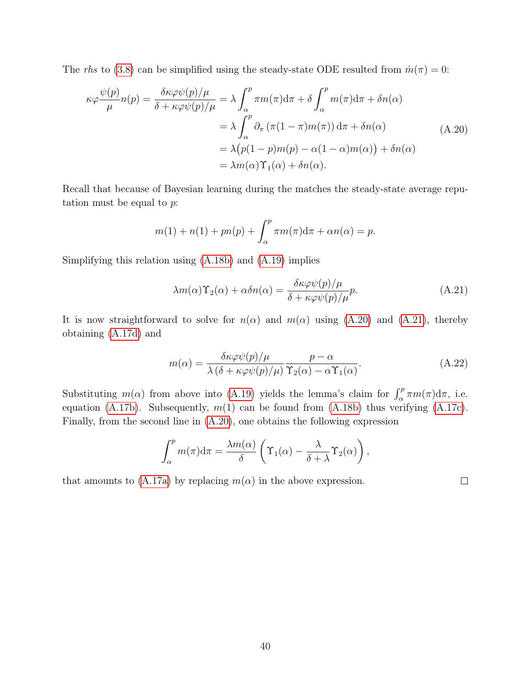The rhs to [\(3.8\)](#page-18-4) can be simplified using the steady-state ODE resulted from  $\dot{m}(\pi) = 0$ :

<span id="page-39-0"></span>
$$
\kappa \varphi \frac{\psi(p)}{\mu} n(p) = \frac{\delta \kappa \varphi \psi(p)/\mu}{\delta + \kappa \varphi \psi(p)/\mu} = \lambda \int_{\alpha}^{p} \pi m(\pi) d\pi + \delta \int_{\alpha}^{p} m(\pi) d\pi + \delta n(\alpha)
$$
  

$$
= \lambda \int_{\alpha}^{p} \partial_{\pi} (\pi(1 - \pi) m(\pi)) d\pi + \delta n(\alpha)
$$
  

$$
= \lambda (p(1 - p)m(p) - \alpha(1 - \alpha) m(\alpha)) + \delta n(\alpha)
$$
  

$$
= \lambda m(\alpha) \Upsilon_{1}(\alpha) + \delta n(\alpha).
$$
 (A.20)

Recall that because of Bayesian learning during the matches the steady-state average reputation must be equal to  $p$ :

$$
m(1) + n(1) + pn(p) + \int_{\alpha}^{p} \pi m(\pi) d\pi + \alpha n(\alpha) = p.
$$

Simplifying this relation using [\(A.18b\)](#page-38-1) and [\(A.19\)](#page-38-2) implies

<span id="page-39-1"></span>
$$
\lambda m(\alpha)\Upsilon_2(\alpha) + \alpha \delta n(\alpha) = \frac{\delta \kappa \varphi \psi(p)/\mu}{\delta + \kappa \varphi \psi(p)/\mu} p.
$$
 (A.21)

It is now straightforward to solve for  $n(\alpha)$  and  $m(\alpha)$  using [\(A.20\)](#page-39-0) and [\(A.21\)](#page-39-1), thereby obtaining [\(A.17d\)](#page-38-3) and

<span id="page-39-2"></span>
$$
m(\alpha) = \frac{\delta \kappa \varphi \psi(p)/\mu}{\lambda (\delta + \kappa \varphi \psi(p)/\mu)} \frac{p - \alpha}{\Upsilon_2(\alpha) - \alpha \Upsilon_1(\alpha)}.
$$
 (A.22)

Substituting  $m(\alpha)$  from above into [\(A.19\)](#page-38-2) yields the lemma's claim for  $\int_{\alpha}^{p} \pi m(\pi) d\pi$ , i.e. equation [\(A.17b\)](#page-38-4). Subsequently,  $m(1)$  can be found from [\(A.18b\)](#page-38-1) thus verifying [\(A.17c\)](#page-38-5). Finally, from the second line in [\(A.20\)](#page-39-0), one obtains the following expression

$$
\int_{\alpha}^{p} m(\pi) d\pi = \frac{\lambda m(\alpha)}{\delta} \left( \Upsilon_1(\alpha) - \frac{\lambda}{\delta + \lambda} \Upsilon_2(\alpha) \right),
$$

that amounts to [\(A.17a\)](#page-38-6) by replacing  $m(\alpha)$  in the above expression.

 $\Box$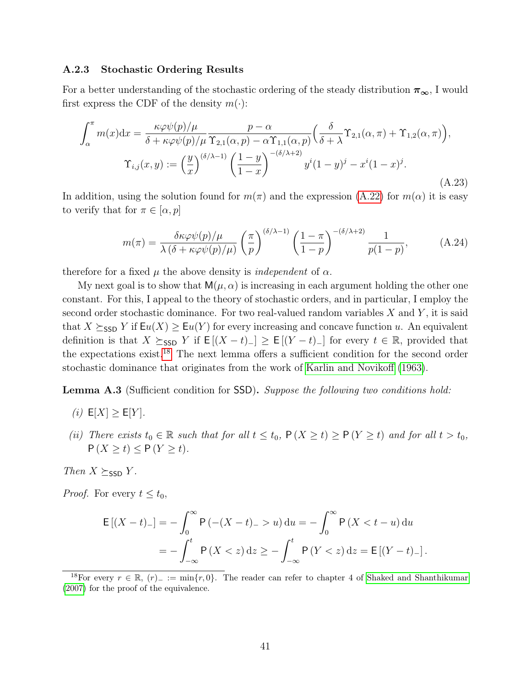#### <span id="page-40-0"></span>A.2.3 Stochastic Ordering Results

For a better understanding of the stochastic ordering of the steady distribution  $\pi_{\infty}$ , I would first express the CDF of the density  $m(\cdot)$ :

<span id="page-40-2"></span>
$$
\int_{\alpha}^{\pi} m(x) dx = \frac{\kappa \varphi \psi(p)/\mu}{\delta + \kappa \varphi \psi(p)/\mu} \frac{p - \alpha}{\Upsilon_{2,1}(\alpha, p) - \alpha \Upsilon_{1,1}(\alpha, p)} \left( \frac{\delta}{\delta + \lambda} \Upsilon_{2,1}(\alpha, \pi) + \Upsilon_{1,2}(\alpha, \pi) \right),
$$

$$
\Upsilon_{i,j}(x, y) := \left( \frac{y}{x} \right)^{(\delta/\lambda - 1)} \left( \frac{1 - y}{1 - x} \right)^{-(\delta/\lambda + 2)} y^{i} (1 - y)^{j} - x^{i} (1 - x)^{j}.
$$
(A.23)

In addition, using the solution found for  $m(\pi)$  and the expression [\(A.22\)](#page-39-2) for  $m(\alpha)$  it is easy to verify that for  $\pi \in [\alpha, p]$ 

<span id="page-40-4"></span>
$$
m(\pi) = \frac{\delta \kappa \varphi \psi(p)/\mu}{\lambda (\delta + \kappa \varphi \psi(p)/\mu)} \left(\frac{\pi}{p}\right)^{(\delta/\lambda - 1)} \left(\frac{1 - \pi}{1 - p}\right)^{-(\delta/\lambda + 2)} \frac{1}{p(1 - p)},\tag{A.24}
$$

therefore for a fixed  $\mu$  the above density is *independent* of  $\alpha$ .

My next goal is to show that  $M(\mu, \alpha)$  is increasing in each argument holding the other one constant. For this, I appeal to the theory of stochastic orders, and in particular, I employ the second order stochastic dominance. For two real-valued random variables  $X$  and  $Y$ , it is said that  $X \succeq_{\textsf{SSD}} Y$  if  $\mathsf{E}u(X) \geq \mathsf{E}u(Y)$  for every increasing and concave function u. An equivalent definition is that  $X \succeq_{\text{SSD}} Y$  if  $E[(X - t)_{-}] \geq E[(Y - t)_{-}]$  for every  $t \in \mathbb{R}$ , provided that the expectations exist.<sup>[18](#page-40-1)</sup> The next lemma offers a sufficient condition for the second order stochastic dominance that originates from the work of [Karlin and Novikoff](#page-43-15) [\(1963\)](#page-43-15).

<span id="page-40-3"></span>Lemma A.3 (Sufficient condition for SSD). Suppose the following two conditions hold:

- (i)  $E[X] \geq E[Y]$ .
- (ii) There exists  $t_0 \in \mathbb{R}$  such that for all  $t \leq t_0$ ,  $\mathsf{P}(X \geq t) \geq \mathsf{P}(Y \geq t)$  and for all  $t > t_0$ ,  $P(X \ge t) \le P(Y \ge t)$ .

Then  $X \succeq_{\textsf{SSD}} Y$ .

*Proof.* For every  $t \leq t_0$ ,

$$
E[(X-t)_{-}] = -\int_{0}^{\infty} P(-(X-t)_{-} > u) du = -\int_{0}^{\infty} P(X < t - u) du
$$
  
=  $-\int_{-\infty}^{t} P(X < z) dz \ge -\int_{-\infty}^{t} P(Y < z) dz = E[(Y-t)_{-}].$ 

<span id="page-40-1"></span><sup>18</sup>For every  $r \in \mathbb{R}$ ,  $(r)$ <sub>−</sub> := min{r, 0}. The reader can refer to chapter 4 of [Shaked and Shanthikumar](#page-44-12) [\(2007\)](#page-44-12) for the proof of the equivalence.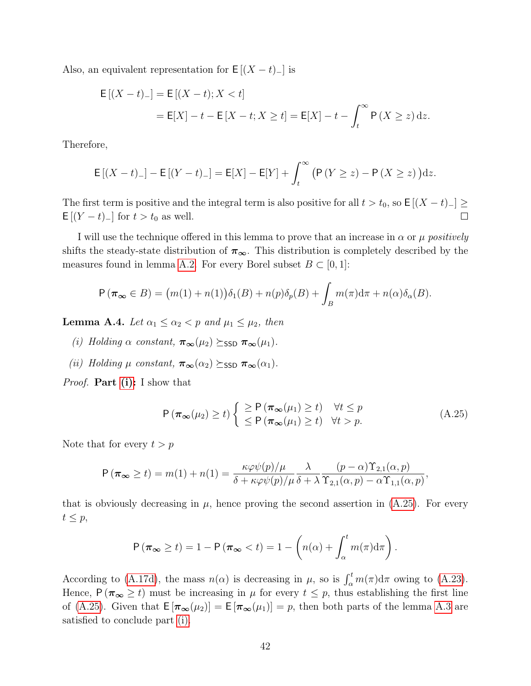Also, an equivalent representation for  $E[(X - t)]$  is

$$
E[(X - t)_{-}] = E[(X - t); X < t]
$$
  
= E[X] - t - E[X - t; X \ge t] = E[X] - t - \int\_{t}^{\infty} P(X \ge z) dz.

Therefore,

$$
E[(X-t)_{-}] - E[(Y-t)_{-}] = E[X] - E[Y] + \int_{t}^{\infty} (P(Y \ge z) - P(X \ge z)) dz.
$$

The first term is positive and the integral term is also positive for all  $t > t_0$ , so  $\mathsf{E}[(X - t)_{-}] \ge$  $E[(Y - t)]$  for  $t > t_0$  as well.  $\Box$ 

I will use the technique offered in this lemma to prove that an increase in  $\alpha$  or  $\mu$  positively shifts the steady-state distribution of  $\pi_{\infty}$ . This distribution is completely described by the measures found in lemma [A.2.](#page-38-0) For every Borel subset  $B \subset [0,1]$ :

$$
P(\pi_{\infty} \in B) = (m(1) + n(1))\delta_1(B) + n(p)\delta_p(B) + \int_B m(\pi) d\pi + n(\alpha)\delta_{\alpha}(B).
$$

Lemma A.4. Let  $\alpha_1 \leq \alpha_2 < p$  and  $\mu_1 \leq \mu_2$ , then

- <span id="page-41-0"></span>(i) Holding  $\alpha$  constant,  $\pi_{\infty}(\mu_2) \succeq_{\text{SSD}} \pi_{\infty}(\mu_1)$ .
- <span id="page-41-2"></span>(ii) Holding  $\mu$  constant,  $\pi_{\infty}(\alpha_2) \succeq_{\text{SSD}} \pi_{\infty}(\alpha_1)$ .

*Proof.* **Part** [\(i\):](#page-41-0) I show that

<span id="page-41-1"></span>
$$
P(\pi_{\infty}(\mu_2) \ge t) \begin{cases} \ge P(\pi_{\infty}(\mu_1) \ge t) & \forall t \le p \\ \le P(\pi_{\infty}(\mu_1) \ge t) & \forall t > p. \end{cases}
$$
(A.25)

Note that for every  $t > p$ 

$$
P(\pi_{\infty} \ge t) = m(1) + n(1) = \frac{\kappa \varphi \psi(p)/\mu}{\delta + \kappa \varphi \psi(p)/\mu} \frac{\lambda}{\delta + \lambda} \frac{(p - \alpha) \Upsilon_{2,1}(\alpha, p)}{\Upsilon_{2,1}(\alpha, p) - \alpha \Upsilon_{1,1}(\alpha, p)},
$$

that is obviously decreasing in  $\mu$ , hence proving the second assertion in [\(A.25\)](#page-41-1). For every  $t \leq p$ ,

$$
P(\boldsymbol{\pi}_{\boldsymbol{\infty}} \geq t) = 1 - P(\boldsymbol{\pi}_{\boldsymbol{\infty}} < t) = 1 - \left(n(\alpha) + \int_{\alpha}^{t} m(\pi) d\pi\right).
$$

According to [\(A.17d\)](#page-38-3), the mass  $n(\alpha)$  is decreasing in  $\mu$ , so is  $\int_{\alpha}^{t} m(\pi) d\pi$  owing to [\(A.23\)](#page-40-2). Hence,  $P(\pi_{\infty} \geq t)$  must be increasing in  $\mu$  for every  $t \leq p$ , thus establishing the first line of [\(A.25\)](#page-41-1). Given that  $E[\pi_{\infty}(\mu_2)] = E[\pi_{\infty}(\mu_1)] = p$ , then both parts of the lemma [A.3](#page-40-3) are satisfied to conclude part [\(i\).](#page-41-0)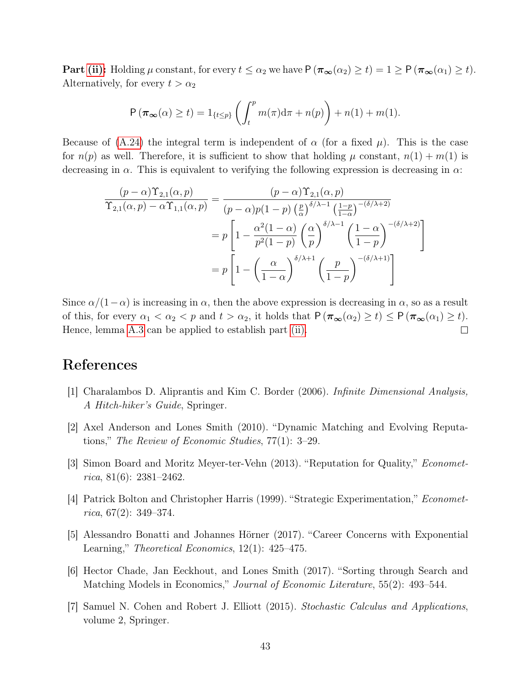**Part [\(ii\):](#page-41-2)** Holding  $\mu$  constant, for every  $t \leq \alpha_2$  we have  $P(\pi_{\infty}(\alpha_2) \geq t) = 1 \geq P(\pi_{\infty}(\alpha_1) \geq t)$ . Alternatively, for every  $t > \alpha_2$ 

$$
P(\boldsymbol{\pi}_{\boldsymbol{\infty}}(\alpha) \geq t) = 1_{\{t \leq p\}} \left( \int_t^p m(\pi) d\pi + n(p) \right) + n(1) + m(1).
$$

Because of [\(A.24\)](#page-40-4) the integral term is independent of  $\alpha$  (for a fixed  $\mu$ ). This is the case for  $n(p)$  as well. Therefore, it is sufficient to show that holding  $\mu$  constant,  $n(1) + m(1)$  is decreasing in  $\alpha$ . This is equivalent to verifying the following expression is decreasing in  $\alpha$ :

$$
\frac{(p-\alpha)\Upsilon_{2,1}(\alpha,p)}{\Upsilon_{2,1}(\alpha,p)-\alpha\Upsilon_{1,1}(\alpha,p)} = \frac{(p-\alpha)\Upsilon_{2,1}(\alpha,p)}{(p-\alpha)p(1-p)\left(\frac{p}{\alpha}\right)^{\delta/\lambda-1}\left(\frac{1-p}{1-\alpha}\right)^{-(\delta/\lambda+2)}}\\=p\left[1-\frac{\alpha^2(1-\alpha)}{p^2(1-p)}\left(\frac{\alpha}{p}\right)^{\delta/\lambda-1}\left(\frac{1-\alpha}{1-p}\right)^{-(\delta/\lambda+2)}\right]\\=p\left[1-\left(\frac{\alpha}{1-\alpha}\right)^{\delta/\lambda+1}\left(\frac{p}{1-p}\right)^{-(\delta/\lambda+1)}\right]
$$

Since  $\alpha/(1-\alpha)$  is increasing in  $\alpha$ , then the above expression is decreasing in  $\alpha$ , so as a result of this, for every  $\alpha_1 < \alpha_2 < p$  and  $t > \alpha_2$ , it holds that  $P(\pi_{\infty}(\alpha_2) \ge t) \le P(\pi_{\infty}(\alpha_1) \ge t)$ . Hence, lemma [A.3](#page-40-3) can be applied to establish part [\(ii\).](#page-41-2)  $\Box$ 

## References

- <span id="page-42-6"></span>[1] Charalambos D. Aliprantis and Kim C. Border (2006). Infinite Dimensional Analysis, A Hitch-hiker's Guide, Springer.
- <span id="page-42-2"></span>[2] Axel Anderson and Lones Smith (2010). "Dynamic Matching and Evolving Reputations," The Review of Economic Studies, 77(1): 3–29.
- <span id="page-42-1"></span>[3] Simon Board and Moritz Meyer-ter-Vehn (2013). "Reputation for Quality," Econometrica, 81(6):  $2381 - 2462$ .
- <span id="page-42-4"></span>[4] Patrick Bolton and Christopher Harris (1999). "Strategic Experimentation," Economet $rica, 67(2): 349-374.$
- <span id="page-42-0"></span>[5] Alessandro Bonatti and Johannes Hörner (2017). "Career Concerns with Exponential Learning," Theoretical Economics, 12(1): 425–475.
- <span id="page-42-3"></span>[6] Hector Chade, Jan Eeckhout, and Lones Smith (2017). "Sorting through Search and Matching Models in Economics," Journal of Economic Literature, 55(2): 493-544.
- <span id="page-42-5"></span>[7] Samuel N. Cohen and Robert J. Elliott (2015). Stochastic Calculus and Applications, volume 2, Springer.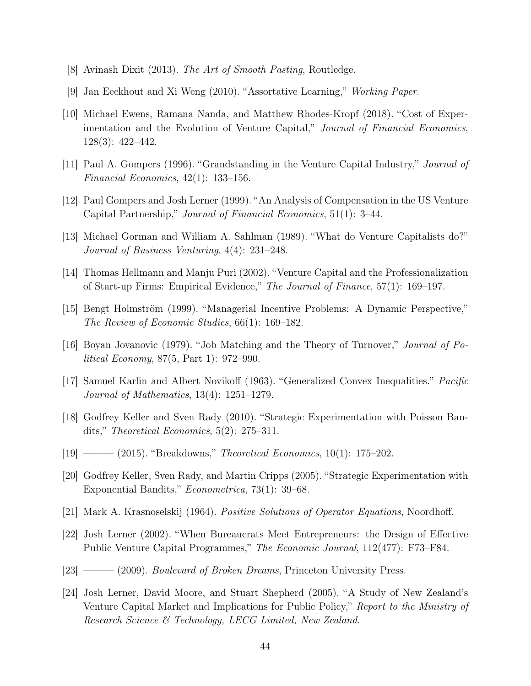- <span id="page-43-14"></span>[8] Avinash Dixit (2013). The Art of Smooth Pasting, Routledge.
- <span id="page-43-7"></span>[9] Jan Eeckhout and Xi Weng (2010). "Assortative Learning," Working Paper.
- <span id="page-43-10"></span>[10] Michael Ewens, Ramana Nanda, and Matthew Rhodes-Kropf (2018). "Cost of Experimentation and the Evolution of Venture Capital," Journal of Financial Economics, 128(3): 422–442.
- <span id="page-43-11"></span>[11] Paul A. Gompers (1996). "Grandstanding in the Venture Capital Industry," Journal of Financial Economics, 42(1): 133–156.
- <span id="page-43-0"></span>[12] Paul Gompers and Josh Lerner (1999). "An Analysis of Compensation in the US Venture Capital Partnership," Journal of Financial Economics, 51(1): 3–44.
- <span id="page-43-8"></span>[13] Michael Gorman and William A. Sahlman (1989). "What do Venture Capitalists do?" Journal of Business Venturing, 4(4): 231–248.
- <span id="page-43-9"></span>[14] Thomas Hellmann and Manju Puri (2002). "Venture Capital and the Professionalization of Start-up Firms: Empirical Evidence," The Journal of Finance, 57(1): 169–197.
- <span id="page-43-4"></span>[15] Bengt Holmström (1999). "Managerial Incentive Problems: A Dynamic Perspective," The Review of Economic Studies, 66(1): 169–182.
- <span id="page-43-6"></span>[16] Boyan Jovanovic (1979). "Job Matching and the Theory of Turnover," Journal of Political Economy, 87(5, Part 1): 972–990.
- <span id="page-43-15"></span>[17] Samuel Karlin and Albert Novikoff (1963). "Generalized Convex Inequalities." Pacific Journal of Mathematics, 13(4): 1251–1279.
- <span id="page-43-2"></span>[18] Godfrey Keller and Sven Rady (2010). "Strategic Experimentation with Poisson Bandits," Theoretical Economics, 5(2): 275–311.
- <span id="page-43-3"></span>[19] ——— (2015). "Breakdowns," *Theoretical Economics*, 10(1): 175–202.
- <span id="page-43-1"></span>[20] Godfrey Keller, Sven Rady, and Martin Cripps (2005). "Strategic Experimentation with Exponential Bandits," Econometrica, 73(1): 39–68.
- <span id="page-43-16"></span>[21] Mark A. Krasnoselskij (1964). Positive Solutions of Operator Equations, Noordhoff.
- <span id="page-43-12"></span>[22] Josh Lerner (2002). "When Bureaucrats Meet Entrepreneurs: the Design of Effective Public Venture Capital Programmes," The Economic Journal, 112(477): F73–F84.
- <span id="page-43-13"></span>[23] ——— (2009). *Boulevard of Broken Dreams*, Princeton University Press.
- <span id="page-43-5"></span>[24] Josh Lerner, David Moore, and Stuart Shepherd (2005). "A Study of New Zealand's Venture Capital Market and Implications for Public Policy," Report to the Ministry of Research Science & Technology, LECG Limited, New Zealand.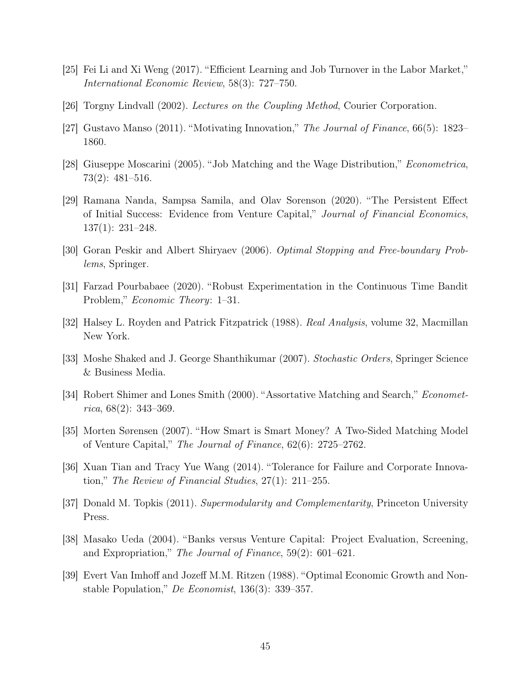- <span id="page-44-3"></span>[25] Fei Li and Xi Weng (2017). "Efficient Learning and Job Turnover in the Labor Market," International Economic Review, 58(3): 727–750.
- <span id="page-44-14"></span>[26] Torgny Lindvall (2002). Lectures on the Coupling Method, Courier Corporation.
- <span id="page-44-8"></span>[27] Gustavo Manso (2011). "Motivating Innovation," The Journal of Finance, 66(5): 1823– 1860.
- <span id="page-44-2"></span>[28] Giuseppe Moscarini (2005). "Job Matching and the Wage Distribution," Econometrica, 73(2): 481–516.
- <span id="page-44-9"></span>[29] Ramana Nanda, Sampsa Samila, and Olav Sorenson (2020). "The Persistent Effect of Initial Success: Evidence from Venture Capital," Journal of Financial Economics, 137(1): 231–248.
- <span id="page-44-6"></span>[30] Goran Peskir and Albert Shiryaev (2006). Optimal Stopping and Free-boundary Problems, Springer.
- <span id="page-44-5"></span>[31] Farzad Pourbabaee (2020). "Robust Experimentation in the Continuous Time Bandit Problem," Economic Theory: 1–31.
- <span id="page-44-10"></span>[32] Halsey L. Royden and Patrick Fitzpatrick (1988). Real Analysis, volume 32, Macmillan New York.
- <span id="page-44-12"></span>[33] Moshe Shaked and J. George Shanthikumar (2007). Stochastic Orders, Springer Science & Business Media.
- <span id="page-44-0"></span>[34] Robert Shimer and Lones Smith (2000). "Assortative Matching and Search," *Economet*rica, 68(2): 343–369.
- <span id="page-44-1"></span>[35] Morten Sørensen (2007). "How Smart is Smart Money? A Two-Sided Matching Model of Venture Capital," The Journal of Finance, 62(6): 2725–2762.
- <span id="page-44-7"></span>[36] Xuan Tian and Tracy Yue Wang (2014). "Tolerance for Failure and Corporate Innovation," The Review of Financial Studies, 27(1): 211–255.
- <span id="page-44-11"></span>[37] Donald M. Topkis (2011). Supermodularity and Complementarity, Princeton University Press.
- <span id="page-44-4"></span>[38] Masako Ueda (2004). "Banks versus Venture Capital: Project Evaluation, Screening, and Expropriation," The Journal of Finance, 59(2): 601–621.
- <span id="page-44-13"></span>[39] Evert Van Imhoff and Jozeff M.M. Ritzen (1988). "Optimal Economic Growth and Nonstable Population," De Economist,  $136(3)$ :  $339-357$ .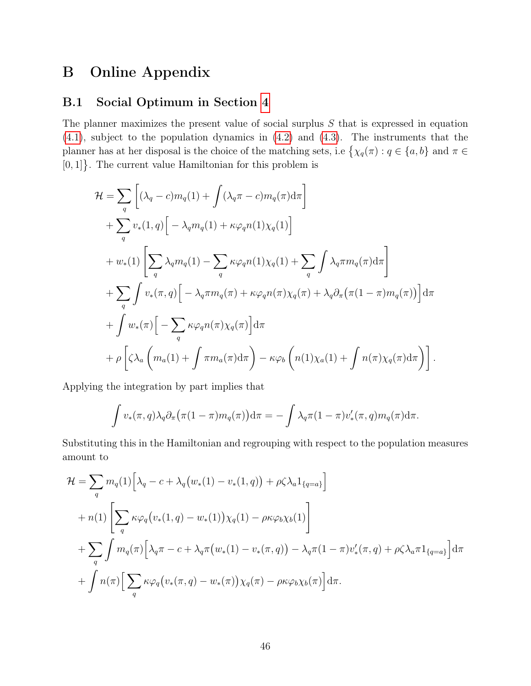## B Online Appendix

## <span id="page-45-0"></span>B.1 Social Optimum in Section [4](#page-21-0)

The planner maximizes the present value of social surplus  $S$  that is expressed in equation [\(4.1\)](#page-22-1), subject to the population dynamics in [\(4.2\)](#page-23-5) and [\(4.3\)](#page-23-4). The instruments that the planner has at her disposal is the choice of the matching sets, i.e  $\{\chi_q(\pi) : q \in \{a, b\} \text{ and } \pi \in$  $[0, 1]$ . The current value Hamiltonian for this problem is

$$
\mathcal{H} = \sum_{q} \left[ (\lambda_q - c) m_q(1) + \int (\lambda_q \pi - c) m_q(\pi) d\pi \right] \n+ \sum_{q} v_* (1, q) \left[ -\lambda_q m_q(1) + \kappa \varphi_q n(1) \chi_q(1) \right] \n+ w_* (1) \left[ \sum_{q} \lambda_q m_q(1) - \sum_{q} \kappa \varphi_q n(1) \chi_q(1) + \sum_{q} \int \lambda_q \pi m_q(\pi) d\pi \right] \n+ \sum_{q} \int v_* (\pi, q) \left[ -\lambda_q \pi m_q(\pi) + \kappa \varphi_q n(\pi) \chi_q(\pi) + \lambda_q \partial_\pi (\pi (1 - \pi) m_q(\pi)) \right] d\pi \n+ \int w_* (\pi) \left[ -\sum_{q} \kappa \varphi_q n(\pi) \chi_q(\pi) \right] d\pi \n+ \rho \left[ \zeta \lambda_q \left( m_q(1) + \int \pi m_a(\pi) d\pi \right) - \kappa \varphi_b \left( n(1) \chi_q(1) + \int n(\pi) \chi_q(\pi) d\pi \right) \right].
$$

Applying the integration by part implies that

$$
\int v_*(\pi, q) \lambda_q \partial_\pi (\pi (1-\pi) m_q(\pi)) d\pi = - \int \lambda_q \pi (1-\pi) v'_*(\pi, q) m_q(\pi) d\pi.
$$

Substituting this in the Hamiltonian and regrouping with respect to the population measures amount to

$$
\mathcal{H} = \sum_{q} m_q(1) \Big[ \lambda_q - c + \lambda_q \big( w_*(1) - v_*(1, q) \big) + \rho \zeta \lambda_a 1_{\{q=a\}} \Big] \n+ n(1) \Big[ \sum_{q} \kappa \varphi_q \big( v_*(1, q) - w_*(1) \big) \chi_q(1) - \rho \kappa \varphi_b \chi_b(1) \Big] \n+ \sum_{q} \int m_q(\pi) \Big[ \lambda_q \pi - c + \lambda_q \pi \big( w_*(1) - v_*(\pi, q) \big) - \lambda_q \pi (1 - \pi) v'_*(\pi, q) + \rho \zeta \lambda_a \pi 1_{\{q=a\}} \Big] d\pi \n+ \int n(\pi) \Big[ \sum_{q} \kappa \varphi_q \big( v_*(\pi, q) - w_*(\pi) \big) \chi_q(\pi) - \rho \kappa \varphi_b \chi_b(\pi) \Big] d\pi.
$$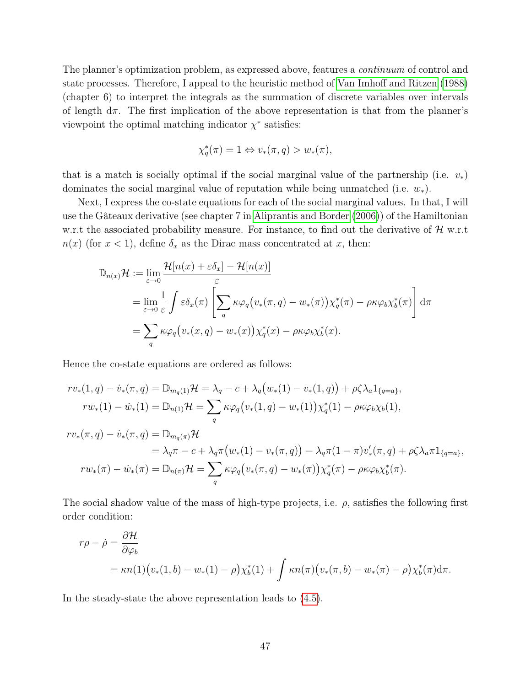The planner's optimization problem, as expressed above, features a continuum of control and state processes. Therefore, I appeal to the heuristic method of [Van Imhoff and Ritzen](#page-44-13) [\(1988\)](#page-44-13) (chapter 6) to interpret the integrals as the summation of discrete variables over intervals of length  $d\pi$ . The first implication of the above representation is that from the planner's viewpoint the optimal matching indicator  $\chi^*$  satisfies:

$$
\chi_q^*(\pi) = 1 \Leftrightarrow v_*(\pi, q) > w_*(\pi),
$$

that is a match is socially optimal if the social marginal value of the partnership (i.e.  $v_*$ ) dominates the social marginal value of reputation while being unmatched (i.e.  $w_*$ ).

Next, I express the co-state equations for each of the social marginal values. In that, I will use the Gâteaux derivative (see chapter 7 in [Aliprantis and Border](#page-42-6) [\(2006\)](#page-42-6)) of the Hamiltonian w.r.t the associated probability measure. For instance, to find out the derivative of  $\mathcal{H}$  w.r.t  $n(x)$  (for  $x < 1$ ), define  $\delta_x$  as the Dirac mass concentrated at x, then:

$$
\mathbb{D}_{n(x)}\mathcal{H} := \lim_{\varepsilon \to 0} \frac{\mathcal{H}[n(x) + \varepsilon \delta_x] - \mathcal{H}[n(x)]}{\varepsilon}
$$
\n
$$
= \lim_{\varepsilon \to 0} \frac{1}{\varepsilon} \int \varepsilon \delta_x(\pi) \left[ \sum_q \kappa \varphi_q(v_*(\pi, q) - w_*(\pi)) \chi_q^*(\pi) - \rho \kappa \varphi_b \chi_b^*(\pi) \right] d\pi
$$
\n
$$
= \sum_q \kappa \varphi_q(v_*(x, q) - w_*(x)) \chi_q^*(x) - \rho \kappa \varphi_b \chi_b^*(x).
$$

Hence the co-state equations are ordered as follows:

$$
rv_*(1, q) - \dot{v}_*(\pi, q) = \mathbb{D}_{m_q(1)} \mathcal{H} = \lambda_q - c + \lambda_q (w_*(1) - v_*(1, q)) + \rho \zeta \lambda_a 1_{\{q=a\}},
$$
  
\n
$$
rw_*(1) - \dot{w}_*(1) = \mathbb{D}_{n(1)} \mathcal{H} = \sum_q \kappa \varphi_q (v_*(1, q) - w_*(1)) \chi_q^*(1) - \rho \kappa \varphi_b \chi_b(1),
$$
  
\n
$$
rv_*(\pi, q) - \dot{v}_*(\pi, q) = \mathbb{D}_{m_q(\pi)} \mathcal{H}
$$
  
\n
$$
= \lambda_q \pi - c + \lambda_q \pi (w_*(1) - v_*(\pi, q)) - \lambda_q \pi (1 - \pi) v'_*(\pi, q) + \rho \zeta \lambda_a \pi 1_{\{q=a\}},
$$
  
\n
$$
rw_*(\pi) - \dot{w}_*(\pi) = \mathbb{D}_{n(\pi)} \mathcal{H} = \sum_q \kappa \varphi_q (v_*(\pi, q) - w_*(\pi)) \chi_q^*(\pi) - \rho \kappa \varphi_b \chi_b^*(\pi).
$$

The social shadow value of the mass of high-type projects, i.e.  $\rho$ , satisfies the following first order condition:

$$
r\rho - \dot{\rho} = \frac{\partial \mathcal{H}}{\partial \varphi_b}
$$
  
=  $\kappa n(1) (v_*(1, b) - w_*(1) - \rho) \chi_b^*(1) + \int \kappa n(\pi) (v_*(\pi, b) - w_*(\pi) - \rho) \chi_b^*(\pi) d\pi.$ 

In the steady-state the above representation leads to [\(4.5\)](#page-24-1).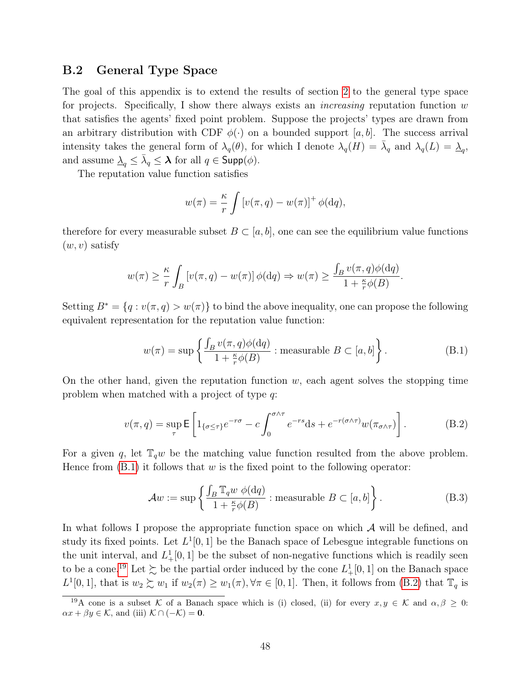### <span id="page-47-0"></span>B.2 General Type Space

The goal of this appendix is to extend the results of section [2](#page-4-0) to the general type space for projects. Specifically, I show there always exists an *increasing* reputation function  $w$ that satisfies the agents' fixed point problem. Suppose the projects' types are drawn from an arbitrary distribution with CDF  $\phi(\cdot)$  on a bounded support [a, b]. The success arrival intensity takes the general form of  $\lambda_q(\theta)$ , for which I denote  $\lambda_q(H) = \overline{\lambda}_q$  and  $\lambda_q(L) = \underline{\lambda}_q$ , and assume  $\Delta_q \leq \bar{\lambda}_q \leq \lambda$  for all  $q \in \mathsf{Supp}(\phi)$ .

The reputation value function satisfies

$$
w(\pi) = \frac{\kappa}{r} \int \left[ v(\pi, q) - w(\pi) \right]^+ \phi(\mathrm{d}q),
$$

therefore for every measurable subset  $B \subset [a, b]$ , one can see the equilibrium value functions  $(w, v)$  satisfy

$$
w(\pi) \ge \frac{\kappa}{r} \int_B \left[ v(\pi, q) - w(\pi) \right] \phi(\mathrm{d}q) \Rightarrow w(\pi) \ge \frac{\int_B v(\pi, q) \phi(\mathrm{d}q)}{1 + \frac{\kappa}{r} \phi(B)}.
$$

Setting  $B^* = \{q : v(\pi, q) > w(\pi)\}\$ to bind the above inequality, one can propose the following equivalent representation for the reputation value function:

<span id="page-47-1"></span>
$$
w(\pi) = \sup \left\{ \frac{\int_B v(\pi, q)\phi(\mathrm{d}q)}{1 + \frac{\kappa}{r}\phi(B)} : \text{measurable } B \subset [a, b] \right\}.
$$
 (B.1)

On the other hand, given the reputation function  $w$ , each agent solves the stopping time problem when matched with a project of type q:

<span id="page-47-3"></span>
$$
v(\pi, q) = \sup_{\tau} \mathsf{E} \left[ 1_{\{\sigma \leq \tau\}} e^{-r\sigma} - c \int_0^{\sigma \wedge \tau} e^{-rs} \mathrm{d}s + e^{-r(\sigma \wedge \tau)} w(\pi_{\sigma \wedge \tau}) \right]. \tag{B.2}
$$

For a given q, let  $\mathbb{T}_q w$  be the matching value function resulted from the above problem. Hence from  $(B.1)$  it follows that w is the fixed point to the following operator:

<span id="page-47-4"></span>
$$
\mathcal{A}w := \sup \left\{ \frac{\int_B \mathbb{T}_q w \, \phi(\mathrm{d}q)}{1 + \frac{\kappa}{r} \phi(B)} : \text{measurable } B \subset [a, b] \right\}. \tag{B.3}
$$

In what follows I propose the appropriate function space on which  $A$  will be defined, and study its fixed points. Let  $L^1[0,1]$  be the Banach space of Lebesgue integrable functions on the unit interval, and  $L^1_+[0,1]$  be the subset of non-negative functions which is readily seen to be a cone.<sup>[19](#page-47-2)</sup> Let  $\succsim$  be the partial order induced by the cone  $L^1_+[0,1]$  on the Banach space  $L^1[0,1]$ , that is  $w_2 \succsim w_1$  if  $w_2(\pi) \geq w_1(\pi)$ ,  $\forall \pi \in [0,1]$ . Then, it follows from  $(B.2)$  that  $\mathbb{T}_q$  is

<span id="page-47-2"></span><sup>&</sup>lt;sup>19</sup>A cone is a subset K of a Banach space which is (i) closed, (ii) for every  $x, y \in K$  and  $\alpha, \beta \geq 0$ :  $\alpha x + \beta y \in \mathcal{K}$ , and (iii)  $\mathcal{K} \cap (-\mathcal{K}) = 0$ .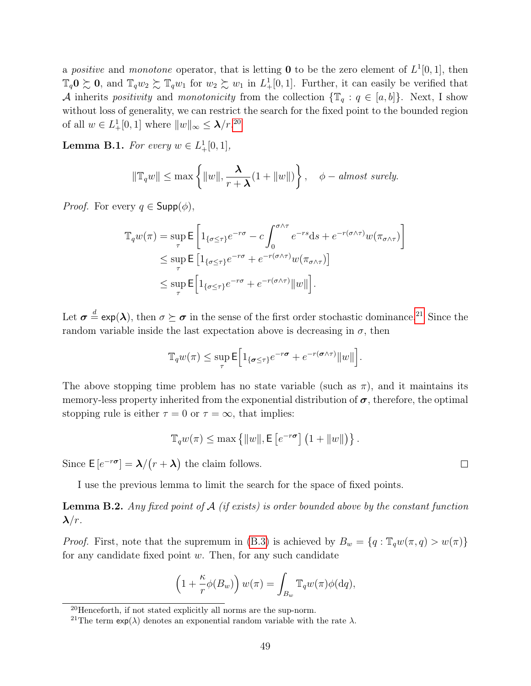a positive and monotone operator, that is letting **0** to be the zero element of  $L^1[0,1]$ , then  $\mathbb{T}_q0 \succsim 0$ , and  $\mathbb{T}_q w_2 \succsim \mathbb{T}_q w_1$  for  $w_2 \succsim w_1$  in  $L^1_+[0,1]$ . Further, it can easily be verified that A inherits positivity and monotonicity from the collection  $\{\mathbb{T}_q : q \in [a, b]\}.$  Next, I show without loss of generality, we can restrict the search for the fixed point to the bounded region of all  $w \in L_+^1[0,1]$  where  $||w||_{\infty} \leq \lambda/r^{20}$  $||w||_{\infty} \leq \lambda/r^{20}$  $||w||_{\infty} \leq \lambda/r^{20}$ 

<span id="page-48-2"></span>**Lemma B.1.** For every  $w \in L_+^1[0,1],$ 

$$
\|\mathbb{T}_q w\| \le \max\left\{\|w\|, \frac{\lambda}{r+\lambda}(1+\|w\|)\right\}, \quad \phi-almost\ surely.
$$

*Proof.* For every  $q \in \mathsf{Supp}(\phi)$ ,

$$
\mathbb{T}_{q} w(\pi) = \sup_{\tau} \mathsf{E} \left[ 1_{\{\sigma \leq \tau\}} e^{-r\sigma} - c \int_{0}^{\sigma \wedge \tau} e^{-rs} \mathrm{d}s + e^{-r(\sigma \wedge \tau)} w(\pi_{\sigma \wedge \tau}) \right]
$$
  
\$\leq\$ 
$$
\sup_{\tau} \mathsf{E} \left[ 1_{\{\sigma \leq \tau\}} e^{-r\sigma} + e^{-r(\sigma \wedge \tau)} w(\pi_{\sigma \wedge \tau}) \right]
$$
  
\$\leq\$ 
$$
\sup_{\tau} \mathsf{E} \left[ 1_{\{\sigma \leq \tau\}} e^{-r\sigma} + e^{-r(\sigma \wedge \tau)} ||w|| \right].
$$

Let  $\sigma \stackrel{d}{=} \exp(\lambda)$ , then  $\sigma \succeq \sigma$  in the sense of the first order stochastic dominance.<sup>[21](#page-48-1)</sup> Since the random variable inside the last expectation above is decreasing in  $\sigma$ , then

$$
\mathbb{T}_{q} w(\pi) \leq \sup_{\tau} \mathsf{E}\Big[\mathbb{1}_{\{\sigma \leq \tau\}} e^{-r\sigma} + e^{-r(\sigma \wedge \tau)} \|w\|\Big].
$$

The above stopping time problem has no state variable (such as  $\pi$ ), and it maintains its memory-less property inherited from the exponential distribution of  $\sigma$ , therefore, the optimal stopping rule is either  $\tau = 0$  or  $\tau = \infty$ , that implies:

$$
\mathbb{T}_q w(\pi) \leq \max \left\{ ||w||, \mathsf{E}\left[e^{-r\sigma}\right] \left(1 + ||w||\right) \right\}.
$$

Since  $E[e^{-r\sigma}] = \lambda/(r + \lambda)$  the claim follows.

I use the previous lemma to limit the search for the space of fixed points.

**Lemma B.2.** Any fixed point of  $A$  (if exists) is order bounded above by the constant function  $\lambda/r$ .

*Proof.* First, note that the supremum in [\(B.3\)](#page-47-4) is achieved by  $B_w = \{q : \mathbb{T}_q w(\pi, q) > w(\pi)\}\$ for any candidate fixed point  $w$ . Then, for any such candidate

$$
\left(1 + \frac{\kappa}{r}\phi(B_w)\right)w(\pi) = \int_{B_w} \mathbb{T}_q w(\pi)\phi(\mathrm{d}q),
$$

 $\Box$ 

<span id="page-48-0"></span> $^{20}$ Henceforth, if not stated explicitly all norms are the sup-norm.

<span id="page-48-1"></span><sup>&</sup>lt;sup>21</sup>The term  $\exp(\lambda)$  denotes an exponential random variable with the rate  $\lambda$ .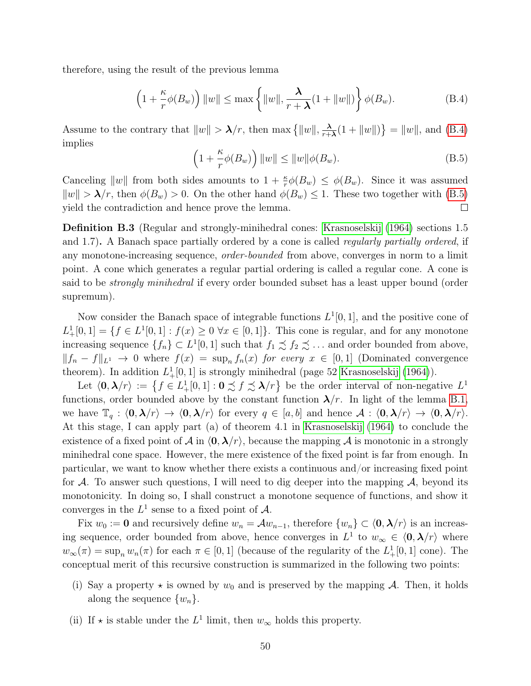<span id="page-49-0"></span>therefore, using the result of the previous lemma

$$
\left(1 + \frac{\kappa}{r}\phi(B_w)\right) \|w\| \le \max\left\{ \|w\|, \frac{\lambda}{r+\lambda}(1 + \|w\|) \right\} \phi(B_w). \tag{B.4}
$$

Assume to the contrary that  $||w|| > \lambda/r$ , then max  $\{||w||, \frac{\lambda}{r+1}\}$  $\frac{\lambda}{r+\lambda}(1 + ||w||)$  =  $||w||$ , and [\(B.4\)](#page-49-0) implies

<span id="page-49-1"></span>
$$
\left(1 + \frac{\kappa}{r}\phi(B_w)\right) \|w\| \le \|w\|\phi(B_w). \tag{B.5}
$$

Canceling  $||w||$  from both sides amounts to  $1 + \frac{\kappa}{r}\phi(B_w) \leq \phi(B_w)$ . Since it was assumed  $\|w\| > \lambda/r$ , then  $\phi(B_w) > 0$ . On the other hand  $\phi(B_w) \leq 1$ . These two together with [\(B.5\)](#page-49-1) yield the contradiction and hence prove the lemma.  $\Box$ 

Definition B.3 (Regular and strongly-minihedral cones: [Krasnoselskij](#page-43-16) [\(1964\)](#page-43-16) sections 1.5 and 1.7). A Banach space partially ordered by a cone is called *regularly partially ordered*, if any monotone-increasing sequence, order-bounded from above, converges in norm to a limit point. A cone which generates a regular partial ordering is called a regular cone. A cone is said to be *strongly minihedral* if every order bounded subset has a least upper bound (order supremum).

Now consider the Banach space of integrable functions  $L^1[0,1]$ , and the positive cone of  $L^1_+[0,1] = \{f \in L^1[0,1] : f(x) \ge 0 \,\forall x \in [0,1]\}.$  This cone is regular, and for any monotone increasing sequence  $\{f_n\} \subset L^1[0,1]$  such that  $f_1 \precsim f_2 \precsim \ldots$  and order bounded from above,  $||f_n - f||_{L^1} \to 0$  where  $f(x) = \sup_n f_n(x)$  for every  $x \in [0,1]$  (Dominated convergence theorem). In addition  $L_{+}^{1}[0,1]$  is strongly minihedral (page 52 [Krasnoselskij](#page-43-16) [\(1964\)](#page-43-16)).

Let  $\langle 0, \lambda/r \rangle := \{ f \in L^1_+[0,1] : 0 \precsim f \precsim \lambda/r \}$  be the order interval of non-negative  $L^1$ functions, order bounded above by the constant function  $\lambda/r$ . In light of the lemma [B.1,](#page-48-2) we have  $\mathbb{T}_q : \langle 0, \lambda/r \rangle \to \langle 0, \lambda/r \rangle$  for every  $q \in [a, b]$  and hence  $\mathcal{A} : \langle 0, \lambda/r \rangle \to \langle 0, \lambda/r \rangle$ . At this stage, I can apply part (a) of theorem 4.1 in [Krasnoselskij](#page-43-16) [\(1964\)](#page-43-16) to conclude the existence of a fixed point of A in  $\langle 0, \lambda/r \rangle$ , because the mapping A is monotonic in a strongly minihedral cone space. However, the mere existence of the fixed point is far from enough. In particular, we want to know whether there exists a continuous and/or increasing fixed point for  $\mathcal A$ . To answer such questions, I will need to dig deeper into the mapping  $\mathcal A$ , beyond its monotonicity. In doing so, I shall construct a monotone sequence of functions, and show it converges in the  $L^1$  sense to a fixed point of A.

Fix  $w_0 := \mathbf{0}$  and recursively define  $w_n = \mathcal{A}w_{n-1}$ , therefore  $\{w_n\} \subset \langle \mathbf{0}, \boldsymbol{\lambda}/r \rangle$  is an increasing sequence, order bounded from above, hence converges in  $L^1$  to  $w_\infty \in \langle 0, \lambda/r \rangle$  where  $w_{\infty}(\pi) = \sup_n w_n(\pi)$  for each  $\pi \in [0, 1]$  (because of the regularity of the  $L^1_+[0, 1]$  cone). The conceptual merit of this recursive construction is summarized in the following two points:

- (i) Say a property  $\star$  is owned by  $w_0$  and is preserved by the mapping A. Then, it holds along the sequence  $\{w_n\}$ .
- (ii) If  $\star$  is stable under the  $L^1$  limit, then  $w_{\infty}$  holds this property.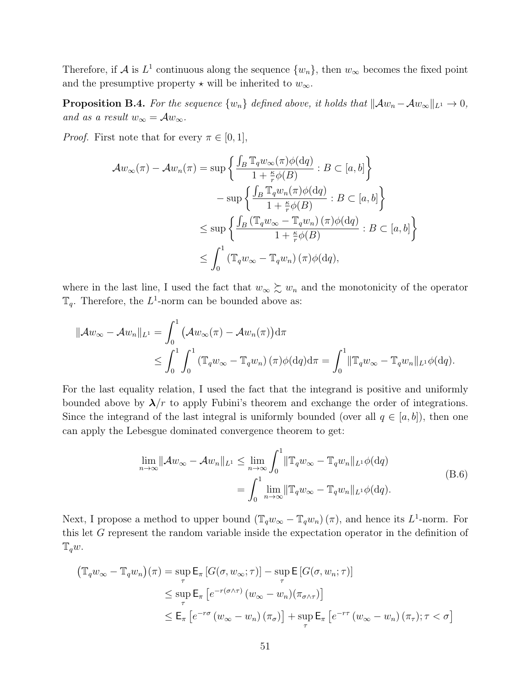Therefore, if A is  $L^1$  continuous along the sequence  $\{w_n\}$ , then  $w_\infty$  becomes the fixed point and the presumptive property  $\star$  will be inherited to  $w_{\infty}$ .

**Proposition B.4.** For the sequence  $\{w_n\}$  defined above, it holds that  $\|\mathcal{A}w_n - \mathcal{A}w_\infty\|_{L^1} \to 0$ , and as a result  $w_{\infty} = Aw_{\infty}$ .

*Proof.* First note that for every  $\pi \in [0, 1]$ ,

$$
\mathcal{A}w_{\infty}(\pi) - \mathcal{A}w_{n}(\pi) = \sup \left\{ \frac{\int_{B} \mathbb{T}_{q}w_{\infty}(\pi)\phi(\mathrm{d}q)}{1 + \frac{\kappa}{r}\phi(B)} : B \subset [a, b] \right\}
$$
  

$$
- \sup \left\{ \frac{\int_{B} \mathbb{T}_{q}w_{n}(\pi)\phi(\mathrm{d}q)}{1 + \frac{\kappa}{r}\phi(B)} : B \subset [a, b] \right\}
$$
  

$$
\leq \sup \left\{ \frac{\int_{B} (\mathbb{T}_{q}w_{\infty} - \mathbb{T}_{q}w_{n})(\pi)\phi(\mathrm{d}q)}{1 + \frac{\kappa}{r}\phi(B)} : B \subset [a, b] \right\}
$$
  

$$
\leq \int_{0}^{1} (\mathbb{T}_{q}w_{\infty} - \mathbb{T}_{q}w_{n})(\pi)\phi(\mathrm{d}q),
$$

where in the last line, I used the fact that  $w_{\infty} \succeq w_n$  and the monotonicity of the operator  $\mathbb{T}_q$ . Therefore, the L<sup>1</sup>-norm can be bounded above as:

$$
\|\mathcal{A}w_{\infty} - \mathcal{A}w_{n}\|_{L^{1}} = \int_{0}^{1} (\mathcal{A}w_{\infty}(\pi) - \mathcal{A}w_{n}(\pi)) d\pi
$$
  
\$\leq \int\_{0}^{1} \int\_{0}^{1} (\mathbb{T}\_{q}w\_{\infty} - \mathbb{T}\_{q}w\_{n})(\pi) \phi(dq) d\pi = \int\_{0}^{1} ||\mathbb{T}\_{q}w\_{\infty} - \mathbb{T}\_{q}w\_{n}||\_{L^{1}} \phi(dq).

For the last equality relation, I used the fact that the integrand is positive and uniformly bounded above by  $\lambda/r$  to apply Fubini's theorem and exchange the order of integrations. Since the integrand of the last integral is uniformly bounded (over all  $q \in [a, b]$ ), then one can apply the Lebesgue dominated convergence theorem to get:

$$
\lim_{n \to \infty} \|\mathcal{A}w_{\infty} - \mathcal{A}w_n\|_{L^1} \le \lim_{n \to \infty} \int_0^1 \|\mathbb{T}_q w_{\infty} - \mathbb{T}_q w_n\|_{L^1} \phi(\mathrm{d}q)
$$
\n
$$
= \int_0^1 \lim_{n \to \infty} \|\mathbb{T}_q w_{\infty} - \mathbb{T}_q w_n\|_{L^1} \phi(\mathrm{d}q).
$$
\n(B.6)

Next, I propose a method to upper bound  $(\mathbb{T}_q w_{\infty} - \mathbb{T}_q w_n)(\pi)$ , and hence its L<sup>1</sup>-norm. For this let G represent the random variable inside the expectation operator in the definition of  $\mathbb{T}_q w$ .

$$
\begin{aligned} \left(\mathbb{T}_{q} w_{\infty} - \mathbb{T}_{q} w_{n}\right)(\pi) &= \sup_{\tau} \mathsf{E}_{\pi} \left[ G(\sigma, w_{\infty}; \tau) \right] - \sup_{\tau} \mathsf{E} \left[ G(\sigma, w_{n}; \tau) \right] \\ &\leq \sup_{\tau} \mathsf{E}_{\pi} \left[ e^{-r(\sigma \wedge \tau)} \left( w_{\infty} - w_{n} \right) (\pi_{\sigma \wedge \tau}) \right] \\ &\leq \mathsf{E}_{\pi} \left[ e^{-r\sigma} \left( w_{\infty} - w_{n} \right) (\pi_{\sigma}) \right] + \sup_{\tau} \mathsf{E}_{\pi} \left[ e^{-r\tau} \left( w_{\infty} - w_{n} \right) (\pi_{\tau}); \tau < \sigma \right] \end{aligned}
$$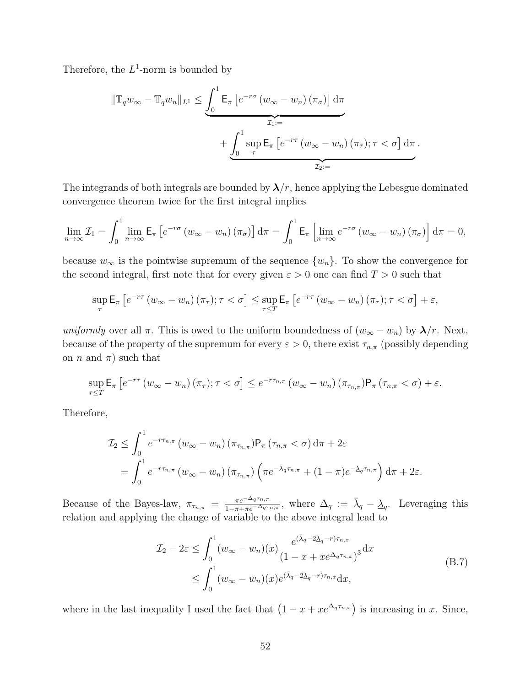Therefore, the  $L^1$ -norm is bounded by

$$
\|\mathbb{T}_{q} w_{\infty} - \mathbb{T}_{q} w_{n}\|_{L^{1}} \leq \underbrace{\int_{0}^{1} \mathsf{E}_{\pi} \left[ e^{-r\sigma} \left( w_{\infty} - w_{n} \right) \left( \pi_{\sigma} \right) \right] d\pi}_{\mathcal{I}_{1} :=}\n+ \underbrace{\int_{0}^{1} \sup_{\tau} \mathsf{E}_{\pi} \left[ e^{-r\tau} \left( w_{\infty} - w_{n} \right) \left( \pi_{\tau} \right); \tau < \sigma \right] d\pi}_{\mathcal{I}_{2} :=}
$$

The integrands of both integrals are bounded by  $\lambda/r$ , hence applying the Lebesgue dominated convergence theorem twice for the first integral implies

$$
\lim_{n \to \infty} \mathcal{I}_1 = \int_0^1 \lim_{n \to \infty} \mathsf{E}_{\pi} \left[ e^{-r\sigma} \left( w_{\infty} - w_n \right) \left( \pi_{\sigma} \right) \right] d\pi = \int_0^1 \mathsf{E}_{\pi} \left[ \lim_{n \to \infty} e^{-r\sigma} \left( w_{\infty} - w_n \right) \left( \pi_{\sigma} \right) \right] d\pi = 0,
$$

because  $w_{\infty}$  is the pointwise supremum of the sequence  $\{w_n\}$ . To show the convergence for the second integral, first note that for every given  $\varepsilon > 0$  one can find  $T > 0$  such that

$$
\sup_{\tau} \mathsf{E}_{\pi} \left[ e^{-r\tau} \left( w_{\infty} - w_{n} \right) \left( \pi_{\tau} \right) ; \tau < \sigma \right] \leq \sup_{\tau \leq T} \mathsf{E}_{\pi} \left[ e^{-r\tau} \left( w_{\infty} - w_{n} \right) \left( \pi_{\tau} \right) ; \tau < \sigma \right] + \varepsilon,
$$

uniformly over all  $\pi$ . This is owed to the uniform boundedness of  $(w_{\infty}-w_n)$  by  $\lambda/r$ . Next, because of the property of the supremum for every  $\varepsilon > 0$ , there exist  $\tau_{n,\pi}$  (possibly depending on *n* and  $\pi$ ) such that

$$
\sup_{\tau \leq T} \mathsf{E}_{\pi} \left[ e^{-r\tau} \left( w_{\infty} - w_{n} \right) \left( \pi_{\tau} \right) ; \tau < \sigma \right] \leq e^{-r\tau_{n,\pi}} \left( w_{\infty} - w_{n} \right) \left( \pi_{\tau_{n,\pi}} \right) \mathsf{P}_{\pi} \left( \tau_{n,\pi} < \sigma \right) + \varepsilon.
$$

Therefore,

$$
\mathcal{I}_2 \leq \int_0^1 e^{-r\tau_{n,\pi}} (w_{\infty} - w_n) (\pi_{\tau_{n,\pi}}) P_\pi (\tau_{n,\pi} < \sigma) d\pi + 2\varepsilon
$$
  
= 
$$
\int_0^1 e^{-r\tau_{n,\pi}} (w_{\infty} - w_n) (\pi_{\tau_{n,\pi}}) (\pi e^{-\bar{\lambda}_q \tau_{n,\pi}} + (1 - \pi) e^{-\bar{\lambda}_q \tau_{n,\pi}}) d\pi + 2\varepsilon.
$$

Because of the Bayes-law,  $\pi_{\tau_{n,\pi}} = \frac{\pi e^{-\Delta_q \tau_{n,\pi}}}{1 - \pi + \pi e^{-\Delta_q \tau}}$  $\frac{\pi e^{-\Delta_q \tau_{n,\pi}}}{1-\pi+\pi e^{-\Delta_q \tau_{n,\pi}}},$  where  $\Delta_q := \bar{\lambda}_q - \underline{\lambda}_q$ . Leveraging this relation and applying the change of variable to the above integral lead to

$$
\mathcal{I}_2 - 2\varepsilon \le \int_0^1 (w_\infty - w_n)(x) \frac{e^{(\bar{\lambda}_q - 2\bar{\lambda}_q - r)\tau_{n,x}}}{(1 - x + x e^{\Delta_q \tau_{n,x}})^3} dx
$$
\n
$$
\le \int_0^1 (w_\infty - w_n)(x) e^{(\bar{\lambda}_q - 2\bar{\lambda}_q - r)\tau_{n,x}} dx,
$$
\n(B.7)

<span id="page-51-0"></span>where in the last inequality I used the fact that  $(1 - x + xe^{\Delta_q \tau_{n,x}})$  is increasing in x. Since,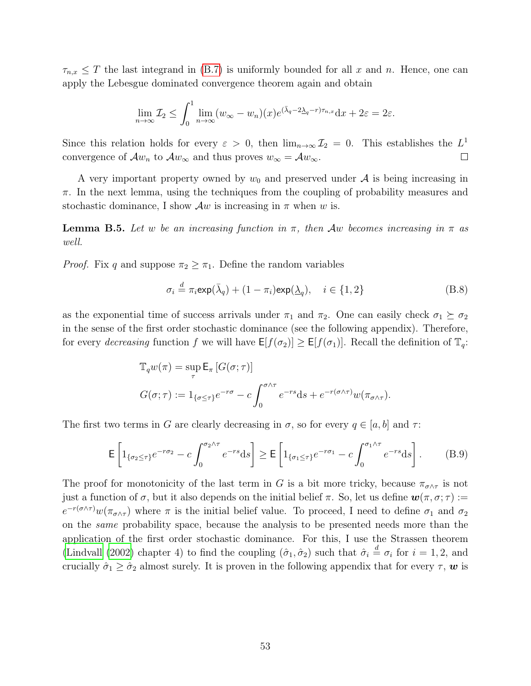$\tau_{n,x} \leq T$  the last integrand in [\(B.7\)](#page-51-0) is uniformly bounded for all x and n. Hence, one can apply the Lebesgue dominated convergence theorem again and obtain

$$
\lim_{n \to \infty} \mathcal{I}_2 \le \int_0^1 \lim_{n \to \infty} (w_{\infty} - w_n)(x) e^{(\bar{\lambda}_q - 2\underline{\lambda}_q - r)\tau_{n,x}} dx + 2\varepsilon = 2\varepsilon.
$$

Since this relation holds for every  $\varepsilon > 0$ , then  $\lim_{n\to\infty} \mathcal{I}_2 = 0$ . This establishes the  $L^1$ convergence of  $\mathcal{A}w_n$  to  $\mathcal{A}w_\infty$  and thus proves  $w_\infty = \mathcal{A}w_\infty$ .  $\Box$ 

A very important property owned by  $w_0$  and preserved under  $\mathcal A$  is being increasing in  $\pi$ . In the next lemma, using the techniques from the coupling of probability measures and stochastic dominance, I show  $\mathcal{A}w$  is increasing in  $\pi$  when w is.

**Lemma B.5.** Let w be an increasing function in  $\pi$ , then Aw becomes increasing in  $\pi$  as well.

*Proof.* Fix q and suppose  $\pi_2 \geq \pi_1$ . Define the random variables

<span id="page-52-1"></span>
$$
\sigma_i \stackrel{d}{=} \pi_i \exp(\bar{\lambda}_q) + (1 - \pi_i) \exp(\underline{\lambda}_q), \quad i \in \{1, 2\}
$$
 (B.8)

as the exponential time of success arrivals under  $\pi_1$  and  $\pi_2$ . One can easily check  $\sigma_1 \succeq \sigma_2$ in the sense of the first order stochastic dominance (see the following appendix). Therefore, for every decreasing function f we will have  $E[f(\sigma_2)] \geq E[f(\sigma_1)]$ . Recall the definition of  $\mathbb{T}_q$ :

$$
\mathbb{T}_q w(\pi) = \sup_{\tau} \mathsf{E}_{\pi} \left[ G(\sigma; \tau) \right]
$$

$$
G(\sigma; \tau) := 1_{\{\sigma \leq \tau\}} e^{-r\sigma} - c \int_0^{\sigma \wedge \tau} e^{-rs} \, \mathrm{d}s + e^{-r(\sigma \wedge \tau)} w(\pi_{\sigma \wedge \tau}).
$$

The first two terms in G are clearly decreasing in  $\sigma$ , so for every  $q \in [a, b]$  and  $\tau$ :

<span id="page-52-0"></span>
$$
\mathsf{E}\left[1_{\{\sigma_2\leq\tau\}}e^{-r\sigma_2}-c\int_0^{\sigma_2\wedge\tau}e^{-rs}\mathrm{d}s\right]\geq \mathsf{E}\left[1_{\{\sigma_1\leq\tau\}}e^{-r\sigma_1}-c\int_0^{\sigma_1\wedge\tau}e^{-rs}\mathrm{d}s\right].\tag{B.9}
$$

The proof for monotonicity of the last term in G is a bit more tricky, because  $\pi_{\sigma \wedge \tau}$  is not just a function of  $\sigma$ , but it also depends on the initial belief  $\pi$ . So, let us define  $\mathbf{w}(\pi, \sigma; \tau) :=$  $e^{-r(\sigma \wedge \tau)}w(\pi_{\sigma \wedge \tau})$  where  $\pi$  is the initial belief value. To proceed, I need to define  $\sigma_1$  and  $\sigma_2$ on the same probability space, because the analysis to be presented needs more than the application of the first order stochastic dominance. For this, I use the Strassen theorem [\(Lindvall](#page-44-14) [\(2002\)](#page-44-14) chapter 4) to find the coupling  $(\hat{\sigma}_1, \hat{\sigma}_2)$  such that  $\hat{\sigma}_i \stackrel{d}{=} \sigma_i$  for  $i = 1, 2$ , and crucially  $\hat{\sigma}_1 \geq \hat{\sigma}_2$  almost surely. It is proven in the following appendix that for every  $\tau$ , w is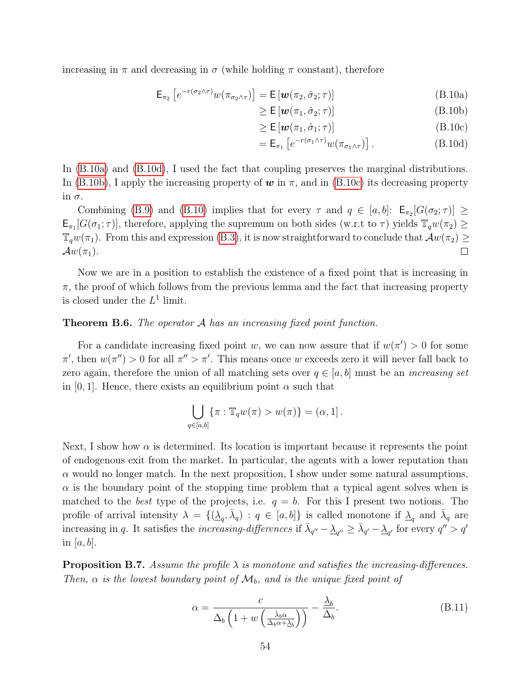increasing in  $\pi$  and decreasing in  $\sigma$  (while holding  $\pi$  constant), therefore

$$
\mathsf{E}_{\pi_2} \left[ e^{-r(\sigma_2 \wedge \tau)} w(\pi_{\sigma_2 \wedge \tau}) \right] = \mathsf{E} \left[ \boldsymbol{w}(\pi_2, \hat{\sigma}_2; \tau) \right]
$$
(B.10a)

<span id="page-53-4"></span>
$$
\geq \mathsf{E}\left[\boldsymbol{w}(\pi_1,\hat{\sigma}_2;\tau)\right] \tag{B.10b}
$$

<span id="page-53-3"></span><span id="page-53-2"></span><span id="page-53-1"></span><span id="page-53-0"></span>
$$
\geq \mathsf{E}\left[\mathbf{w}(\pi_1, \hat{\sigma}_1; \tau)\right] \tag{B.10c}
$$

$$
= \mathsf{E}_{\pi_1} \left[ e^{-r(\sigma_1 \wedge \tau)} w(\pi_{\sigma_1 \wedge \tau}) \right]. \tag{B.10d}
$$

In [\(B.10a\)](#page-53-0) and [\(B.10d\)](#page-53-1), I used the fact that coupling preserves the marginal distributions. In [\(B.10b\)](#page-53-2), I apply the increasing property of  $w$  in  $\pi$ , and in [\(B.10c\)](#page-53-3) its decreasing property in  $\sigma$ .

Combining [\(B.9\)](#page-52-0) and [\(B.10\)](#page-53-4) implies that for every  $\tau$  and  $q \in [a, b]$ :  $\mathsf{E}_{\pi_2}[G(\sigma_2; \tau)] \geq$  $\mathsf{E}_{\pi_1}[G(\sigma_1;\tau)]$ , therefore, applying the supremum on both sides (w.r.t to  $\tau$ ) yields  $\mathbb{T}_q w(\pi_2) \geq$  $\mathbb{T}_q w(\pi_1)$ . From this and expression [\(B.3\)](#page-47-4), it is now straightforward to conclude that  $\mathcal{A} w(\pi_2) \geq$  $\mathcal{A}w(\pi_1)$ .  $\Box$ 

Now we are in a position to establish the existence of a fixed point that is increasing in  $\pi$ , the proof of which follows from the previous lemma and the fact that increasing property is closed under the  $L^1$  limit.

#### **Theorem B.6.** The operator A has an increasing fixed point function.

For a candidate increasing fixed point w, we can now assure that if  $w(\pi') > 0$  for some  $\pi'$ , then  $w(\pi'') > 0$  for all  $\pi'' > \pi'$ . This means once w exceeds zero it will never fall back to zero again, therefore the union of all matching sets over  $q \in [a, b]$  must be an *increasing set* in [0, 1]. Hence, there exists an equilibrium point  $\alpha$  such that

$$
\bigcup_{q\in[a,b]}\{\pi:\mathbb{T}_q w(\pi)>w(\pi)\}=(\alpha,1].
$$

Next, I show how  $\alpha$  is determined. Its location is important because it represents the point of endogenous exit from the market. In particular, the agents with a lower reputation than  $\alpha$  would no longer match. In the next proposition, I show under some natural assumptions,  $\alpha$  is the boundary point of the stopping time problem that a typical agent solves when is matched to the *best* type of the projects, i.e.  $q = b$ . For this I present two notions. The profile of arrival intensity  $\lambda = \{(\lambda_q, \bar{\lambda}_q) : q \in [a, b]\}$  is called monotone if  $\lambda_q$  and  $\bar{\lambda}_q$  are increasing in q. It satisfies the *increasing-differences* if  $\bar{\lambda}_{q''}-\underline{\lambda}_{q''}\geq \bar{\lambda}_{q'}-\underline{\lambda}_{q'}$  for every  $q''>q'$ in [a, b].

**Proposition B.7.** Assume the profile  $\lambda$  is monotone and satisfies the increasing-differences. Then,  $\alpha$  is the lowest boundary point of  $\mathcal{M}_b$ , and is the unique fixed point of

<span id="page-53-5"></span>
$$
\alpha = \frac{c}{\Delta_b \left( 1 + w \left( \frac{\bar{\lambda}_b \alpha}{\Delta_b \alpha + \Delta_b} \right) \right)} - \frac{\underline{\lambda}_b}{\Delta_b}.
$$
\n(B.11)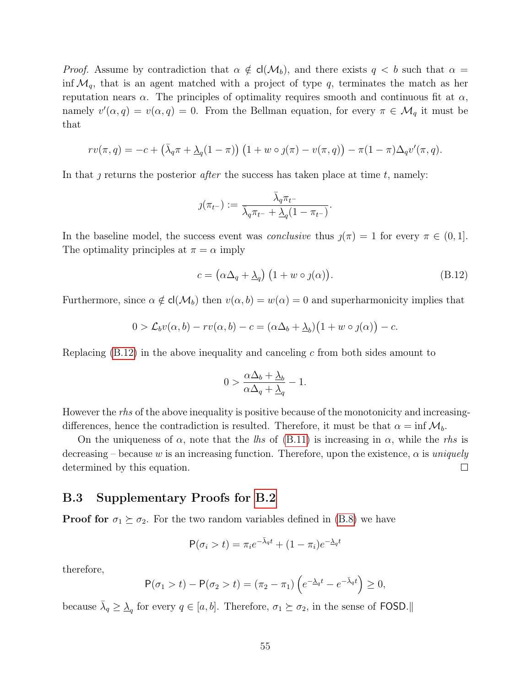*Proof.* Assume by contradiction that  $\alpha \notin cl(M_b)$ , and there exists  $q < b$  such that  $\alpha =$ inf  $\mathcal{M}_q$ , that is an agent matched with a project of type q, terminates the match as her reputation nears  $\alpha$ . The principles of optimality requires smooth and continuous fit at  $\alpha$ , namely  $v'(\alpha, q) = v(\alpha, q) = 0$ . From the Bellman equation, for every  $\pi \in \mathcal{M}_q$  it must be that

$$
rv(\pi, q) = -c + (\bar{\lambda}_q \pi + \underline{\lambda}_q (1-\pi)) (1+w \circ \jmath(\pi) - v(\pi, q)) - \pi (1-\pi) \Delta_q v'(\pi, q).
$$

In that  $\jmath$  returns the posterior *after* the success has taken place at time  $t$ , namely:

$$
\jmath(\pi_{t-}):=\frac{\bar{\lambda}_q\pi_{t-}}{\bar{\lambda}_q\pi_{t-}+\underline{\lambda}_q(1-\pi_{t-})}.
$$

In the baseline model, the success event was *conclusive* thus  $\jmath(\pi) = 1$  for every  $\pi \in (0, 1]$ . The optimality principles at  $\pi = \alpha$  imply

<span id="page-54-0"></span>
$$
c = (\alpha \Delta_q + \underline{\lambda}_q) (1 + w \circ \jmath(\alpha)). \tag{B.12}
$$

Furthermore, since  $\alpha \notin cl(\mathcal{M}_b)$  then  $v(\alpha, b) = w(\alpha) = 0$  and superharmonicity implies that

$$
0 > \mathcal{L}_b v(\alpha, b) - r v(\alpha, b) - c = (\alpha \Delta_b + \underline{\lambda}_b) (1 + w \circ \jmath(\alpha)) - c.
$$

Replacing  $(B.12)$  in the above inequality and canceling c from both sides amount to

$$
0 > \frac{\alpha \Delta_b + \underline{\lambda}_b}{\alpha \Delta_q + \underline{\lambda}_q} - 1.
$$

However the *rhs* of the above inequality is positive because of the monotonicity and increasingdifferences, hence the contradiction is resulted. Therefore, it must be that  $\alpha = \inf \mathcal{M}_b$ .

On the uniqueness of  $\alpha$ , note that the lhs of [\(B.11\)](#page-53-5) is increasing in  $\alpha$ , while the rhs is decreasing – because w is an increasing function. Therefore, upon the existence,  $\alpha$  is uniquely determined by this equation.  $\Box$ 

### B.3 Supplementary Proofs for [B.2](#page-47-0)

**Proof for**  $\sigma_1 \succeq \sigma_2$ . For the two random variables defined in [\(B.8\)](#page-52-1) we have

$$
P(\sigma_i > t) = \pi_i e^{-\bar{\lambda}_q t} + (1 - \pi_i) e^{-\bar{\lambda}_q t}
$$

therefore,

$$
\mathsf{P}(\sigma_1 > t) - \mathsf{P}(\sigma_2 > t) = (\pi_2 - \pi_1) \left( e^{-\lambda_q t} - e^{-\bar{\lambda}_q t} \right) \ge 0,
$$

because  $\bar{\lambda}_q \geq \underline{\lambda}_q$  for every  $q \in [a, b]$ . Therefore,  $\sigma_1 \succeq \sigma_2$ , in the sense of FOSD.